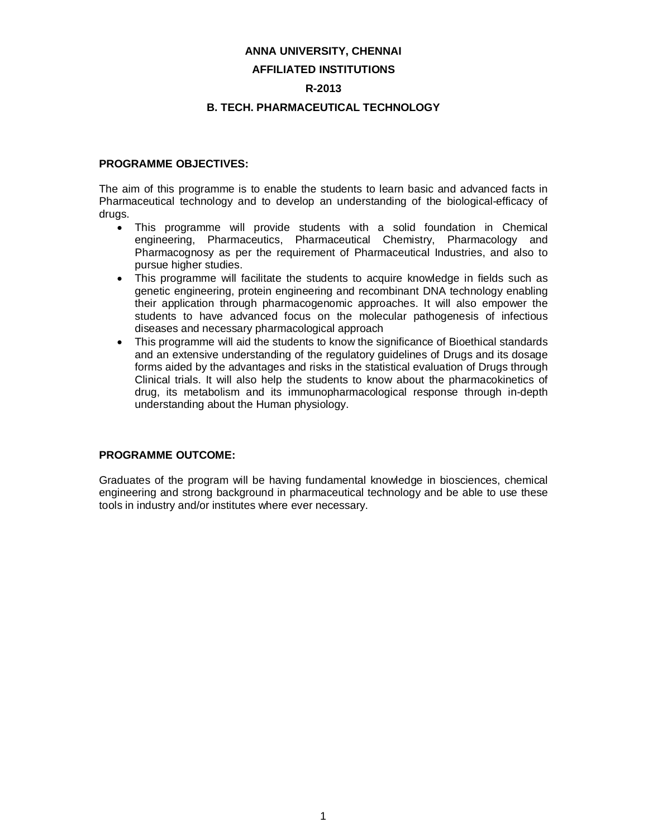#### **ANNA UNIVERSITY, CHENNAI**

#### **AFFILIATED INSTITUTIONS**

#### **R-2013**

#### **B. TECH. PHARMACEUTICAL TECHNOLOGY**

#### **PROGRAMME OBJECTIVES:**

The aim of this programme is to enable the students to learn basic and advanced facts in Pharmaceutical technology and to develop an understanding of the biological-efficacy of drugs.

- This programme will provide students with a solid foundation in Chemical engineering, Pharmaceutics, Pharmaceutical Chemistry, Pharmacology and Pharmacognosy as per the requirement of Pharmaceutical Industries, and also to pursue higher studies.
- This programme will facilitate the students to acquire knowledge in fields such as genetic engineering, protein engineering and recombinant DNA technology enabling their application through pharmacogenomic approaches. It will also empower the students to have advanced focus on the molecular pathogenesis of infectious diseases and necessary pharmacological approach
- This programme will aid the students to know the significance of Bioethical standards and an extensive understanding of the regulatory guidelines of Drugs and its dosage forms aided by the advantages and risks in the statistical evaluation of Drugs through Clinical trials. It will also help the students to know about the pharmacokinetics of drug, its metabolism and its immunopharmacological response through in-depth understanding about the Human physiology.

#### **PROGRAMME OUTCOME:**

Graduates of the program will be having fundamental knowledge in biosciences, chemical engineering and strong background in pharmaceutical technology and be able to use these tools in industry and/or institutes where ever necessary.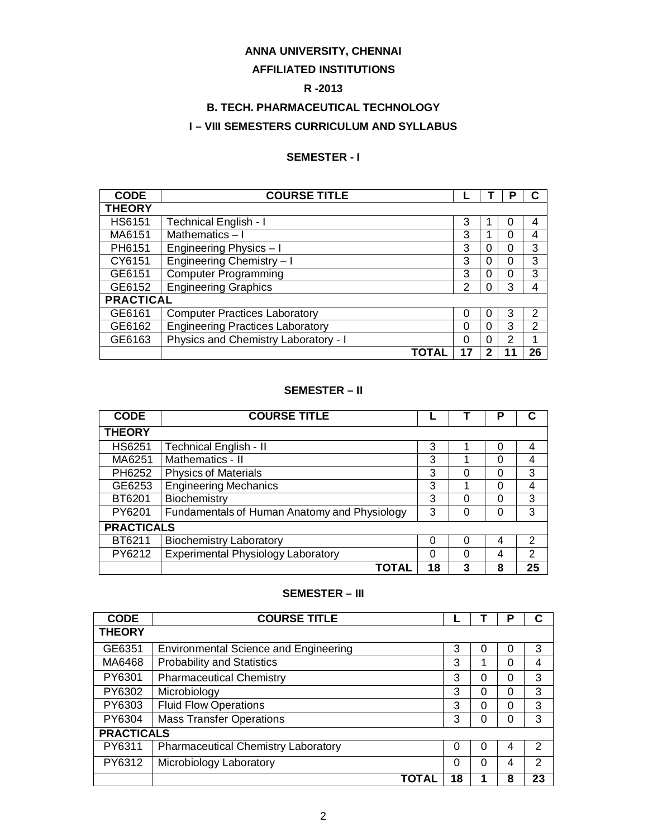## **ANNA UNIVERSITY, CHENNAI**

#### **AFFILIATED INSTITUTIONS**

# **R -2013**

# **B. TECH. PHARMACEUTICAL TECHNOLOGY**

### **I – VIII SEMESTERS CURRICULUM AND SYLLABUS**

### **SEMESTER - I**

| <b>CODE</b>      | <b>COURSE TITLE</b>                     |   |   | Р |    |
|------------------|-----------------------------------------|---|---|---|----|
| <b>THEORY</b>    |                                         |   |   |   |    |
| <b>HS6151</b>    | <b>Technical English - I</b>            | 3 |   | 0 | 4  |
| MA6151           | Mathematics-I                           | 3 |   | 0 | 4  |
| PH6151           | Engineering Physics - I                 | 3 | 0 | 0 | 3  |
| CY6151           | Engineering Chemistry - I               | 3 | 0 | 0 | 3  |
| GE6151           | <b>Computer Programming</b>             | 3 | 0 | 0 | 3  |
| GE6152           | <b>Engineering Graphics</b>             | 2 | 0 | 3 | 4  |
| <b>PRACTICAL</b> |                                         |   |   |   |    |
| GE6161           | <b>Computer Practices Laboratory</b>    | 0 | 0 | 3 | 2  |
| GE6162           | <b>Engineering Practices Laboratory</b> | 0 | 0 | 3 | 2  |
| GE6163           | Physics and Chemistry Laboratory - I    | 0 | 0 | 2 | 1  |
|                  | ΤΟΤΑΙ                                   |   |   |   | 26 |

## **SEMESTER – II**

| <b>CODE</b>       | <b>COURSE TITLE</b>                          |    |   | Ρ |                |
|-------------------|----------------------------------------------|----|---|---|----------------|
| <b>THEORY</b>     |                                              |    |   |   |                |
| HS6251            | <b>Technical English - II</b>                | 3  |   |   | 4              |
| MA6251            | Mathematics - II                             | 3  |   |   |                |
| PH6252            | <b>Physics of Materials</b>                  | 3  | 0 |   | 3              |
| GE6253            | <b>Engineering Mechanics</b>                 | 3  |   |   |                |
| BT6201            | Biochemistry                                 | 3  | 0 |   | 3              |
| PY6201            | Fundamentals of Human Anatomy and Physiology | 3  | 0 |   | 3              |
| <b>PRACTICALS</b> |                                              |    |   |   |                |
| BT6211            | <b>Biochemistry Laboratory</b>               | 0  | U | 4 | $\mathcal{P}$  |
| PY6212            | <b>Experimental Physiology Laboratory</b>    | 0  | 0 | 4 | $\mathfrak{p}$ |
|                   | ΤΟΤΑΙ                                        | 18 | 3 | 8 | 25             |

#### **SEMESTER – III**

| <b>CODE</b>       | <b>COURSE TITLE</b>                          |    |          | Р |               |
|-------------------|----------------------------------------------|----|----------|---|---------------|
| <b>THEORY</b>     |                                              |    |          |   |               |
| GE6351            | <b>Environmental Science and Engineering</b> | 3  | O        | 0 | 3             |
| MA6468            | <b>Probability and Statistics</b>            | 3  |          | 0 | 4             |
| PY6301            | <b>Pharmaceutical Chemistry</b>              | 3  | $\Omega$ | 0 | 3             |
| PY6302            | Microbiology                                 | 3  | 0        | 0 | 3             |
| PY6303            | <b>Fluid Flow Operations</b>                 | 3  | 0        | 0 | 3             |
| PY6304            | <b>Mass Transfer Operations</b>              | 3  | $\Omega$ | 0 | 3             |
| <b>PRACTICALS</b> |                                              |    |          |   |               |
| PY6311            | <b>Pharmaceutical Chemistry Laboratory</b>   | 0  | 0        | 4 | 2             |
| PY6312            | Microbiology Laboratory                      | 0  | 0        | 4 | $\mathcal{P}$ |
|                   | ΤΟΤΑL                                        | 18 |          | 8 | 23            |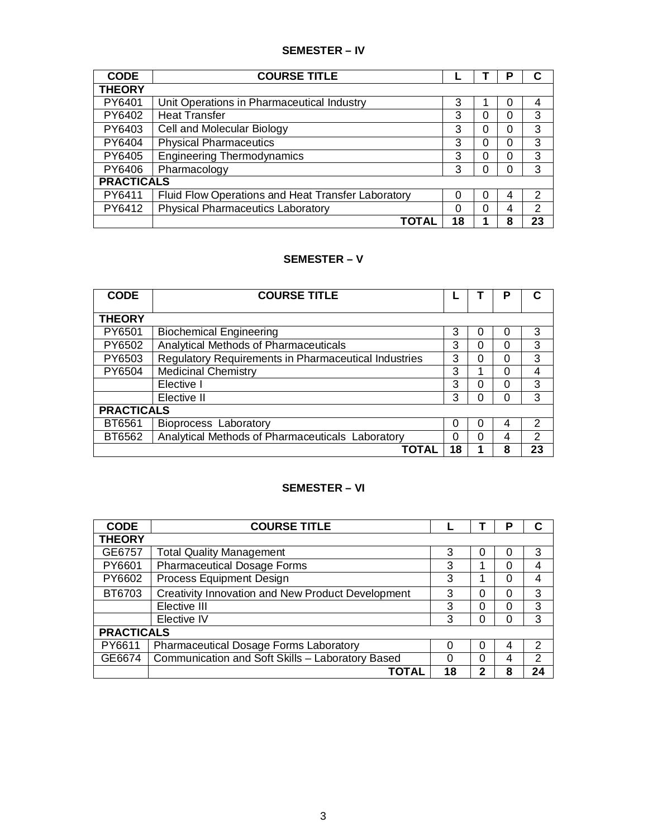#### **SEMESTER – IV**

| <b>CODE</b>       | <b>COURSE TITLE</b>                                |    |   | Р |    |
|-------------------|----------------------------------------------------|----|---|---|----|
| <b>THEORY</b>     |                                                    |    |   |   |    |
| PY6401            | Unit Operations in Pharmaceutical Industry         | 3  |   | 0 | 4  |
| PY6402            | <b>Heat Transfer</b>                               | 3  | 0 | 0 | 3  |
| PY6403            | Cell and Molecular Biology                         | 3  | 0 | 0 | 3  |
| PY6404            | <b>Physical Pharmaceutics</b>                      | 3  | 0 | 0 | 3  |
| PY6405            | <b>Engineering Thermodynamics</b>                  | 3  | 0 | 0 | 3  |
| PY6406            | Pharmacology                                       | 3  | O | 0 | 3  |
| <b>PRACTICALS</b> |                                                    |    |   |   |    |
| PY6411            | Fluid Flow Operations and Heat Transfer Laboratory | 0  | 0 | 4 | 2  |
| PY6412            | <b>Physical Pharmaceutics Laboratory</b>           | ი  | 0 | 4 | 2  |
|                   | ΤΟΤΑΙ                                              | 18 |   | 8 | 23 |

# **SEMESTER – V**

| <b>CODE</b>       | <b>COURSE TITLE</b>                                         |    |   | P |               |
|-------------------|-------------------------------------------------------------|----|---|---|---------------|
| <b>THEORY</b>     |                                                             |    |   |   |               |
| PY6501            | <b>Biochemical Engineering</b>                              | 3  |   |   | 3             |
| PY6502            | Analytical Methods of Pharmaceuticals                       | 3  | 0 |   | 3             |
| PY6503            | <b>Regulatory Requirements in Pharmaceutical Industries</b> | 3  | Ω | 0 | 3             |
| PY6504            | <b>Medicinal Chemistry</b>                                  | 3  |   |   |               |
|                   | Elective I                                                  | 3  |   |   | 3             |
|                   | Elective II                                                 | 3  |   |   | 3             |
| <b>PRACTICALS</b> |                                                             |    |   |   |               |
| BT6561            | <b>Bioprocess Laboratory</b>                                | 0  | Ω | 4 | $\mathcal{P}$ |
| BT6562            | Analytical Methods of Pharmaceuticals Laboratory            | 0  | O | 4 | $\mathcal{P}$ |
|                   | ΤΟΤΑΙ                                                       | 18 |   | 8 | 23            |

#### **SEMESTER – VI**

| <b>CODE</b>       | <b>COURSE TITLE</b>                               |          |   | Р        |    |
|-------------------|---------------------------------------------------|----------|---|----------|----|
| <b>THEORY</b>     |                                                   |          |   |          |    |
| GE6757            | <b>Total Quality Management</b>                   | 3        | O | 0        | 3  |
| PY6601            | <b>Pharmaceutical Dosage Forms</b>                | 3        |   | 0        | 4  |
| PY6602            | <b>Process Equipment Design</b>                   | 3        |   | 0        | 4  |
| BT6703            | Creativity Innovation and New Product Development | 3        | 0 | 0        | 3  |
|                   | Elective III                                      | 3        | 0 | $\Omega$ | 3  |
|                   | Elective IV                                       | 3        | 0 | 0        | 3  |
| <b>PRACTICALS</b> |                                                   |          |   |          |    |
| PY6611            | <b>Pharmaceutical Dosage Forms Laboratory</b>     | $\Omega$ | 0 | 4        | 2  |
| GE6674            | Communication and Soft Skills - Laboratory Based  | $\Omega$ | 0 | 4        | 2  |
|                   | ΤΟΤΑΙ                                             | 18       | າ | 8        | 24 |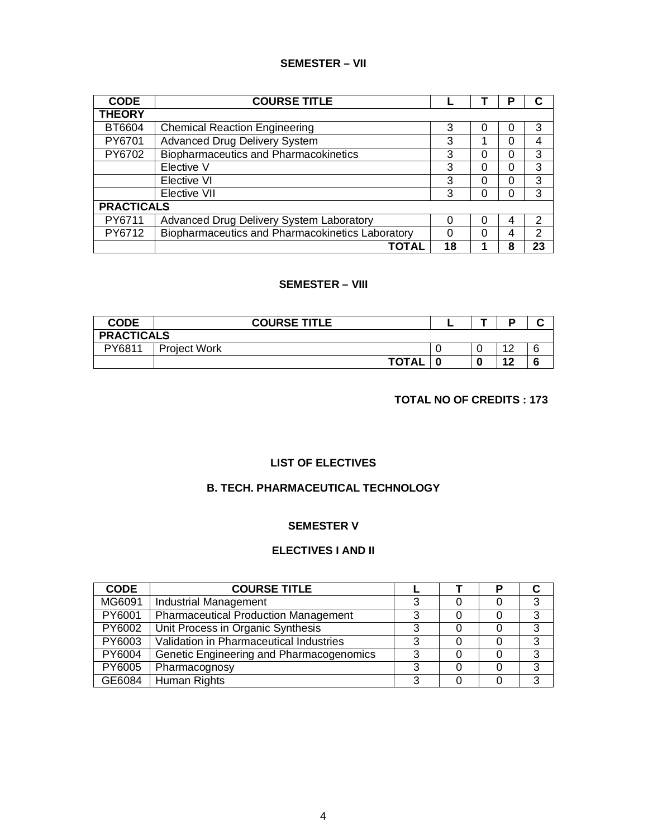#### **SEMESTER – VII**

| <b>CODE</b>       | <b>COURSE TITLE</b>                              |    |          | Р        |    |
|-------------------|--------------------------------------------------|----|----------|----------|----|
| <b>THEORY</b>     |                                                  |    |          |          |    |
| BT6604            | <b>Chemical Reaction Engineering</b>             | 3  | 0        |          | 3  |
| PY6701            | <b>Advanced Drug Delivery System</b>             | 3  |          | 0        | 4  |
| PY6702            | <b>Biopharmaceutics and Pharmacokinetics</b>     | 3  | 0        | 0        | 3  |
|                   | Elective V                                       | 3  | 0        | 0        | 3  |
|                   | Elective VI                                      | 3  | $\Omega$ | ი        | 3  |
|                   | Elective VII                                     | 3  | 0        | $\Omega$ | 3  |
| <b>PRACTICALS</b> |                                                  |    |          |          |    |
| PY6711            | Advanced Drug Delivery System Laboratory         | ი  | O        | 4        | 2  |
| PY6712            | Biopharmaceutics and Pharmacokinetics Laboratory | 0  | 0        | 4        | 2  |
|                   | TOTAL                                            | 18 |          | 8        | 23 |

### **SEMESTER – VIII**

| <b>CODE</b>       | <b>COURSE TITLE</b> |  | D | . . |
|-------------------|---------------------|--|---|-----|
| <b>PRACTICALS</b> |                     |  |   |     |
| PY6811            | <b>Project Work</b> |  |   |     |
|                   | <b>TOTAL</b>        |  |   |     |

#### **TOTAL NO OF CREDITS : 173**

#### **LIST OF ELECTIVES**

### **B. TECH. PHARMACEUTICAL TECHNOLOGY**

#### **SEMESTER V**

#### **ELECTIVES I AND II**

| <b>CODE</b> | <b>COURSE TITLE</b>                         |  |   |
|-------------|---------------------------------------------|--|---|
| MG6091      | <b>Industrial Management</b>                |  | 3 |
| PY6001      | <b>Pharmaceutical Production Management</b> |  | 3 |
| PY6002      | Unit Process in Organic Synthesis           |  | 3 |
| PY6003      | Validation in Pharmaceutical Industries     |  | 3 |
| PY6004      | Genetic Engineering and Pharmacogenomics    |  | 3 |
| PY6005      | Pharmacognosy                               |  | 3 |
| GE6084      | Human Rights                                |  | ঽ |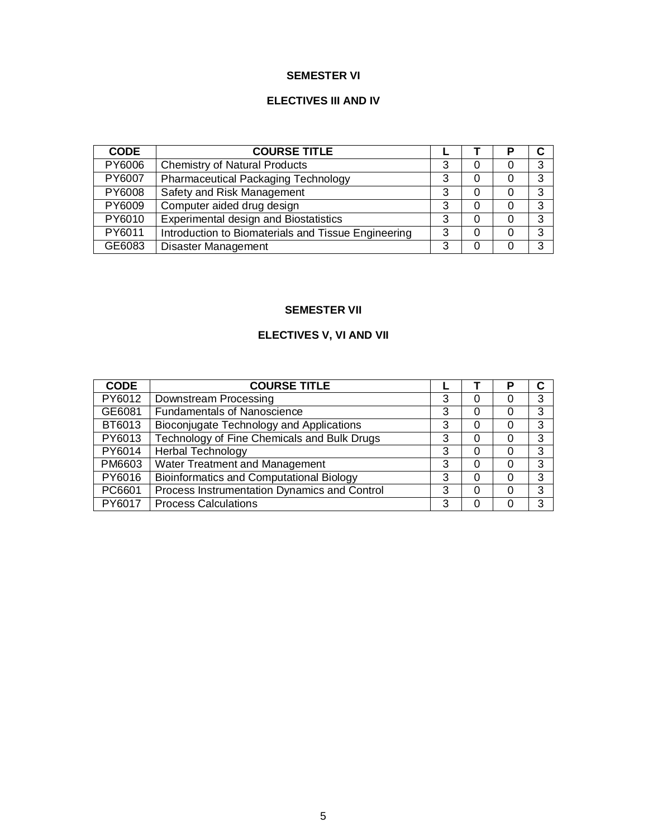#### **SEMESTER VI**

# **ELECTIVES III AND IV**

| <b>CODE</b> | <b>COURSE TITLE</b>                                 |   |   | Р        |   |
|-------------|-----------------------------------------------------|---|---|----------|---|
| PY6006      | <b>Chemistry of Natural Products</b>                | 3 | 0 | 0        | 3 |
| PY6007      | <b>Pharmaceutical Packaging Technology</b>          | 3 | 0 | 0        | 3 |
| PY6008      | Safety and Risk Management                          | 3 | 0 | 0        | 3 |
| PY6009      | Computer aided drug design                          | 3 | 0 | 0        | 3 |
| PY6010      | Experimental design and Biostatistics               | 3 | 0 | 0        | 3 |
| PY6011      | Introduction to Biomaterials and Tissue Engineering | 3 | 0 |          | 3 |
| GE6083      | <b>Disaster Management</b>                          | 3 | Ω | $\left($ | 3 |

# **SEMESTER VII**

# **ELECTIVES V, VI AND VII**

| <b>CODE</b> | <b>COURSE TITLE</b>                             |   |   | Р |   |
|-------------|-------------------------------------------------|---|---|---|---|
| PY6012      | Downstream Processing                           | 3 | 0 | 0 | 3 |
| GE6081      | <b>Fundamentals of Nanoscience</b>              | 3 | 0 | 0 | 3 |
| BT6013      | Bioconjugate Technology and Applications        | 3 | 0 | 0 | 3 |
| PY6013      | Technology of Fine Chemicals and Bulk Drugs     | 3 | 0 | 0 | 3 |
| PY6014      | <b>Herbal Technology</b>                        | 3 | 0 | 0 | 3 |
| PM6603      | <b>Water Treatment and Management</b>           | 3 | 0 | 0 | 3 |
| PY6016      | <b>Bioinformatics and Computational Biology</b> | 3 | 0 | 0 | 3 |
| PC6601      | Process Instrumentation Dynamics and Control    | 3 | 0 | 0 | 3 |
| PY6017      | <b>Process Calculations</b>                     | 3 | 0 | 0 | 3 |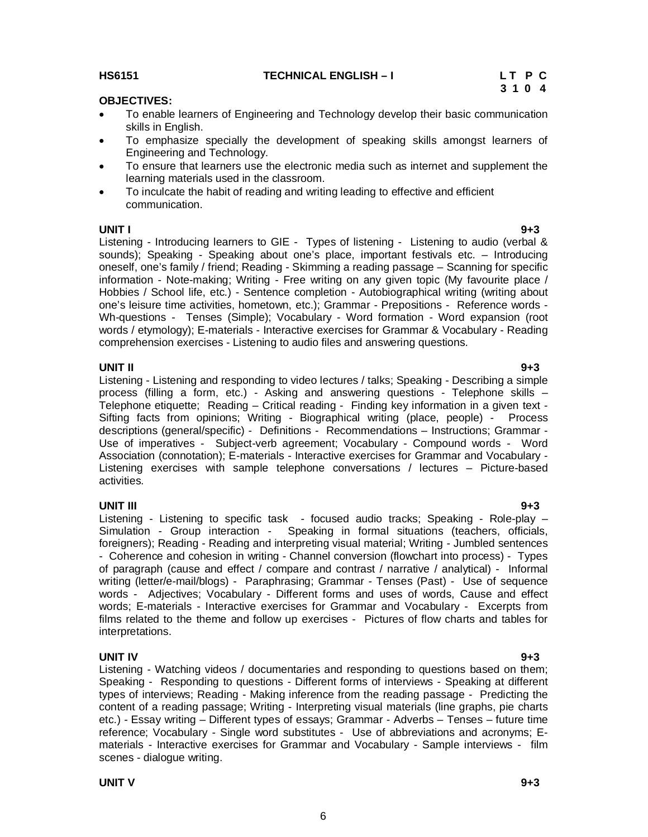#### **UNIT V 9+3**

**UNIT IV 9+3** Listening - Watching videos / documentaries and responding to questions based on them; Speaking - Responding to questions - Different forms of interviews - Speaking at different types of interviews; Reading - Making inference from the reading passage - Predicting the content of a reading passage; Writing - Interpreting visual materials (line graphs, pie charts etc.) - Essay writing – Different types of essays; Grammar - Adverbs – Tenses – future time reference; Vocabulary - Single word substitutes - Use of abbreviations and acronyms; Ematerials - Interactive exercises for Grammar and Vocabulary - Sample interviews - film scenes - dialogue writing.

6

#### **HS6151** TECHNICAL ENGLISH – I LT P C<br>3 1 0 4 **3 1 0 4 3 1 0 4**

# **OBJECTIVES:**

- To enable learners of Engineering and Technology develop their basic communication skills in English.
- To emphasize specially the development of speaking skills amongst learners of Engineering and Technology.
- To ensure that learners use the electronic media such as internet and supplement the learning materials used in the classroom.
- To inculcate the habit of reading and writing leading to effective and efficient communication.

**UNIT I 9+3** Listening - Introducing learners to GIE - Types of listening - Listening to audio (verbal & sounds); Speaking - Speaking about one's place, important festivals etc. – Introducing oneself, one's family / friend; Reading - Skimming a reading passage – Scanning for specific information - Note-making; Writing - Free writing on any given topic (My favourite place / Hobbies / School life, etc.) - Sentence completion - Autobiographical writing (writing about one's leisure time activities, hometown, etc.); Grammar - Prepositions - Reference words - Wh-questions - Tenses (Simple); Vocabulary - Word formation - Word expansion (root words / etymology); E-materials - Interactive exercises for Grammar & Vocabulary - Reading comprehension exercises - Listening to audio files and answering questions.

**UNIT II 9+3** Listening - Listening and responding to video lectures / talks; Speaking - Describing a simple process (filling a form, etc.) - Asking and answering questions - Telephone skills – Telephone etiquette; Reading – Critical reading - Finding key information in a given text - Sifting facts from opinions; Writing - Biographical writing (place, people) - Process descriptions (general/specific) - Definitions - Recommendations – Instructions; Grammar - Use of imperatives - Subject-verb agreement; Vocabulary - Compound words - Word Association (connotation); E-materials - Interactive exercises for Grammar and Vocabulary - Listening exercises with sample telephone conversations / lectures – Picture-based activities.

**UNIT III 9+3** Listening - Listening to specific task - focused audio tracks; Speaking - Role-play – Simulation - Group interaction - Speaking in formal situations (teachers, officials, foreigners); Reading - Reading and interpreting visual material; Writing - Jumbled sentences - Coherence and cohesion in writing - Channel conversion (flowchart into process) - Types of paragraph (cause and effect / compare and contrast / narrative / analytical) - Informal writing (letter/e-mail/blogs) - Paraphrasing; Grammar - Tenses (Past) - Use of sequence words - Adjectives; Vocabulary - Different forms and uses of words, Cause and effect words; E-materials - Interactive exercises for Grammar and Vocabulary - Excerpts from films related to the theme and follow up exercises - Pictures of flow charts and tables for interpretations.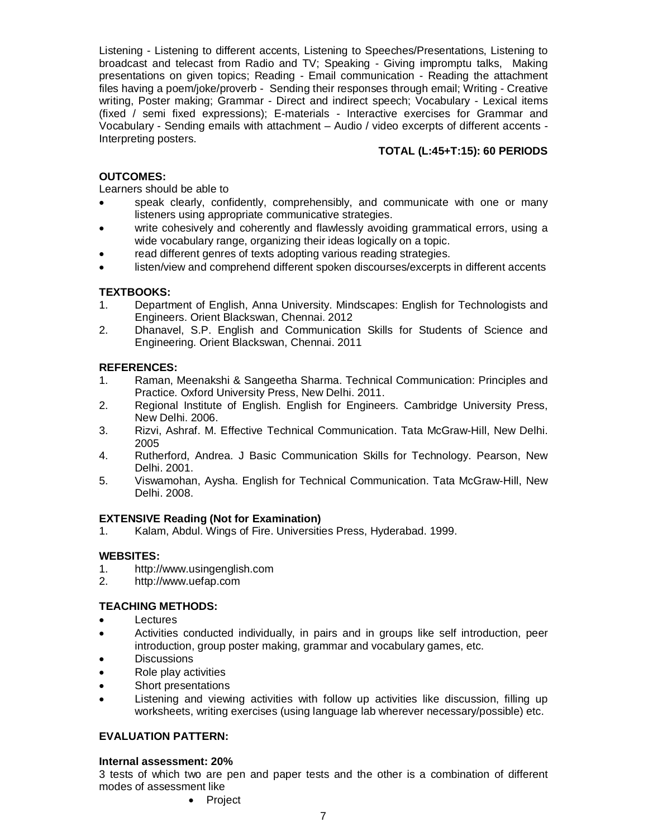Listening - Listening to different accents, Listening to Speeches/Presentations, Listening to broadcast and telecast from Radio and TV; Speaking - Giving impromptu talks, Making presentations on given topics; Reading - Email communication - Reading the attachment files having a poem/joke/proverb - Sending their responses through email; Writing - Creative writing, Poster making; Grammar - Direct and indirect speech; Vocabulary - Lexical items (fixed / semi fixed expressions); E-materials - Interactive exercises for Grammar and Vocabulary - Sending emails with attachment – Audio / video excerpts of different accents - Interpreting posters.

### **TOTAL (L:45+T:15): 60 PERIODS**

### **OUTCOMES:**

Learners should be able to

- speak clearly, confidently, comprehensibly, and communicate with one or many listeners using appropriate communicative strategies.
- write cohesively and coherently and flawlessly avoiding grammatical errors, using a wide vocabulary range, organizing their ideas logically on a topic.
- read different genres of texts adopting various reading strategies.
- listen/view and comprehend different spoken discourses/excerpts in different accents

### **TEXTBOOKS:**

- 1. Department of English, Anna University. Mindscapes: English for Technologists and Engineers. Orient Blackswan, Chennai. 2012
- 2. Dhanavel, S.P. English and Communication Skills for Students of Science and Engineering. Orient Blackswan, Chennai. 2011

#### **REFERENCES:**

- 1. Raman, Meenakshi & Sangeetha Sharma. Technical Communication: Principles and Practice. Oxford University Press, New Delhi. 2011.
- 2. Regional Institute of English. English for Engineers. Cambridge University Press, New Delhi. 2006.
- 3. Rizvi, Ashraf. M. Effective Technical Communication. Tata McGraw-Hill, New Delhi. 2005
- 4. Rutherford, Andrea. J Basic Communication Skills for Technology. Pearson, New Delhi. 2001.
- 5. Viswamohan, Aysha. English for Technical Communication. Tata McGraw-Hill, New Delhi. 2008.

#### **EXTENSIVE Reading (Not for Examination)**

1. Kalam, Abdul. Wings of Fire. Universities Press, Hyderabad. 1999.

#### **WEBSITES:**

- 1. http://www.usingenglish.com
- 2. http://www.uefap.com

### **TEACHING METHODS:**

- Lectures
- Activities conducted individually, in pairs and in groups like self introduction, peer introduction, group poster making, grammar and vocabulary games, etc.
- **Discussions**
- Role play activities
- Short presentations
- Listening and viewing activities with follow up activities like discussion, filling up worksheets, writing exercises (using language lab wherever necessary/possible) etc.

#### **EVALUATION PATTERN:**

#### **Internal assessment: 20%**

3 tests of which two are pen and paper tests and the other is a combination of different modes of assessment like

• Project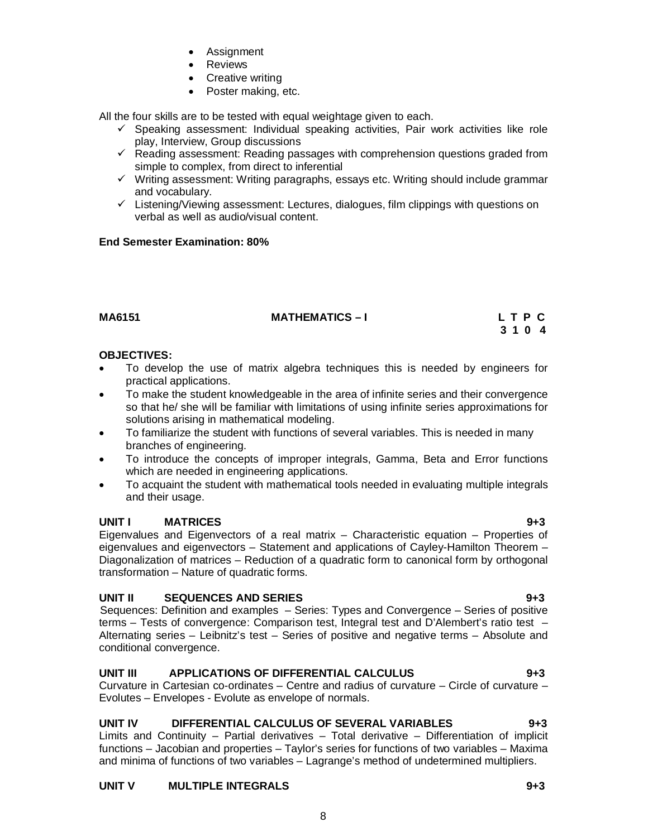# **UNIT V MULTIPLE INTEGRALS 9+3**

- Assignment • Reviews
- 
- Creative writing • Poster making, etc.

All the four skills are to be tested with equal weightage given to each.

- $\checkmark$  Speaking assessment: Individual speaking activities, Pair work activities like role play, Interview, Group discussions
- $\checkmark$  Reading assessment: Reading passages with comprehension questions graded from simple to complex, from direct to inferential
- $\checkmark$  Writing assessment: Writing paragraphs, essays etc. Writing should include grammar and vocabulary.
- $\checkmark$  Listening/Viewing assessment: Lectures, dialogues, film clippings with questions on verbal as well as audio/visual content.

# **End Semester Examination: 80%**

**MA6151 MATHEMATICS – I L T P C** 

## **OBJECTIVES:**

 To develop the use of matrix algebra techniques this is needed by engineers for practical applications.

**3 1 0 4 3 1 0 4** 

- To make the student knowledgeable in the area of infinite series and their convergence so that he/ she will be familiar with limitations of using infinite series approximations for solutions arising in mathematical modeling.
- To familiarize the student with functions of several variables. This is needed in many branches of engineering.
- To introduce the concepts of improper integrals, Gamma, Beta and Error functions which are needed in engineering applications.
- To acquaint the student with mathematical tools needed in evaluating multiple integrals and their usage.

# **UNIT I MATRICES 9+3**

Eigenvalues and Eigenvectors of a real matrix – Characteristic equation – Properties of eigenvalues and eigenvectors – Statement and applications of Cayley-Hamilton Theorem – Diagonalization of matrices – Reduction of a quadratic form to canonical form by orthogonal transformation – Nature of quadratic forms.

# **UNIT II SEQUENCES AND SERIES 9+3**

Sequences: Definition and examples – Series: Types and Convergence – Series of positive terms – Tests of convergence: Comparison test, Integral test and D'Alembert's ratio test – Alternating series – Leibnitz's test – Series of positive and negative terms – Absolute and conditional convergence.

# **UNIT III APPLICATIONS OF DIFFERENTIAL CALCULUS 9+3**

Curvature in Cartesian co-ordinates – Centre and radius of curvature – Circle of curvature – Evolutes – Envelopes - Evolute as envelope of normals.

# **UNIT IV DIFFERENTIAL CALCULUS OF SEVERAL VARIABLES 9+3**

Limits and Continuity – Partial derivatives – Total derivative – Differentiation of implicit functions – Jacobian and properties – Taylor's series for functions of two variables – Maxima and minima of functions of two variables – Lagrange's method of undetermined multipliers.

8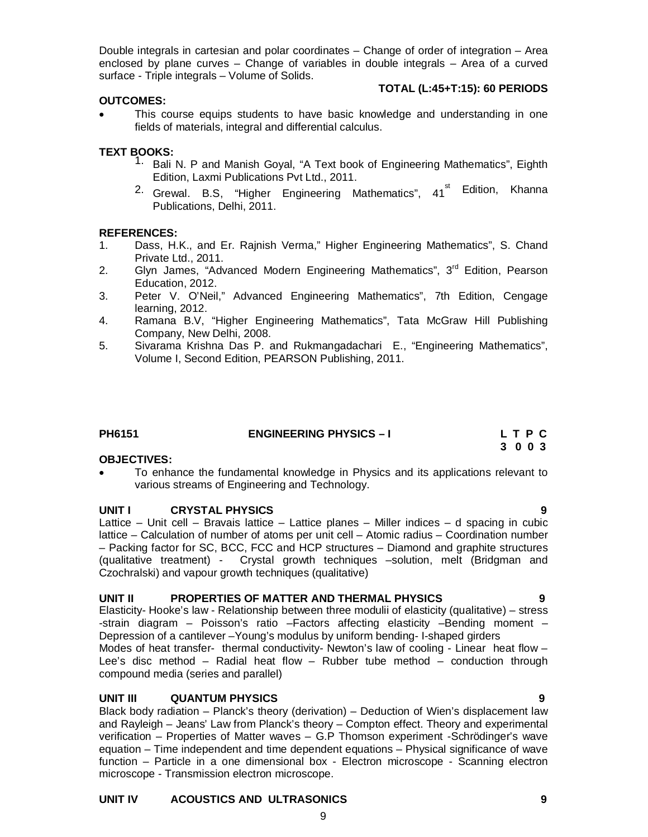Double integrals in cartesian and polar coordinates – Change of order of integration – Area enclosed by plane curves – Change of variables in double integrals – Area of a curved surface - Triple integrals – Volume of Solids.

#### **OUTCOMES:**

#### **TOTAL (L:45+T:15): 60 PERIODS**

 This course equips students to have basic knowledge and understanding in one fields of materials, integral and differential calculus.

### **TEXT BOOKS:**

- 1. Bali N. P and Manish Goyal, "A Text book of Engineering Mathematics", Eighth Edition, Laxmi Publications Pvt Ltd., 2011.
- <sup>2.</sup> Grewal. B.S, "Higher Engineering Mathematics", 41<sup>st</sup> Edition, Khanna Publications, Delhi, 2011.

#### **REFERENCES:**

- 1. Dass, H.K., and Er. Rajnish Verma," Higher Engineering Mathematics", S. Chand Private Ltd., 2011.
- 2. Glyn James, "Advanced Modern Engineering Mathematics", 3<sup>rd</sup> Edition, Pearson Education, 2012.
- 3. Peter V. O'Neil," Advanced Engineering Mathematics", 7th Edition, Cengage learning, 2012.
- 4. Ramana B.V, "Higher Engineering Mathematics", Tata McGraw Hill Publishing Company, New Delhi, 2008.
- 5. Sivarama Krishna Das P. and Rukmangadachari E., "Engineering Mathematics", Volume I, Second Edition, PEARSON Publishing, 2011.

| PH6151 | <b>ENGINEERING PHYSICS - I</b> | LTPC |
|--------|--------------------------------|------|
|        |                                | 3003 |

#### **OBJECTIVES:**

 To enhance the fundamental knowledge in Physics and its applications relevant to various streams of Engineering and Technology.

#### **UNIT I CRYSTAL PHYSICS 9**

Lattice – Unit cell – Bravais lattice – Lattice planes – Miller indices – d spacing in cubic lattice – Calculation of number of atoms per unit cell – Atomic radius – Coordination number – Packing factor for SC, BCC, FCC and HCP structures – Diamond and graphite structures (qualitative treatment) - Crystal growth techniques –solution, melt (Bridgman and Czochralski) and vapour growth techniques (qualitative)

#### **UNIT II PROPERTIES OF MATTER AND THERMAL PHYSICS 9**

Elasticity- Hooke's law - Relationship between three modulii of elasticity (qualitative) – stress -strain diagram – Poisson's ratio –Factors affecting elasticity –Bending moment – Depression of a cantilever –Young's modulus by uniform bending- I-shaped girders Modes of heat transfer- thermal conductivity- Newton's law of cooling - Linear heat flow – Lee's disc method – Radial heat flow – Rubber tube method – conduction through compound media (series and parallel)

#### **UNIT III QUANTUM PHYSICS 9**

Black body radiation – Planck's theory (derivation) – Deduction of Wien's displacement law and Rayleigh – Jeans' Law from Planck's theory – Compton effect. Theory and experimental verification – Properties of Matter waves – G.P Thomson experiment -Schrödinger's wave equation – Time independent and time dependent equations – Physical significance of wave function – Particle in a one dimensional box - Electron microscope - Scanning electron microscope - Transmission electron microscope.

#### **UNIT IV ACOUSTICS AND ULTRASONICS 9**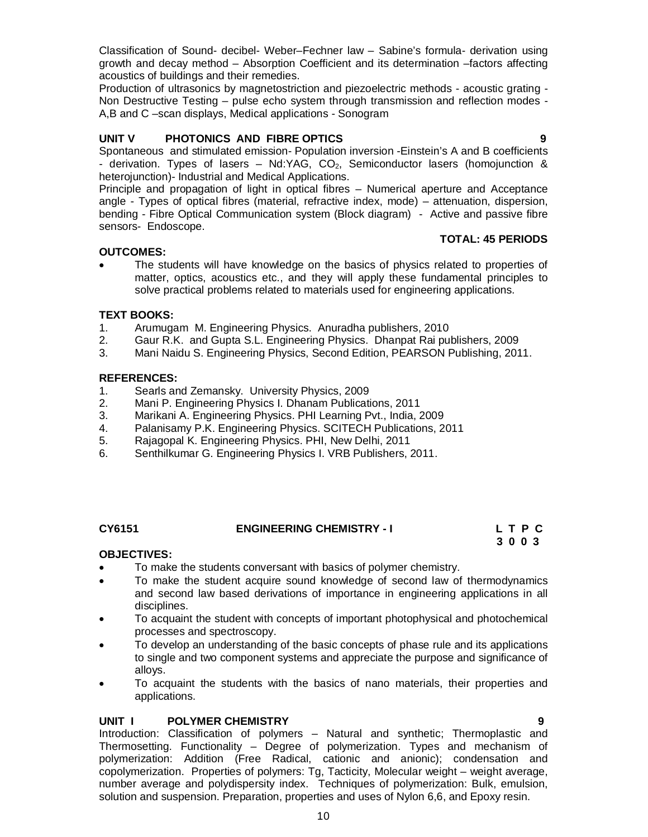Classification of Sound- decibel- Weber–Fechner law – Sabine's formula- derivation using growth and decay method – Absorption Coefficient and its determination –factors affecting acoustics of buildings and their remedies.

Production of ultrasonics by magnetostriction and piezoelectric methods - acoustic grating - Non Destructive Testing – pulse echo system through transmission and reflection modes - A,B and C –scan displays, Medical applications - Sonogram

### **UNIT V PHOTONICS AND FIBRE OPTICS 9**

Spontaneous and stimulated emission- Population inversion -Einstein's A and B coefficients - derivation. Types of lasers  $-$  Nd:YAG, CO<sub>2</sub>, Semiconductor lasers (homojunction  $\&$ heterojunction)- Industrial and Medical Applications.

Principle and propagation of light in optical fibres – Numerical aperture and Acceptance angle - Types of optical fibres (material, refractive index, mode) – attenuation, dispersion, bending - Fibre Optical Communication system (Block diagram) - Active and passive fibre sensors- Endoscope.

### **OUTCOMES:**

 The students will have knowledge on the basics of physics related to properties of matter, optics, acoustics etc., and they will apply these fundamental principles to solve practical problems related to materials used for engineering applications.

### **TEXT BOOKS:**

- 1. Arumugam M. Engineering Physics. Anuradha publishers, 2010
- 2. Gaur R.K. and Gupta S.L. Engineering Physics. Dhanpat Rai publishers, 2009
- 3. Mani Naidu S. Engineering Physics, Second Edition, PEARSON Publishing, 2011.

#### **REFERENCES:**

- 1. Searls and Zemansky. University Physics, 2009
- 2. Mani P. Engineering Physics I. Dhanam Publications, 2011
- 3. Marikani A. Engineering Physics. PHI Learning Pvt., India, 2009
- 4. Palanisamy P.K. Engineering Physics. SCITECH Publications, 2011
- 5. Rajagopal K. Engineering Physics. PHI, New Delhi, 2011
- 6. Senthilkumar G. Engineering Physics I. VRB Publishers, 2011.

### **CY6151 ENGINEERING CHEMISTRY - I L T P C 3 0 0 3 3 0 0 3**

#### **OBJECTIVES:**

- To make the students conversant with basics of polymer chemistry.
- To make the student acquire sound knowledge of second law of thermodynamics and second law based derivations of importance in engineering applications in all disciplines.
- To acquaint the student with concepts of important photophysical and photochemical processes and spectroscopy.
- To develop an understanding of the basic concepts of phase rule and its applications to single and two component systems and appreciate the purpose and significance of alloys.
- To acquaint the students with the basics of nano materials, their properties and applications.

#### **UNIT I POLYMER CHEMISTRY 9**

Introduction: Classification of polymers – Natural and synthetic; Thermoplastic and Thermosetting. Functionality – Degree of polymerization. Types and mechanism of polymerization: Addition (Free Radical, cationic and anionic); condensation and copolymerization. Properties of polymers: Tg, Tacticity, Molecular weight – weight average, number average and polydispersity index. Techniques of polymerization: Bulk, emulsion, solution and suspension. Preparation, properties and uses of Nylon 6,6, and Epoxy resin.

**TOTAL: 45 PERIODS**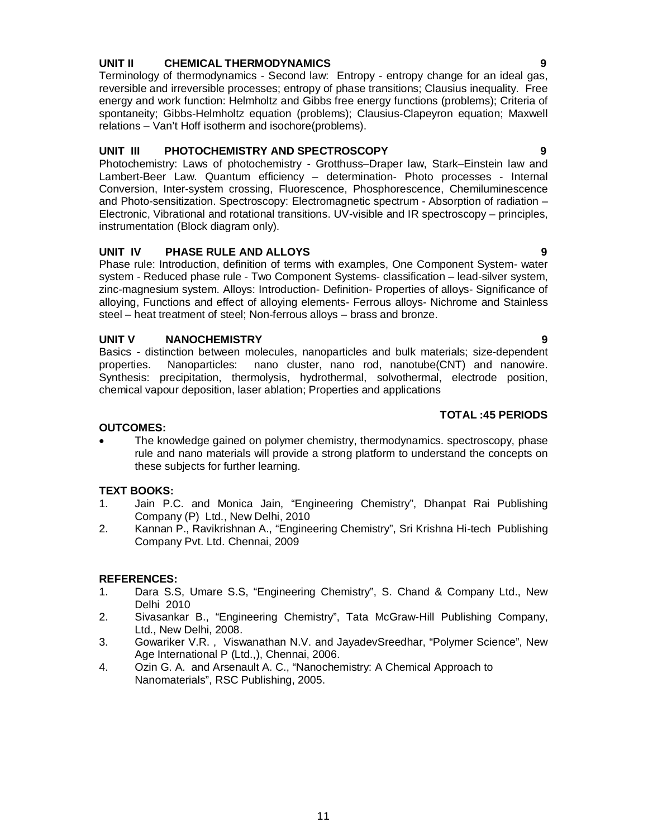### **UNIT II CHEMICAL THERMODYNAMICS 9**

Terminology of thermodynamics - Second law: Entropy - entropy change for an ideal gas, reversible and irreversible processes; entropy of phase transitions; Clausius inequality. Free energy and work function: Helmholtz and Gibbs free energy functions (problems); Criteria of spontaneity; Gibbs-Helmholtz equation (problems); Clausius-Clapeyron equation; Maxwell relations – Van't Hoff isotherm and isochore(problems).

#### **UNIT III PHOTOCHEMISTRY AND SPECTROSCOPY 9**

Photochemistry: Laws of photochemistry - Grotthuss–Draper law, Stark–Einstein law and Lambert-Beer Law. Quantum efficiency – determination- Photo processes - Internal Conversion, Inter-system crossing, Fluorescence, Phosphorescence, Chemiluminescence and Photo-sensitization. Spectroscopy: Electromagnetic spectrum - Absorption of radiation – Electronic, Vibrational and rotational transitions. UV-visible and IR spectroscopy – principles, instrumentation (Block diagram only).

### **UNIT IV PHASE RULE AND ALLOYS 9**

Phase rule: Introduction, definition of terms with examples, One Component System- water system - Reduced phase rule - Two Component Systems- classification – lead-silver system, zinc-magnesium system. Alloys: Introduction- Definition- Properties of alloys- Significance of alloying, Functions and effect of alloying elements- Ferrous alloys- Nichrome and Stainless steel – heat treatment of steel; Non-ferrous alloys – brass and bronze.

### **UNIT V NANOCHEMISTRY 9**

Basics - distinction between molecules, nanoparticles and bulk materials; size-dependent properties. Nanoparticles: nano cluster, nano rod, nanotube(CNT) and nanowire. Synthesis: precipitation, thermolysis, hydrothermal, solvothermal, electrode position, chemical vapour deposition, laser ablation; Properties and applications

### **TOTAL :45 PERIODS**

### **OUTCOMES:**

 The knowledge gained on polymer chemistry, thermodynamics. spectroscopy, phase rule and nano materials will provide a strong platform to understand the concepts on these subjects for further learning.

#### **TEXT BOOKS:**

- 1. Jain P.C. and Monica Jain, "Engineering Chemistry", Dhanpat Rai Publishing Company (P) Ltd., New Delhi, 2010
- 2. Kannan P., Ravikrishnan A., "Engineering Chemistry", Sri Krishna Hi-tech Publishing Company Pvt. Ltd. Chennai, 2009

#### **REFERENCES:**

- 1. Dara S.S, Umare S.S, "Engineering Chemistry", S. Chand & Company Ltd., New Delhi 2010
- 2. Sivasankar B., "Engineering Chemistry", Tata McGraw-Hill Publishing Company, Ltd., New Delhi, 2008.
- 3. Gowariker V.R. , Viswanathan N.V. and JayadevSreedhar, "Polymer Science", New Age International P (Ltd.,), Chennai, 2006.
- 4. Ozin G. A. and Arsenault A. C., "Nanochemistry: A Chemical Approach to Nanomaterials", RSC Publishing, 2005.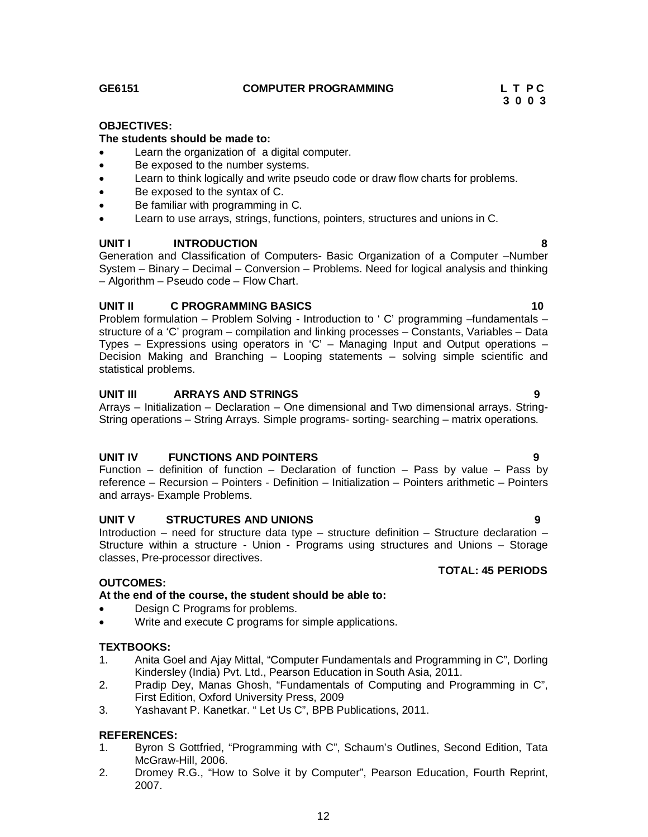#### **GE6151 COMPUTER PROGRAMMING L T P C**

# **3 0 0 3**

#### **OBJECTIVES:**

#### **The students should be made to:**

- Learn the organization of a digital computer.
- Be exposed to the number systems.
- Learn to think logically and write pseudo code or draw flow charts for problems.
- Be exposed to the syntax of C.
- Be familiar with programming in C.
- Learn to use arrays, strings, functions, pointers, structures and unions in C.

#### **UNIT I INTRODUCTION 8**

Generation and Classification of Computers- Basic Organization of a Computer –Number System – Binary – Decimal – Conversion – Problems. Need for logical analysis and thinking – Algorithm – Pseudo code – Flow Chart.

#### **UNIT II C PROGRAMMING BASICS** 10

Problem formulation – Problem Solving - Introduction to ' C' programming –fundamentals – structure of a 'C' program – compilation and linking processes – Constants, Variables – Data Types – Expressions using operators in 'C' – Managing Input and Output operations – Decision Making and Branching – Looping statements – solving simple scientific and statistical problems.

#### **UNIT III ARRAYS AND STRINGS 9**

Arrays – Initialization – Declaration – One dimensional and Two dimensional arrays. String-String operations – String Arrays. Simple programs- sorting- searching – matrix operations.

#### **UNIT IV FUNCTIONS AND POINTERS 9**

Function – definition of function – Declaration of function – Pass by value – Pass by reference – Recursion – Pointers - Definition – Initialization – Pointers arithmetic – Pointers and arrays- Example Problems.

#### **UNIT V STRUCTURES AND UNIONS 9**

Introduction – need for structure data type – structure definition – Structure declaration – Structure within a structure - Union - Programs using structures and Unions – Storage classes, Pre-processor directives.

#### **OUTCOMES:**

#### **At the end of the course, the student should be able to:**

- Design C Programs for problems.
- Write and execute C programs for simple applications.

#### **TEXTBOOKS:**

- 1. Anita Goel and Ajay Mittal, "Computer Fundamentals and Programming in C", Dorling Kindersley (India) Pvt. Ltd., Pearson Education in South Asia, 2011.
- 2. Pradip Dey, Manas Ghosh, "Fundamentals of Computing and Programming in C", First Edition, Oxford University Press, 2009
- 3. Yashavant P. Kanetkar. " Let Us C", BPB Publications, 2011.

#### **REFERENCES:**

- 1. Byron S Gottfried, "Programming with C", Schaum's Outlines, Second Edition, Tata McGraw-Hill, 2006.
- 2. Dromey R.G., "How to Solve it by Computer", Pearson Education, Fourth Reprint, 2007.

**TOTAL: 45 PERIODS**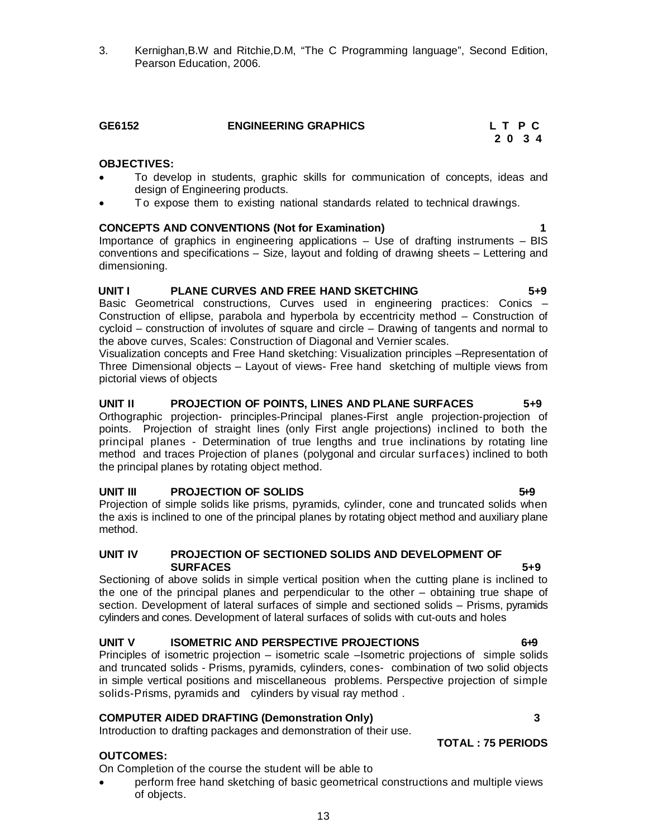3. Kernighan,B.W and Ritchie,D.M, "The C Programming language", Second Edition, Pearson Education, 2006.

# **GE6152 ENGINEERING GRAPHICS L T P C**

#### **OBJECTIVES:**

- To develop in students, graphic skills for communication of concepts, ideas and design of Engineering products.
- To expose them to existing national standards related to technical drawings.

#### **CONCEPTS AND CONVENTIONS (Not for Examination) 1**

Importance of graphics in engineering applications – Use of drafting instruments – BIS conventions and specifications – Size, layout and folding of drawing sheets – Lettering and dimensioning.

#### **UNIT I PLANE CURVES AND FREE HAND SKETCHING 5+9**

Basic Geometrical constructions, Curves used in engineering practices: Conics – Construction of ellipse, parabola and hyperbola by eccentricity method – Construction of cycloid – construction of involutes of square and circle – Drawing of tangents and normal to the above curves, Scales: Construction of Diagonal and Vernier scales.

Visualization concepts and Free Hand sketching: Visualization principles –Representation of Three Dimensional objects – Layout of views- Free hand sketching of multiple views from pictorial views of objects

#### **UNIT II PROJECTION OF POINTS, LINES AND PLANE SURFACES 5+9**

Orthographic projection- principles-Principal planes-First angle projection-projection of points. Projection of straight lines (only First angle projections) inclined to both the principal planes - Determination of true lengths and true inclinations by rotating line method and traces Projection of planes (polygonal and circular surfaces) inclined to both the principal planes by rotating object method.

#### UNIT III **PROJECTION OF SOLIDS** 5.9

Projection of simple solids like prisms, pyramids, cylinder, cone and truncated solids when the axis is inclined to one of the principal planes by rotating object method and auxiliary plane method.

#### **UNIT IV PROJECTION OF SECTIONED SOLIDS AND DEVELOPMENT OF SURFACES** 5+9

Sectioning of above solids in simple vertical position when the cutting plane is inclined to the one of the principal planes and perpendicular to the other – obtaining true shape of section. Development of lateral surfaces of simple and sectioned solids – Prisms, pyramids cylinders and cones. Development of lateral surfaces of solids with cut-outs and holes

#### **UNIT V ISOMETRIC AND PERSPECTIVE PROJECTIONS** 6+9

Principles of isometric projection – isometric scale –Isometric projections of simple solids and truncated solids - Prisms, pyramids, cylinders, cones- combination of two solid objects in simple vertical positions and miscellaneous problems. Perspective projection of simple solids-Prisms, pyramids and cylinders by visual ray method .

#### **COMPUTER AIDED DRAFTING (Demonstration Only) 3**

Introduction to drafting packages and demonstration of their use.

#### **OUTCOMES:**

On Completion of the course the student will be able to

 perform free hand sketching of basic geometrical constructions and multiple views of objects.

 **2 0 3 4**

**TOTAL : 75 PERIODS**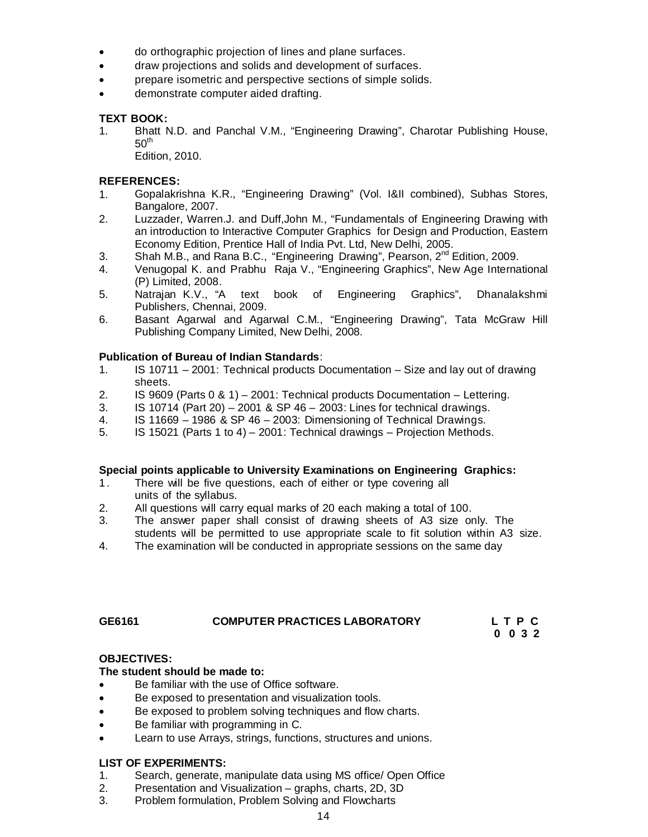- do orthographic projection of lines and plane surfaces.
- draw projections and solids and development of surfaces.
- prepare isometric and perspective sections of simple solids.
- demonstrate computer aided drafting.

### **TEXT BOOK:**

1. Bhatt N.D. and Panchal V.M., "Engineering Drawing", Charotar Publishing House,  $50<sup>th</sup>$ 

Edition, 2010.

### **REFERENCES:**

- 1. Gopalakrishna K.R., "Engineering Drawing" (Vol. I&II combined), Subhas Stores, Bangalore, 2007.
- 2. Luzzader, Warren.J. and Duff,John M., "Fundamentals of Engineering Drawing with an introduction to Interactive Computer Graphics for Design and Production, Eastern Economy Edition, Prentice Hall of India Pvt. Ltd, New Delhi, 2005.
- 3. Shah M.B., and Rana B.C., "Engineering Drawing", Pearson, 2<sup>nd</sup> Edition, 2009.
- 4. Venugopal K. and Prabhu Raja V., "Engineering Graphics", New Age International (P) Limited, 2008.
- 5. Natrajan K.V., "A text book of Engineering Graphics", Dhanalakshmi Publishers, Chennai, 2009.
- 6. Basant Agarwal and Agarwal C.M., "Engineering Drawing", Tata McGraw Hill Publishing Company Limited, New Delhi, 2008.

### **Publication of Bureau of Indian Standards**:

- 1. IS 10711 2001: Technical products Documentation Size and lay out of drawing sheets.<br>2. IS 9609
- 2. IS 9609 (Parts 0 & 1) 2001: Technical products Documentation Lettering.<br>3. IS 10714 (Part 20) 2001 & SP 46 2003: Lines for technical drawings.
- $1S$  10714 (Part 20) 2001 & SP 46 2003: Lines for technical drawings.
- 4. IS 11669 1986 & SP 46 2003: Dimensioning of Technical Drawings.
- 5. IS 15021 (Parts 1 to 4) 2001: Technical drawings Projection Methods.

#### **Special points applicable to University Examinations on Engineering Graphics:**

- 1. There will be five questions, each of either or type covering all units of the syllabus.
- 2. All questions will carry equal marks of 20 each making a total of 100.
- 3. The answer paper shall consist of drawing sheets of A3 size only. The students will be permitted to use appropriate scale to fit solution within A3 size.
- 4. The examination will be conducted in appropriate sessions on the same day

#### **GE6161 COMPUTER PRACTICES LABORATORY L T P C 0 0 3 2**

#### **OBJECTIVES:**

#### **The student should be made to:**

- Be familiar with the use of Office software.
- Be exposed to presentation and visualization tools.
- Be exposed to problem solving techniques and flow charts.
- Be familiar with programming in C.
- Learn to use Arrays, strings, functions, structures and unions.

#### **LIST OF EXPERIMENTS:**

- 1. Search, generate, manipulate data using MS office/ Open Office
- 2. Presentation and Visualization graphs, charts, 2D, 3D
- 3. Problem formulation, Problem Solving and Flowcharts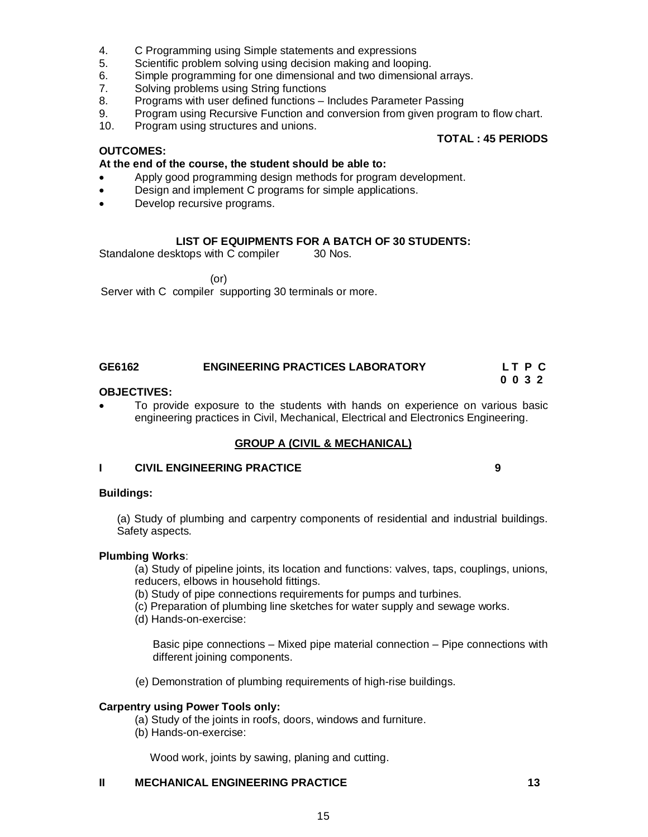- 4. C Programming using Simple statements and expressions
- 5. Scientific problem solving using decision making and looping.
- 6. Simple programming for one dimensional and two dimensional arrays.<br>7. Solving problems using String functions
- Solving problems using String functions
- 8. Programs with user defined functions Includes Parameter Passing
- 9. Program using Recursive Function and conversion from given program to flow chart.
- 10. Program using structures and unions.

#### **OUTCOMES:**

#### **At the end of the course, the student should be able to:**

- Apply good programming design methods for program development.
- **•** Design and implement C programs for simple applications.
- Develop recursive programs.

#### **LIST OF EQUIPMENTS FOR A BATCH OF 30 STUDENTS:**

Standalone desktops with C compiler 30 Nos.

(or)

Server with C compiler supporting 30 terminals or more.

#### **GE6162 ENGINEERING PRACTICES LABORATORY L T P C 0 0 3 2**

#### **OBJECTIVES:**

 To provide exposure to the students with hands on experience on various basic engineering practices in Civil, Mechanical, Electrical and Electronics Engineering.

#### **GROUP A (CIVIL & MECHANICAL)**

#### **I CIVIL ENGINEERING PRACTICE 9**

#### **Buildings:**

(a) Study of plumbing and carpentry components of residential and industrial buildings. Safety aspects.

#### **Plumbing Works**:

(a) Study of pipeline joints, its location and functions: valves, taps, couplings, unions, reducers, elbows in household fittings.

- (b) Study of pipe connections requirements for pumps and turbines.
- (c) Preparation of plumbing line sketches for water supply and sewage works.
- (d) Hands-on-exercise:

Basic pipe connections – Mixed pipe material connection – Pipe connections with different joining components.

(e) Demonstration of plumbing requirements of high-rise buildings.

#### **Carpentry using Power Tools only:**

- (a) Study of the joints in roofs, doors, windows and furniture.
- (b) Hands-on-exercise:

Wood work, joints by sawing, planing and cutting.

#### **II MECHANICAL ENGINEERING PRACTICE 13**

### **TOTAL : 45 PERIODS**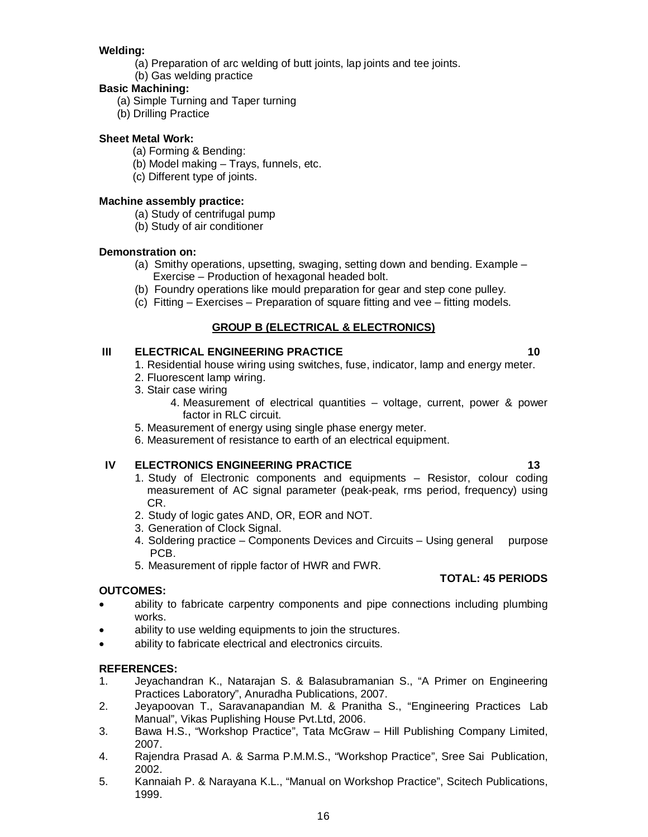# **Welding:**

- (a) Preparation of arc welding of butt joints, lap joints and tee joints.
- (b) Gas welding practice

# **Basic Machining:**

- (a) Simple Turning and Taper turning
- (b) Drilling Practice

# **Sheet Metal Work:**

- (a) Forming & Bending:
- (b) Model making Trays, funnels, etc.
- (c) Different type of joints.

## **Machine assembly practice:**

- (a) Study of centrifugal pump
- (b) Study of air conditioner

# **Demonstration on:**

- (a) Smithy operations, upsetting, swaging, setting down and bending. Example Exercise – Production of hexagonal headed bolt.
- (b) Foundry operations like mould preparation for gear and step cone pulley.
- (c) Fitting Exercises Preparation of square fitting and vee fitting models.

# **GROUP B (ELECTRICAL & ELECTRONICS)**

# **III ELECTRICAL ENGINEERING PRACTICE 10 10**

- 1. Residential house wiring using switches, fuse, indicator, lamp and energy meter.
- 2. Fluorescent lamp wiring.
- 3. Stair case wiring
	- 4. Measurement of electrical quantities voltage, current, power & power factor in RLC circuit.
- 5. Measurement of energy using single phase energy meter.
- 6. Measurement of resistance to earth of an electrical equipment.

# **IV ELECTRONICS ENGINEERING PRACTICE 13 13**

- 1. Study of Electronic components and equipments Resistor, colour coding measurement of AC signal parameter (peak-peak, rms period, frequency) using CR.
- 2. Study of logic gates AND, OR, EOR and NOT.
- 3. Generation of Clock Signal.
- 4. Soldering practice Components Devices and Circuits Using general purpose PCB.
- 5. Measurement of ripple factor of HWR and FWR.

# **OUTCOMES:**

- ability to fabricate carpentry components and pipe connections including plumbing works.
- ability to use welding equipments to join the structures.
- ability to fabricate electrical and electronics circuits.

# **REFERENCES:**

- 1. Jeyachandran K., Natarajan S. & Balasubramanian S., "A Primer on Engineering Practices Laboratory", Anuradha Publications, 2007.
- 2. Jeyapoovan T., Saravanapandian M. & Pranitha S., "Engineering Practices Lab Manual", Vikas Puplishing House Pvt.Ltd, 2006.
- 3. Bawa H.S., "Workshop Practice", Tata McGraw Hill Publishing Company Limited, 2007.
- 4. Rajendra Prasad A. & Sarma P.M.M.S., "Workshop Practice", Sree Sai Publication, 2002.
- 5. Kannaiah P. & Narayana K.L., "Manual on Workshop Practice", Scitech Publications, 1999.

**TOTAL: 45 PERIODS**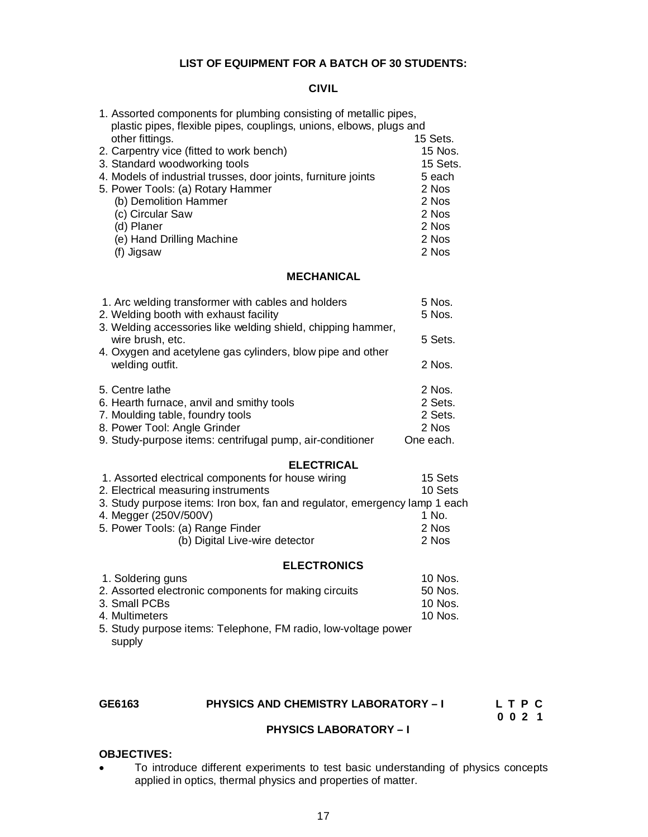#### **LIST OF EQUIPMENT FOR A BATCH OF 30 STUDENTS:**

### **CIVIL**

| 1. Assorted components for plumbing consisting of metallic pipes,<br>plastic pipes, flexible pipes, couplings, unions, elbows, plugs and |          |
|------------------------------------------------------------------------------------------------------------------------------------------|----------|
| other fittings.                                                                                                                          | 15 Sets. |
| 2. Carpentry vice (fitted to work bench)                                                                                                 | 15 Nos.  |
| 3. Standard woodworking tools                                                                                                            | 15 Sets. |
| 4. Models of industrial trusses, door joints, furniture joints                                                                           | 5 each   |
| 5. Power Tools: (a) Rotary Hammer                                                                                                        | 2 Nos    |
| (b) Demolition Hammer                                                                                                                    | 2 Nos    |
| (c) Circular Saw                                                                                                                         | 2 Nos    |
| (d) Planer                                                                                                                               | 2 Nos    |
| (e) Hand Drilling Machine                                                                                                                | 2 Nos    |
| (f) Jigsaw                                                                                                                               | 2 Nos    |

#### **MECHANICAL**

| 1. Arc welding transformer with cables and holders                               | 5 Nos.    |
|----------------------------------------------------------------------------------|-----------|
| 2. Welding booth with exhaust facility                                           | 5 Nos.    |
| 3. Welding accessories like welding shield, chipping hammer,<br>wire brush, etc. | 5 Sets.   |
| 4. Oxygen and acetylene gas cylinders, blow pipe and other<br>welding outfit.    | 2 Nos.    |
| 5. Centre lathe                                                                  | 2 Nos.    |
| 6. Hearth furnace, anvil and smithy tools                                        | 2 Sets.   |
| 7. Moulding table, foundry tools                                                 | 2 Sets.   |
| 8. Power Tool: Angle Grinder                                                     | 2 Nos     |
| 9. Study-purpose items: centrifugal pump, air-conditioner                        | One each. |

### **ELECTRICAL**

| 1. Assorted electrical components for house wiring                         | 15 Sets |
|----------------------------------------------------------------------------|---------|
| 2. Electrical measuring instruments                                        | 10 Sets |
| 3. Study purpose items: Iron box, fan and regulator, emergency lamp 1 each |         |
| 4. Megger (250V/500V)                                                      | 1 No.   |
| 5. Power Tools: (a) Range Finder                                           | 2 Nos   |
| (b) Digital Live-wire detector                                             | 2 Nos   |
|                                                                            |         |

### **ELECTRONICS**

| 1. Soldering guns                                              | 10 Nos. |
|----------------------------------------------------------------|---------|
| 2. Assorted electronic components for making circuits          | 50 Nos. |
| 3. Small PCBs                                                  | 10 Nos. |
| 4. Multimeters                                                 | 10 Nos. |
| 5. Study purpose items: Telephone, FM radio, low-voltage power |         |
| supply                                                         |         |

# GE6163 PHYSICS AND CHEMISTRY LABORATORY – I L T P C<br>0 0 2 1

 **0 0 2 1**

### **PHYSICS LABORATORY – I**

#### **OBJECTIVES:**

 To introduce different experiments to test basic understanding of physics concepts applied in optics, thermal physics and properties of matter.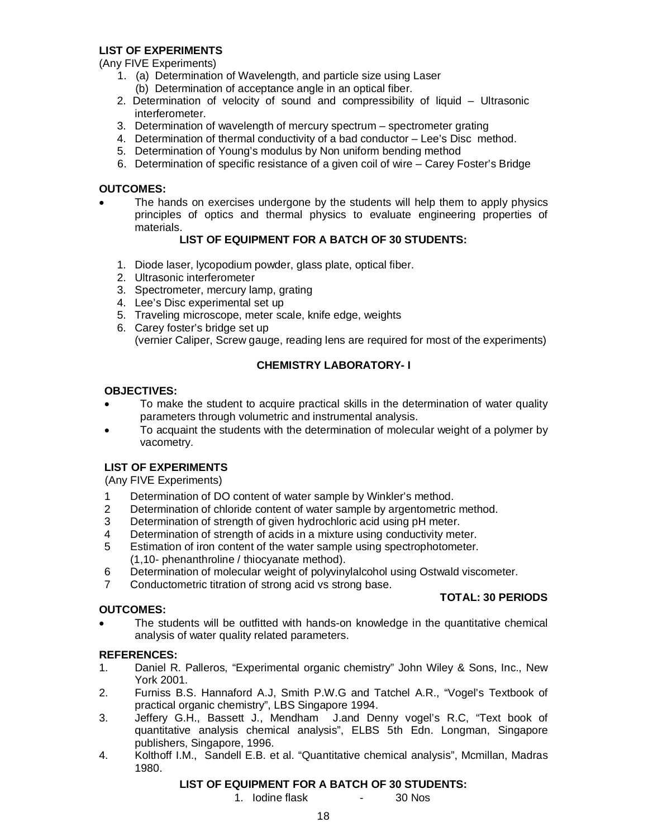#### **LIST OF EXPERIMENTS**

(Any FIVE Experiments)

- 1. (a) Determination of Wavelength, and particle size using Laser
	- (b) Determination of acceptance angle in an optical fiber.
- 2. Determination of velocity of sound and compressibility of liquid Ultrasonic interferometer.
- 3. Determination of wavelength of mercury spectrum spectrometer grating
- 4. Determination of thermal conductivity of a bad conductor Lee's Disc method.
- 5. Determination of Young's modulus by Non uniform bending method
- 6. Determination of specific resistance of a given coil of wire Carey Foster's Bridge

### **OUTCOMES:**

• The hands on exercises undergone by the students will help them to apply physics principles of optics and thermal physics to evaluate engineering properties of materials.

### **LIST OF EQUIPMENT FOR A BATCH OF 30 STUDENTS:**

- 1. Diode laser, lycopodium powder, glass plate, optical fiber.
- 2. Ultrasonic interferometer
- 3. Spectrometer, mercury lamp, grating
- 4. Lee's Disc experimental set up
- 5. Traveling microscope, meter scale, knife edge, weights
- 6. Carey foster's bridge set up (vernier Caliper, Screw gauge, reading lens are required for most of the experiments)

## **CHEMISTRY LABORATORY- I**

#### **OBJECTIVES:**

- To make the student to acquire practical skills in the determination of water quality parameters through volumetric and instrumental analysis.
- To acquaint the students with the determination of molecular weight of a polymer by vacometry.

### **LIST OF EXPERIMENTS**

(Any FIVE Experiments)

- 1 Determination of DO content of water sample by Winkler's method.
- 2 Determination of chloride content of water sample by argentometric method.
- 3 Determination of strength of given hydrochloric acid using pH meter.
- 4 Determination of strength of acids in a mixture using conductivity meter.
- 5 Estimation of iron content of the water sample using spectrophotometer. (1,10- phenanthroline / thiocyanate method).
- 6 Determination of molecular weight of polyvinylalcohol using Ostwald viscometer.
- 7 Conductometric titration of strong acid vs strong base.

### **OUTCOMES:**

#### **TOTAL: 30 PERIODS**

 The students will be outfitted with hands-on knowledge in the quantitative chemical analysis of water quality related parameters.

### **REFERENCES:**

- 1. Daniel R. Palleros, "Experimental organic chemistry" John Wiley & Sons, Inc., New York 2001.
- 2. Furniss B.S. Hannaford A.J, Smith P.W.G and Tatchel A.R., "Vogel's Textbook of practical organic chemistry", LBS Singapore 1994.
- 3. Jeffery G.H., Bassett J., Mendham J.and Denny vogel's R.C, "Text book of quantitative analysis chemical analysis", ELBS 5th Edn. Longman, Singapore publishers, Singapore, 1996.
- 4. Kolthoff I.M., Sandell E.B. et al. "Quantitative chemical analysis", Mcmillan, Madras 1980.

#### **LIST OF EQUIPMENT FOR A BATCH OF 30 STUDENTS:**

1. Iodine flask - 30 Nos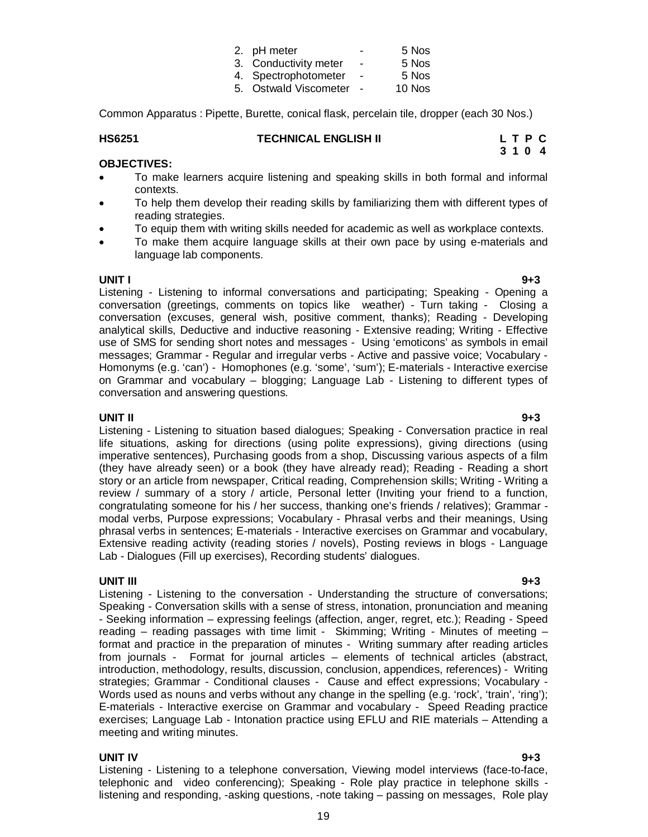| צי ייצו |  |
|---------|--|
| -not    |  |
| 19      |  |

| 2. pH meter           | $\blacksquare$ | 5 Nos  |
|-----------------------|----------------|--------|
| 3. Conductivity meter | $\blacksquare$ | 5 Nos  |
| 4. Spectrophotometer  | $\blacksquare$ | 5 Nos  |
| 5. Ostwald Viscometer | $\sim$ $-$     | 10 Nos |

Common Apparatus : Pipette, Burette, conical flask, percelain tile, dropper (each 30 Nos.)

#### **HS6251 TECHNICAL ENGLISH II L T P C**

#### **OBJECTIVES:**

 To make learners acquire listening and speaking skills in both formal and informal contexts.

**3 1 0 4** 

- To help them develop their reading skills by familiarizing them with different types of reading strategies.
- To equip them with writing skills needed for academic as well as workplace contexts.
- To make them acquire language skills at their own pace by using e-materials and language lab components.

**UNIT I 9+3** Listening - Listening to informal conversations and participating; Speaking - Opening a conversation (greetings, comments on topics like weather) - Turn taking - Closing a conversation (excuses, general wish, positive comment, thanks); Reading - Developing analytical skills, Deductive and inductive reasoning - Extensive reading; Writing - Effective use of SMS for sending short notes and messages - Using 'emoticons' as symbols in email messages; Grammar - Regular and irregular verbs - Active and passive voice; Vocabulary - Homonyms (e.g. 'can') - Homophones (e.g. 'some', 'sum'); E-materials - Interactive exercise on Grammar and vocabulary – blogging; Language Lab - Listening to different types of conversation and answering questions.

#### **UNIT II 9+3**

Listening - Listening to situation based dialogues; Speaking - Conversation practice in real life situations, asking for directions (using polite expressions), giving directions (using imperative sentences), Purchasing goods from a shop, Discussing various aspects of a film (they have already seen) or a book (they have already read); Reading - Reading a short story or an article from newspaper, Critical reading, Comprehension skills; Writing - Writing a review / summary of a story / article, Personal letter (Inviting your friend to a function, congratulating someone for his / her success, thanking one's friends / relatives); Grammar modal verbs, Purpose expressions; Vocabulary - Phrasal verbs and their meanings, Using phrasal verbs in sentences; E-materials - Interactive exercises on Grammar and vocabulary, Extensive reading activity (reading stories / novels), Posting reviews in blogs - Language Lab - Dialogues (Fill up exercises), Recording students' dialogues.

**UNIT III 9+3** Listening - Listening to the conversation - Understanding the structure of conversations; Speaking - Conversation skills with a sense of stress, intonation, pronunciation and meaning - Seeking information – expressing feelings (affection, anger, regret, etc.); Reading - Speed reading – reading passages with time limit - Skimming; Writing - Minutes of meeting – format and practice in the preparation of minutes - Writing summary after reading articles from journals - Format for journal articles – elements of technical articles (abstract, introduction, methodology, results, discussion, conclusion, appendices, references) - Writing strategies; Grammar - Conditional clauses - Cause and effect expressions; Vocabulary - Words used as nouns and verbs without any change in the spelling (e.g. 'rock', 'train', 'ring'); E-materials - Interactive exercise on Grammar and vocabulary - Speed Reading practice exercises; Language Lab - Intonation practice using EFLU and RIE materials – Attending a meeting and writing minutes.

#### **UNIT IV 9+3**

Listening - Listening to a telephone conversation, Viewing model interviews (face-to-face, telephonic and video conferencing); Speaking - Role play practice in telephone skills listening and responding, -asking questions, -note taking – passing on messages, Role play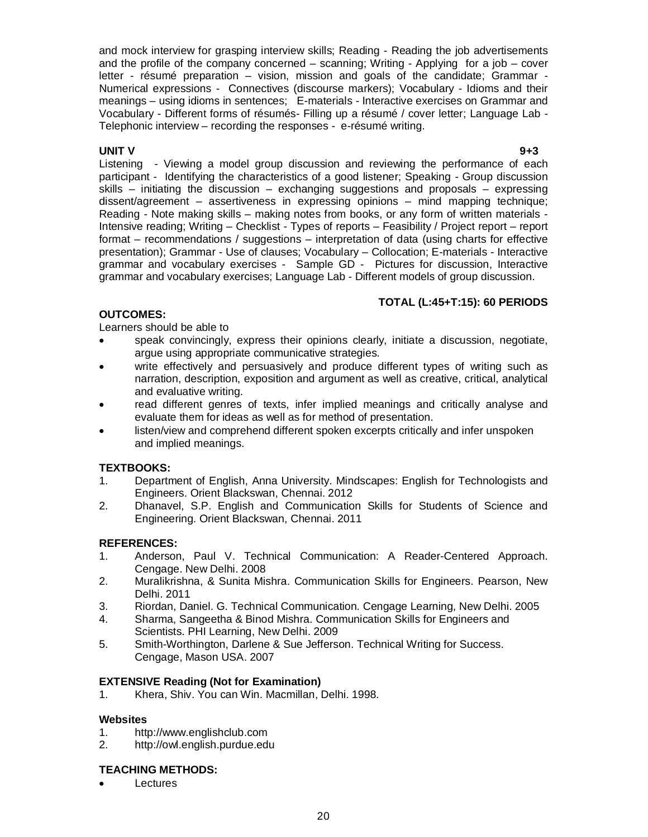and mock interview for grasping interview skills; Reading - Reading the job advertisements and the profile of the company concerned – scanning; Writing - Applying for a job – cover letter - résumé preparation – vision, mission and goals of the candidate; Grammar - Numerical expressions - Connectives (discourse markers); Vocabulary - Idioms and their meanings – using idioms in sentences; E-materials - Interactive exercises on Grammar and Vocabulary - Different forms of résumés- Filling up a résumé / cover letter; Language Lab - Telephonic interview – recording the responses - e-résumé writing.

**UNIT V 9+3** Listening - Viewing a model group discussion and reviewing the performance of each participant - Identifying the characteristics of a good listener; Speaking - Group discussion skills  $-$  initiating the discussion  $-$  exchanging suggestions and proposals  $-$  expressing dissent/agreement – assertiveness in expressing opinions – mind mapping technique; Reading - Note making skills – making notes from books, or any form of written materials - Intensive reading; Writing – Checklist - Types of reports – Feasibility / Project report – report format – recommendations / suggestions – interpretation of data (using charts for effective presentation); Grammar - Use of clauses; Vocabulary – Collocation; E-materials - Interactive grammar and vocabulary exercises - Sample GD - Pictures for discussion, Interactive grammar and vocabulary exercises; Language Lab - Different models of group discussion.

### **TOTAL (L:45+T:15): 60 PERIODS**

### **OUTCOMES:**

Learners should be able to

- speak convincingly, express their opinions clearly, initiate a discussion, negotiate, argue using appropriate communicative strategies.
- write effectively and persuasively and produce different types of writing such as narration, description, exposition and argument as well as creative, critical, analytical and evaluative writing.
- read different genres of texts, infer implied meanings and critically analyse and evaluate them for ideas as well as for method of presentation.
- listen/view and comprehend different spoken excerpts critically and infer unspoken and implied meanings.

### **TEXTBOOKS:**

- 1. Department of English, Anna University. Mindscapes: English for Technologists and Engineers. Orient Blackswan, Chennai. 2012
- 2. Dhanavel, S.P. English and Communication Skills for Students of Science and Engineering. Orient Blackswan, Chennai. 2011

### **REFERENCES:**

- 1. Anderson, Paul V. Technical Communication: A Reader-Centered Approach. Cengage. New Delhi. 2008
- 2. Muralikrishna, & Sunita Mishra. Communication Skills for Engineers. Pearson, New Delhi. 2011
- 3. Riordan, Daniel. G. Technical Communication. Cengage Learning, New Delhi. 2005
- 4. Sharma, Sangeetha & Binod Mishra. Communication Skills for Engineers and Scientists. PHI Learning, New Delhi. 2009
- 5. Smith-Worthington, Darlene & Sue Jefferson. Technical Writing for Success. Cengage, Mason USA. 2007

#### **EXTENSIVE Reading (Not for Examination)**

1. Khera, Shiv. You can Win. Macmillan, Delhi. 1998.

#### **Websites**

- 1. http://www.englishclub.com
- 2. http://owl.english.purdue.edu

#### **TEACHING METHODS:**

Lectures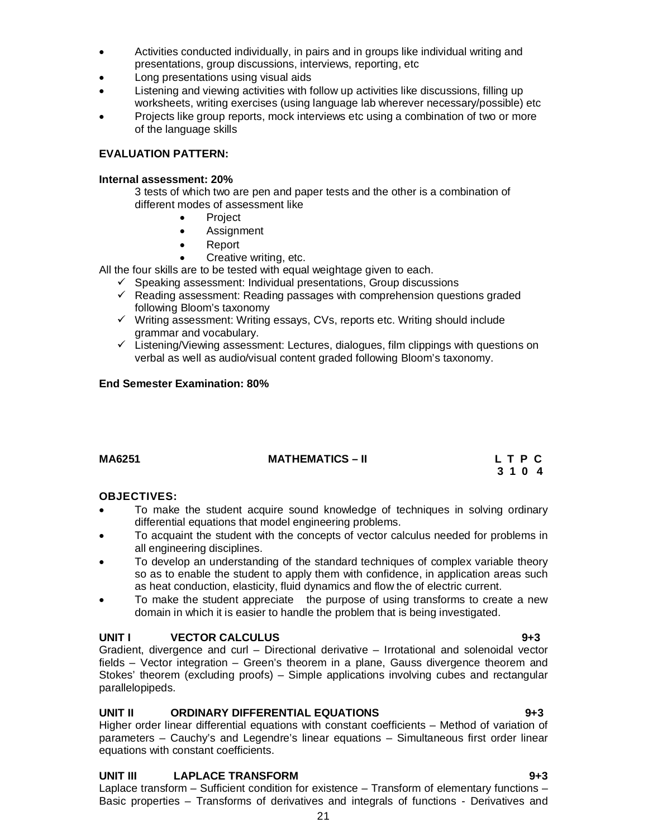domain in which it is easier to handle the problem that is being investigated. **UNIT I** VECTOR CALCULUS **9+3** 

Laplace transform – Sufficient condition for existence – Transform of elementary functions – Basic properties – Transforms of derivatives and integrals of functions - Derivatives and

21

# of the language skills **EVALUATION PATTERN:**

# **Internal assessment: 20%**

3 tests of which two are pen and paper tests and the other is a combination of different modes of assessment like

Activities conducted individually, in pairs and in groups like individual writing and

Listening and viewing activities with follow up activities like discussions, filling up

worksheets, writing exercises (using language lab wherever necessary/possible) etc Projects like group reports, mock interviews etc using a combination of two or more

presentations, group discussions, interviews, reporting, etc

**Project** 

• Long presentations using visual aids

- Assignment
- Report
- Creative writing, etc.

All the four skills are to be tested with equal weightage given to each.

- $\checkmark$  Speaking assessment: Individual presentations, Group discussions
- $\checkmark$  Reading assessment: Reading passages with comprehension questions graded following Bloom's taxonomy
- $\checkmark$  Writing assessment: Writing essays, CVs, reports etc. Writing should include grammar and vocabulary.
- $\checkmark$  Listening/Viewing assessment: Lectures, dialogues, film clippings with questions on verbal as well as audio/visual content graded following Bloom's taxonomy.

#### **End Semester Examination: 80%**

| MA6251 | <b>MATHEMATICS – II</b> | LTPC    |
|--------|-------------------------|---------|
|        |                         | 3 1 0 4 |

#### **OBJECTIVES:**

- To make the student acquire sound knowledge of techniques in solving ordinary differential equations that model engineering problems.
- To acquaint the student with the concepts of vector calculus needed for problems in all engineering disciplines.
- To develop an understanding of the standard techniques of complex variable theory so as to enable the student to apply them with confidence, in application areas such as heat conduction, elasticity, fluid dynamics and flow the of electric current.
- To make the student appreciate the purpose of using transforms to create a new

Gradient, divergence and curl – Directional derivative – Irrotational and solenoidal vector fields – Vector integration – Green's theorem in a plane, Gauss divergence theorem and Stokes' theorem (excluding proofs) – Simple applications involving cubes and rectangular parallelopipeds.

### **UNIT II ORDINARY DIFFERENTIAL EQUATIONS 9+3**

Higher order linear differential equations with constant coefficients – Method of variation of parameters – Cauchy's and Legendre's linear equations – Simultaneous first order linear equations with constant coefficients.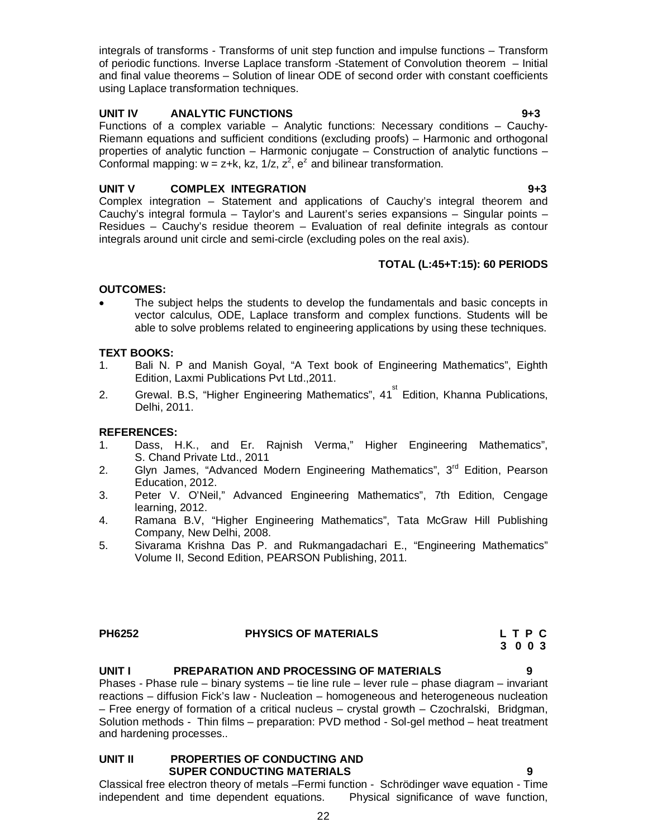integrals of transforms - Transforms of unit step function and impulse functions – Transform of periodic functions. Inverse Laplace transform -Statement of Convolution theorem – Initial and final value theorems – Solution of linear ODE of second order with constant coefficients using Laplace transformation techniques.

#### **UNIT IV ANALYTIC FUNCTIONS 9+3**

Functions of a complex variable – Analytic functions: Necessary conditions – Cauchy-Riemann equations and sufficient conditions (excluding proofs) – Harmonic and orthogonal properties of analytic function – Harmonic conjugate – Construction of analytic functions – Conformal mapping:  $w = z+k$ , kz, 1/z,  $z^2$ ,  $e^z$  and bilinear transformation.

### **UNIT V COMPLEX INTEGRATION 9+3**

Complex integration – Statement and applications of Cauchy's integral theorem and Cauchy's integral formula – Taylor's and Laurent's series expansions – Singular points – Residues – Cauchy's residue theorem – Evaluation of real definite integrals as contour integrals around unit circle and semi-circle (excluding poles on the real axis).

### **TOTAL (L:45+T:15): 60 PERIODS**

#### **OUTCOMES:**

 The subject helps the students to develop the fundamentals and basic concepts in vector calculus, ODE, Laplace transform and complex functions. Students will be able to solve problems related to engineering applications by using these techniques.

#### **TEXT BOOKS:**

- 1. Bali N. P and Manish Goyal, "A Text book of Engineering Mathematics", Eighth Edition, Laxmi Publications Pvt Ltd.,2011.
- 2. Grewal. B.S, "Higher Engineering Mathematics", 41<sup>st</sup> Edition, Khanna Publications, Delhi, 2011.

#### **REFERENCES:**

- 1. Dass, H.K., and Er. Rajnish Verma," Higher Engineering Mathematics", S. Chand Private Ltd., 2011
- 2. Glyn James, "Advanced Modern Engineering Mathematics", 3<sup>rd</sup> Edition, Pearson Education, 2012.
- 3. Peter V. O'Neil," Advanced Engineering Mathematics", 7th Edition, Cengage learning, 2012.
- 4. Ramana B.V, "Higher Engineering Mathematics", Tata McGraw Hill Publishing Company, New Delhi, 2008.
- 5. Sivarama Krishna Das P. and Rukmangadachari E., "Engineering Mathematics" Volume II, Second Edition, PEARSON Publishing, 2011.

# PH6252 **PHYSICS OF MATERIALS** L T P C **C** 3 0 0 3

# **3 0 0 3 3 0 0 3**

#### **UNIT I PREPARATION AND PROCESSING OF MATERIALS 9**

Phases - Phase rule – binary systems – tie line rule – lever rule – phase diagram – invariant reactions – diffusion Fick's law - Nucleation – homogeneous and heterogeneous nucleation – Free energy of formation of a critical nucleus – crystal growth – Czochralski, Bridgman, Solution methods - Thin films – preparation: PVD method - Sol-gel method – heat treatment and hardening processes..

#### **UNIT II PROPERTIES OF CONDUCTING AND SUPER CONDUCTING MATERIALS 9**

Classical free electron theory of metals –Fermi function - Schrödinger wave equation - Time independent and time dependent equations. Physical significance of wave function,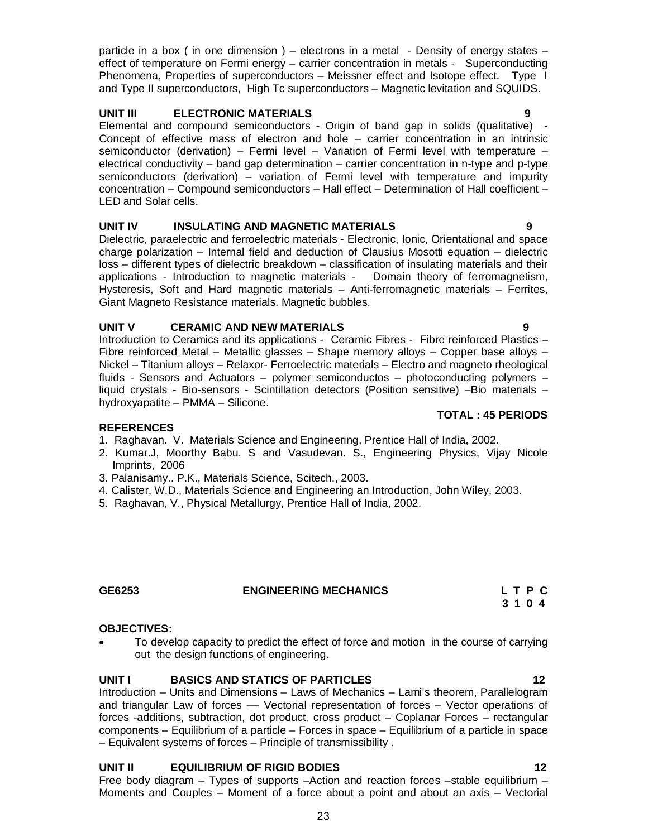particle in a box ( in one dimension ) – electrons in a metal - Density of energy states – effect of temperature on Fermi energy – carrier concentration in metals - Superconducting Phenomena, Properties of superconductors – Meissner effect and Isotope effect. Type I and Type II superconductors, High Tc superconductors – Magnetic levitation and SQUIDS.

#### **UNIT III ELECTRONIC MATERIALS 9**

Elemental and compound semiconductors - Origin of band gap in solids (qualitative) - Concept of effective mass of electron and hole – carrier concentration in an intrinsic semiconductor (derivation) – Fermi level – Variation of Fermi level with temperature – electrical conductivity – band gap determination – carrier concentration in n-type and p-type semiconductors (derivation) – variation of Fermi level with temperature and impurity concentration – Compound semiconductors – Hall effect – Determination of Hall coefficient – LED and Solar cells.

### **UNIT IV INSULATING AND MAGNETIC MATERIALS 9**

Dielectric, paraelectric and ferroelectric materials - Electronic, Ionic, Orientational and space charge polarization – Internal field and deduction of Clausius Mosotti equation – dielectric loss – different types of dielectric breakdown – classification of insulating materials and their applications - Introduction to magnetic materials - Domain theory of ferromagnetism, Hysteresis, Soft and Hard magnetic materials – Anti-ferromagnetic materials – Ferrites, Giant Magneto Resistance materials. Magnetic bubbles.

### **UNIT V CERAMIC AND NEW MATERIALS 9**

Introduction to Ceramics and its applications - Ceramic Fibres - Fibre reinforced Plastics – Fibre reinforced Metal – Metallic glasses – Shape memory alloys – Copper base alloys – Nickel – Titanium alloys – Relaxor- Ferroelectric materials – Electro and magneto rheological fluids - Sensors and Actuators – polymer semiconductos – photoconducting polymers – liquid crystals - Bio-sensors - Scintillation detectors (Position sensitive) –Bio materials – hydroxyapatite – PMMA – Silicone.

#### **REFERENCES**

- 1. Raghavan. V. Materials Science and Engineering, Prentice Hall of India, 2002.
- 2. Kumar.J, Moorthy Babu. S and Vasudevan. S., Engineering Physics, Vijay Nicole Imprints, 2006
- 3. Palanisamy.. P.K., Materials Science, Scitech., 2003.
- 4. Calister, W.D., Materials Science and Engineering an Introduction, John Wiley, 2003.
- 5. Raghavan, V., Physical Metallurgy, Prentice Hall of India, 2002.

#### **GE6253 ENGINEERING MECHANICS L T P C**

#### **OBJECTIVES:**

• To develop capacity to predict the effect of force and motion in the course of carrying out the design functions of engineering.

### **UNIT I BASICS AND STATICS OF PARTICLES 12**

Introduction – Units and Dimensions – Laws of Mechanics – Lami's theorem, Parallelogram and triangular Law of forces –– Vectorial representation of forces – Vector operations of forces -additions, subtraction, dot product, cross product – Coplanar Forces – rectangular components – Equilibrium of a particle – Forces in space – Equilibrium of a particle in space – Equivalent systems of forces – Principle of transmissibility .

#### **UNIT II EQUILIBRIUM OF RIGID BODIES 12**

Free body diagram – Types of supports –Action and reaction forces –stable equilibrium – Moments and Couples – Moment of a force about a point and about an axis – Vectorial

# **TOTAL : 45 PERIODS**

 **3 1 0 4**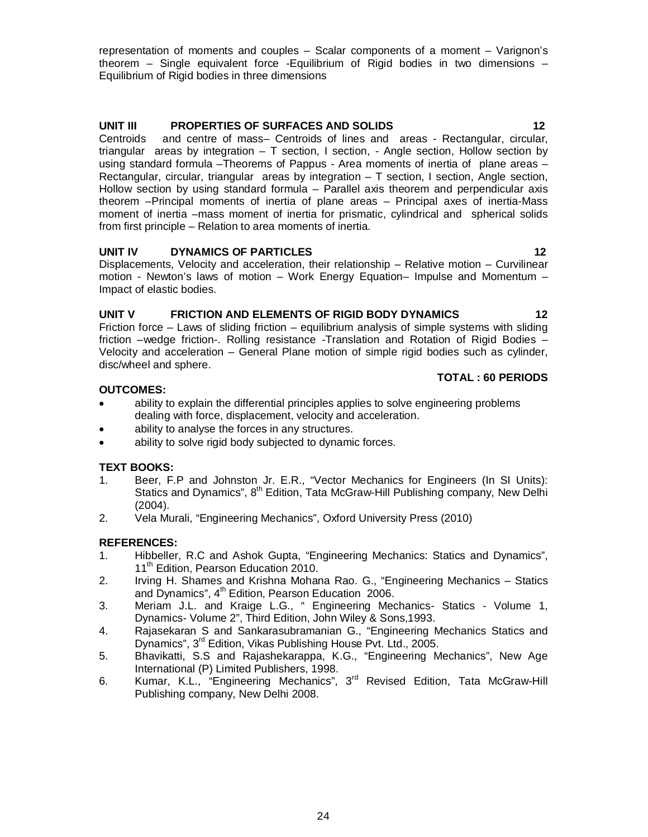representation of moments and couples – Scalar components of a moment – Varignon's theorem – Single equivalent force -Equilibrium of Rigid bodies in two dimensions – Equilibrium of Rigid bodies in three dimensions

#### **UNIT III PROPERTIES OF SURFACES AND SOLIDS 12**

Centroids and centre of mass– Centroids of lines and areas - Rectangular, circular, triangular areas by integration – T section, I section, - Angle section, Hollow section by using standard formula –Theorems of Pappus - Area moments of inertia of plane areas – Rectangular, circular, triangular areas by integration  $-$  T section, I section, Angle section, Hollow section by using standard formula – Parallel axis theorem and perpendicular axis theorem –Principal moments of inertia of plane areas – Principal axes of inertia-Mass moment of inertia –mass moment of inertia for prismatic, cylindrical and spherical solids from first principle – Relation to area moments of inertia.

#### **UNIT IV DYNAMICS OF PARTICLES** 22

Displacements, Velocity and acceleration, their relationship – Relative motion – Curvilinear motion - Newton's laws of motion – Work Energy Equation– Impulse and Momentum – Impact of elastic bodies.

#### UNIT V FRICTION AND ELEMENTS OF RIGID BODY DYNAMICS 42

Friction force – Laws of sliding friction – equilibrium analysis of simple systems with sliding friction –wedge friction-. Rolling resistance -Translation and Rotation of Rigid Bodies – Velocity and acceleration – General Plane motion of simple rigid bodies such as cylinder, disc/wheel and sphere.

#### **OUTCOMES:**

- ability to explain the differential principles applies to solve engineering problems dealing with force, displacement, velocity and acceleration.
- ability to analyse the forces in any structures.
- ability to solve rigid body subjected to dynamic forces.

#### **TEXT BOOKS:**

- 1. Beer, F.P and Johnston Jr. E.R., "Vector Mechanics for Engineers (In SI Units): Statics and Dynamics", 8<sup>th</sup> Edition, Tata McGraw-Hill Publishing company, New Delhi (2004).
- 2. Vela Murali, "Engineering Mechanics", Oxford University Press (2010)

#### **REFERENCES:**

- 1. Hibbeller, R.C and Ashok Gupta, "Engineering Mechanics: Statics and Dynamics", 11<sup>th</sup> Edition, Pearson Education 2010.
- 2. Irving H. Shames and Krishna Mohana Rao. G., "Engineering Mechanics Statics and Dynamics",  $4<sup>th</sup>$  Edition, Pearson Education 2006.
- 3. Meriam J.L. and Kraige L.G., " Engineering Mechanics- Statics Volume 1, Dynamics- Volume 2", Third Edition, John Wiley & Sons,1993.
- 4. Rajasekaran S and Sankarasubramanian G., "Engineering Mechanics Statics and Dynamics", 3rd Edition, Vikas Publishing House Pvt. Ltd., 2005.
- 5. Bhavikatti, S.S and Rajashekarappa, K.G., "Engineering Mechanics", New Age International (P) Limited Publishers, 1998.
- 6. Kumar, K.L., "Engineering Mechanics", 3<sup>rd</sup> Revised Edition, Tata McGraw-Hill Publishing company, New Delhi 2008.

**TOTAL : 60 PERIODS**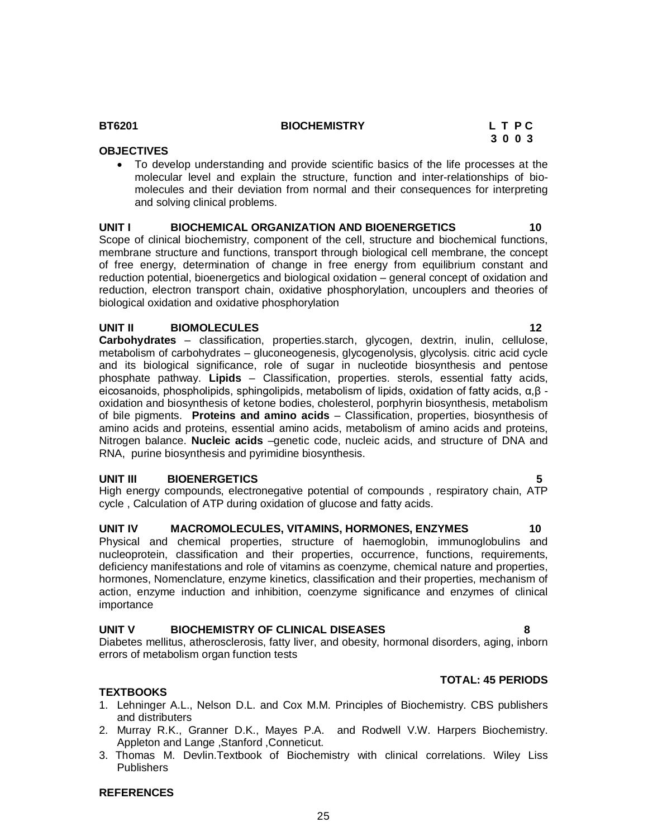#### **BT6201 BIOCHEMISTRY L T P C**

#### **OBJECTIVES**

 To develop understanding and provide scientific basics of the life processes at the molecular level and explain the structure, function and inter-relationships of biomolecules and their deviation from normal and their consequences for interpreting and solving clinical problems.

#### **UNIT I BIOCHEMICAL ORGANIZATION AND BIOENERGETICS 10**

Scope of clinical biochemistry, component of the cell, structure and biochemical functions, membrane structure and functions, transport through biological cell membrane, the concept of free energy, determination of change in free energy from equilibrium constant and reduction potential, bioenergetics and biological oxidation – general concept of oxidation and reduction, electron transport chain, oxidative phosphorylation, uncouplers and theories of biological oxidation and oxidative phosphorylation

#### **UNIT II BIOMOLECULES 12**

**Carbohydrates** – classification, properties.starch, glycogen, dextrin, inulin, cellulose, metabolism of carbohydrates – gluconeogenesis, glycogenolysis, glycolysis. citric acid cycle and its biological significance, role of sugar in nucleotide biosynthesis and pentose phosphate pathway. **Lipids** – Classification, properties. sterols, essential fatty acids, eicosanoids, phospholipids, sphingolipids, metabolism of lipids, oxidation of fatty acids,  $\alpha$ ,β oxidation and biosynthesis of ketone bodies, cholesterol, porphyrin biosynthesis, metabolism of bile pigments. **Proteins and amino acids** – Classification, properties, biosynthesis of amino acids and proteins, essential amino acids, metabolism of amino acids and proteins, Nitrogen balance. **Nucleic acids** –genetic code, nucleic acids, and structure of DNA and RNA, purine biosynthesis and pyrimidine biosynthesis.

#### **UNIT III BIOENERGETICS 5**

High energy compounds, electronegative potential of compounds , respiratory chain, ATP cycle , Calculation of ATP during oxidation of glucose and fatty acids.

#### **UNIT IV MACROMOLECULES, VITAMINS, HORMONES, ENZYMES 10**

Physical and chemical properties, structure of haemoglobin, immunoglobulins and nucleoprotein, classification and their properties, occurrence, functions, requirements, deficiency manifestations and role of vitamins as coenzyme, chemical nature and properties, hormones, Nomenclature, enzyme kinetics, classification and their properties, mechanism of action, enzyme induction and inhibition, coenzyme significance and enzymes of clinical importance

#### **UNIT V BIOCHEMISTRY OF CLINICAL DISEASES 8**

Diabetes mellitus, atherosclerosis, fatty liver, and obesity, hormonal disorders, aging, inborn errors of metabolism organ function tests

#### **TEXTBOOKS**

- 1. Lehninger A.L., Nelson D.L. and Cox M.M. Principles of Biochemistry. CBS publishers and distributers
- 2. Murray R.K., Granner D.K., Mayes P.A. and Rodwell V.W. Harpers Biochemistry. Appleton and Lange ,Stanford ,Conneticut.
- 3. Thomas M. Devlin.Textbook of Biochemistry with clinical correlations. Wiley Liss **Publishers**

#### **REFERENCES**

 **3 0 0 3**

**TOTAL: 45 PERIODS**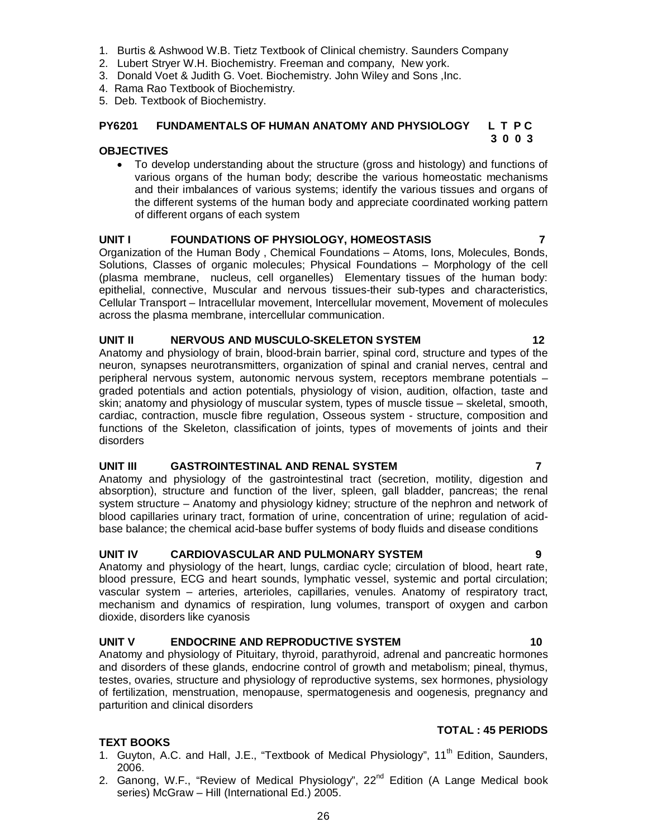- **TEXT BOOKS**
- 1. Guyton, A.C. and Hall, J.E., "Textbook of Medical Physiology", 11<sup>th</sup> Edition, Saunders, 2006.
- 2. Ganong, W.F., "Review of Medical Physiology",  $22<sup>nd</sup>$  Edition (A Lange Medical book series) McGraw – Hill (International Ed.) 2005.

26

# **OBJECTIVES**

 To develop understanding about the structure (gross and histology) and functions of various organs of the human body; describe the various homeostatic mechanisms and their imbalances of various systems; identify the various tissues and organs of the different systems of the human body and appreciate coordinated working pattern of different organs of each system

# **UNIT I FOUNDATIONS OF PHYSIOLOGY, HOMEOSTASIS 7**

Organization of the Human Body , Chemical Foundations – Atoms, Ions, Molecules, Bonds, Solutions, Classes of organic molecules; Physical Foundations – Morphology of the cell (plasma membrane, nucleus, cell organelles) Elementary tissues of the human body: epithelial, connective, Muscular and nervous tissues-their sub-types and characteristics, Cellular Transport – Intracellular movement, Intercellular movement, Movement of molecules across the plasma membrane, intercellular communication.

# **UNIT II NERVOUS AND MUSCULO-SKELETON SYSTEM 12**

Anatomy and physiology of brain, blood-brain barrier, spinal cord, structure and types of the neuron, synapses neurotransmitters, organization of spinal and cranial nerves, central and peripheral nervous system, autonomic nervous system, receptors membrane potentials – graded potentials and action potentials, physiology of vision, audition, olfaction, taste and skin; anatomy and physiology of muscular system, types of muscle tissue – skeletal, smooth, cardiac, contraction, muscle fibre regulation, Osseous system - structure, composition and functions of the Skeleton, classification of joints, types of movements of joints and their disorders

# **UNIT III GASTROINTESTINAL AND RENAL SYSTEM 7**

Anatomy and physiology of the gastrointestinal tract (secretion, motility, digestion and absorption), structure and function of the liver, spleen, gall bladder, pancreas; the renal system structure – Anatomy and physiology kidney; structure of the nephron and network of blood capillaries urinary tract, formation of urine, concentration of urine; regulation of acidbase balance; the chemical acid-base buffer systems of body fluids and disease conditions

# **UNIT IV CARDIOVASCULAR AND PULMONARY SYSTEM 9**

Anatomy and physiology of the heart, lungs, cardiac cycle; circulation of blood, heart rate, blood pressure, ECG and heart sounds, lymphatic vessel, systemic and portal circulation; vascular system – arteries, arterioles, capillaries, venules. Anatomy of respiratory tract, mechanism and dynamics of respiration, lung volumes, transport of oxygen and carbon dioxide, disorders like cyanosis

# **UNIT V ENDOCRINE AND REPRODUCTIVE SYSTEM 10**

Anatomy and physiology of Pituitary, thyroid, parathyroid, adrenal and pancreatic hormones and disorders of these glands, endocrine control of growth and metabolism; pineal, thymus, testes, ovaries, structure and physiology of reproductive systems, sex hormones, physiology of fertilization, menstruation, menopause, spermatogenesis and oogenesis, pregnancy and parturition and clinical disorders

# 1. Burtis & Ashwood W.B. Tietz Textbook of Clinical chemistry. Saunders Company

**PY6201 FUNDAMENTALS OF HUMAN ANATOMY AND PHYSIOLOGY L T P C**

- 2. Lubert Stryer W.H. Biochemistry. Freeman and company, New york.
- 3. Donald Voet & Judith G. Voet. Biochemistry. John Wiley and Sons ,Inc.
- 4. Rama Rao Textbook of Biochemistry.
- 5. Deb. Textbook of Biochemistry.

# **TOTAL : 45 PERIODS**

 **3 0 0 3**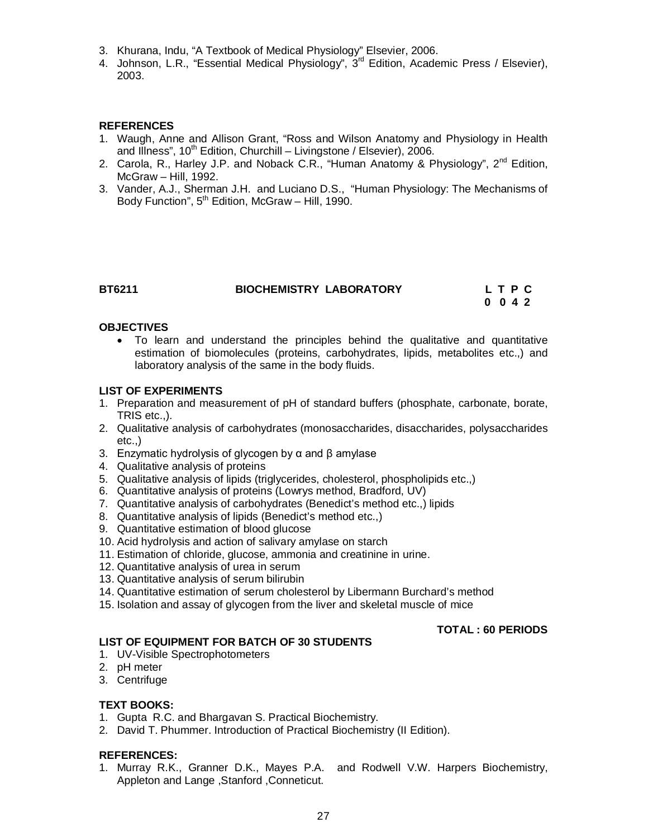- 3. Khurana, Indu, "A Textbook of Medical Physiology" Elsevier, 2006.
- 4. Johnson, L.R., "Essential Medical Physiology", 3<sup>rd</sup> Edition, Academic Press / Elsevier), 2003.

#### **REFERENCES**

- 1. Waugh, Anne and Allison Grant, "Ross and Wilson Anatomy and Physiology in Health and Illness",  $10^{th}$  Edition, Churchill – Livingstone / Elsevier), 2006.
- 2. Carola, R., Harley J.P. and Noback C.R., "Human Anatomy & Physiology",  $2^{nd}$  Edition, McGraw – Hill, 1992.
- 3. Vander, A.J., Sherman J.H. and Luciano D.S., "Human Physiology: The Mechanisms of Body Function",  $5<sup>th</sup>$  Edition, McGraw – Hill, 1990.

#### **BT6211 BIOCHEMISTRY LABORATORY L T P C**

 **0 0 4 2**

#### **OBJECTIVES**

 To learn and understand the principles behind the qualitative and quantitative estimation of biomolecules (proteins, carbohydrates, lipids, metabolites etc.,) and laboratory analysis of the same in the body fluids.

#### **LIST OF EXPERIMENTS**

- 1. Preparation and measurement of pH of standard buffers (phosphate, carbonate, borate, TRIS etc..).
- 2. Qualitative analysis of carbohydrates (monosaccharides, disaccharides, polysaccharides  $etc.$ )
- 3. Enzymatic hydrolysis of glycogen by α and β amylase
- 4. Qualitative analysis of proteins
- 5. Qualitative analysis of lipids (triglycerides, cholesterol, phospholipids etc.,)
- 6. Quantitative analysis of proteins (Lowrys method, Bradford, UV)
- 7. Quantitative analysis of carbohydrates (Benedict's method etc.,) lipids
- 8. Quantitative analysis of lipids (Benedict's method etc.,)
- 9. Quantitative estimation of blood glucose
- 10. Acid hydrolysis and action of salivary amylase on starch
- 11. Estimation of chloride, glucose, ammonia and creatinine in urine.
- 12. Quantitative analysis of urea in serum
- 13. Quantitative analysis of serum bilirubin
- 14. Quantitative estimation of serum cholesterol by Libermann Burchard's method
- 15. Isolation and assay of glycogen from the liver and skeletal muscle of mice

#### **TOTAL : 60 PERIODS**

#### **LIST OF EQUIPMENT FOR BATCH OF 30 STUDENTS**

- 1. UV-Visible Spectrophotometers
- 2. pH meter
- 3. Centrifuge

#### **TEXT BOOKS:**

- 1. Gupta R.C. and Bhargavan S. Practical Biochemistry.
- 2. David T. Phummer. Introduction of Practical Biochemistry (II Edition).

#### **REFERENCES:**

1. Murray R.K., Granner D.K., Mayes P.A. and Rodwell V.W. Harpers Biochemistry, Appleton and Lange ,Stanford ,Conneticut.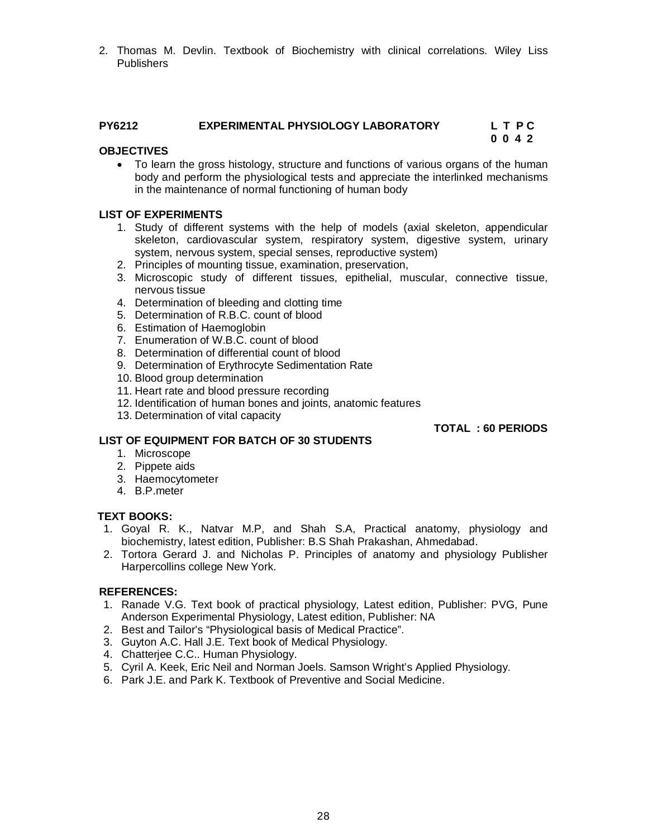2. Thomas M. Devlin. Textbook of Biochemistry with clinical correlations. Wiley Liss Publishers

#### **PY6212 EXPERIMENTAL PHYSIOLOGY LABORATORY L T P C 0 0 4 2**

#### **OBJECTIVES**

 To learn the gross histology, structure and functions of various organs of the human body and perform the physiological tests and appreciate the interlinked mechanisms in the maintenance of normal functioning of human body

#### **LIST OF EXPERIMENTS**

- 1. Study of different systems with the help of models (axial skeleton, appendicular skeleton, cardiovascular system, respiratory system, digestive system, urinary system, nervous system, special senses, reproductive system)
- 2. Principles of mounting tissue, examination, preservation,
- 3. Microscopic study of different tissues, epithelial, muscular, connective tissue, nervous tissue
- 4. Determination of bleeding and clotting time
- 5. Determination of R.B.C. count of blood
- 6. Estimation of Haemoglobin
- 7. Enumeration of W.B.C. count of blood
- 8. Determination of differential count of blood
- 9. Determination of Erythrocyte Sedimentation Rate
- 10. Blood group determination
- 11. Heart rate and blood pressure recording
- 12. Identification of human bones and joints, anatomic features
- 13. Determination of vital capacity

#### **TOTAL : 60 PERIODS**

#### **LIST OF EQUIPMENT FOR BATCH OF 30 STUDENTS**

- 1. Microscope
- 2. Pippete aids
- 3. Haemocytometer
- 4. B.P.meter

#### **TEXT BOOKS:**

- 1. Goyal R. K., Natvar M.P, and Shah S.A, Practical anatomy, physiology and biochemistry, latest edition, Publisher: B.S Shah Prakashan, Ahmedabad.
- 2. Tortora Gerard J. and Nicholas P. Principles of anatomy and physiology Publisher Harpercollins college New York.

#### **REFERENCES:**

- 1. Ranade V.G. Text book of practical physiology, Latest edition, Publisher: PVG, Pune Anderson Experimental Physiology, Latest edition, Publisher: NA
- 2. Best and Tailor's "Physiological basis of Medical Practice".
- 3. Guyton A.C. Hall J.E. Text book of Medical Physiology.
- 4. Chatterjee C.C.. Human Physiology.
- 5. Cyril A. Keek, Eric Neil and Norman Joels. Samson Wright's Applied Physiology.
- 6. Park J.E. and Park K. Textbook of Preventive and Social Medicine.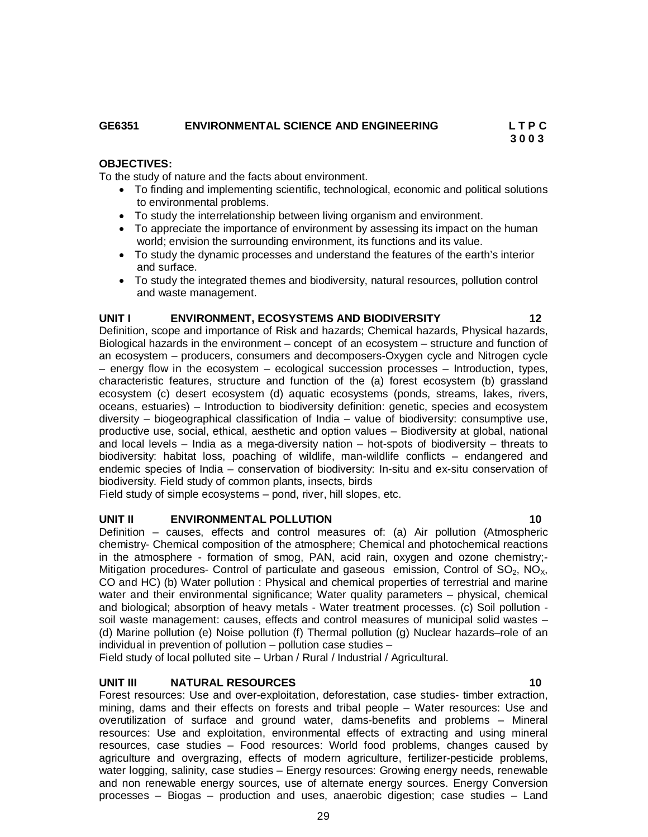#### **GE6351 ENVIRONMENTAL SCIENCE AND ENGINEERING L T P C**

#### **OBJECTIVES:**

To the study of nature and the facts about environment.

- To finding and implementing scientific, technological, economic and political solutions to environmental problems.
- To study the interrelationship between living organism and environment.
- To appreciate the importance of environment by assessing its impact on the human world; envision the surrounding environment, its functions and its value.
- To study the dynamic processes and understand the features of the earth's interior and surface.
- To study the integrated themes and biodiversity, natural resources, pollution control and waste management.

#### **UNIT I ENVIRONMENT, ECOSYSTEMS AND BIODIVERSITY 12**

Definition, scope and importance of Risk and hazards; Chemical hazards, Physical hazards, Biological hazards in the environment – concept of an ecosystem – structure and function of an ecosystem – producers, consumers and decomposers-Oxygen cycle and Nitrogen cycle – energy flow in the ecosystem – ecological succession processes – Introduction, types, characteristic features, structure and function of the (a) forest ecosystem (b) grassland ecosystem (c) desert ecosystem (d) aquatic ecosystems (ponds, streams, lakes, rivers, oceans, estuaries) – Introduction to biodiversity definition: genetic, species and ecosystem diversity – biogeographical classification of India – value of biodiversity: consumptive use, productive use, social, ethical, aesthetic and option values – Biodiversity at global, national and local levels – India as a mega-diversity nation – hot-spots of biodiversity – threats to biodiversity: habitat loss, poaching of wildlife, man-wildlife conflicts – endangered and endemic species of India – conservation of biodiversity: In-situ and ex-situ conservation of biodiversity. Field study of common plants, insects, birds

Field study of simple ecosystems – pond, river, hill slopes, etc.

#### **UNIT II ENVIRONMENTAL POLLUTION 10**

Definition – causes, effects and control measures of: (a) Air pollution (Atmospheric chemistry- Chemical composition of the atmosphere; Chemical and photochemical reactions in the atmosphere - formation of smog, PAN, acid rain, oxygen and ozone chemistry;- Mitigation procedures- Control of particulate and gaseous emission, Control of  $SO<sub>2</sub>$ , NO<sub>X</sub>, CO and HC) (b) Water pollution : Physical and chemical properties of terrestrial and marine water and their environmental significance; Water quality parameters – physical, chemical and biological; absorption of heavy metals - Water treatment processes. (c) Soil pollution soil waste management: causes, effects and control measures of municipal solid wastes – (d) Marine pollution (e) Noise pollution (f) Thermal pollution (g) Nuclear hazards–role of an individual in prevention of pollution – pollution case studies –

Field study of local polluted site – Urban / Rural / Industrial / Agricultural.

#### **UNIT III NATURAL RESOURCES 10**

Forest resources: Use and over-exploitation, deforestation, case studies- timber extraction, mining, dams and their effects on forests and tribal people – Water resources: Use and overutilization of surface and ground water, dams-benefits and problems – Mineral resources: Use and exploitation, environmental effects of extracting and using mineral resources, case studies – Food resources: World food problems, changes caused by agriculture and overgrazing, effects of modern agriculture, fertilizer-pesticide problems, water logging, salinity, case studies – Energy resources: Growing energy needs, renewable and non renewable energy sources, use of alternate energy sources. Energy Conversion processes – Biogas – production and uses, anaerobic digestion; case studies – Land

 **3 0 0 3**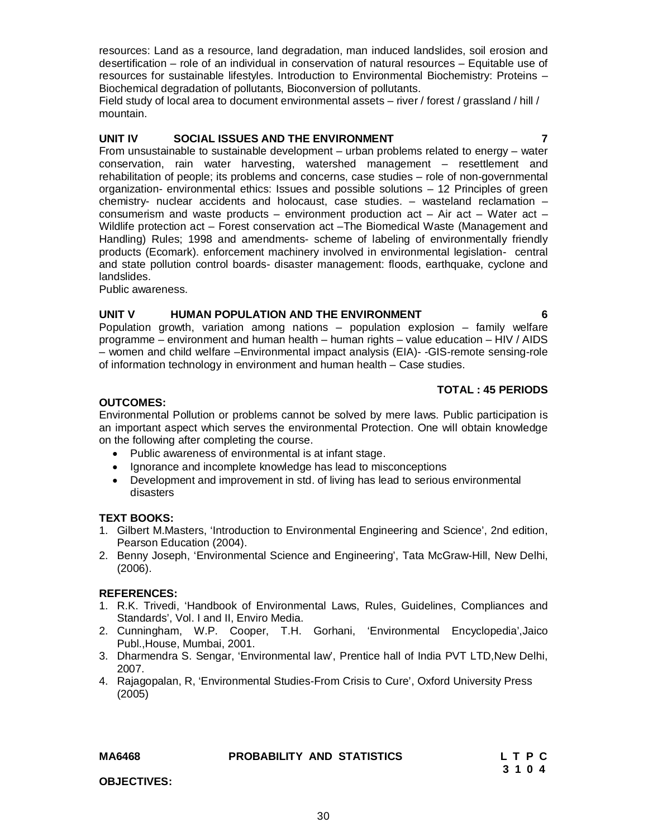resources: Land as a resource, land degradation, man induced landslides, soil erosion and desertification – role of an individual in conservation of natural resources – Equitable use of resources for sustainable lifestyles. Introduction to Environmental Biochemistry: Proteins – Biochemical degradation of pollutants, Bioconversion of pollutants.

Field study of local area to document environmental assets – river / forest / grassland / hill / mountain.

# **UNIT IV SOCIAL ISSUES AND THE ENVIRONMENT 7**

From unsustainable to sustainable development – urban problems related to energy – water conservation, rain water harvesting, watershed management – resettlement and rehabilitation of people; its problems and concerns, case studies – role of non-governmental organization- environmental ethics: Issues and possible solutions – 12 Principles of green chemistry- nuclear accidents and holocaust, case studies. – wasteland reclamation – consumerism and waste products – environment production act – Air act – Water act – Wildlife protection act - Forest conservation act - The Biomedical Waste (Management and Handling) Rules; 1998 and amendments- scheme of labeling of environmentally friendly products (Ecomark). enforcement machinery involved in environmental legislation- central and state pollution control boards- disaster management: floods, earthquake, cyclone and landslides.

Public awareness.

#### **UNIT V HUMAN POPULATION AND THE ENVIRONMENT 6**

Population growth, variation among nations – population explosion – family welfare programme – environment and human health – human rights – value education – HIV / AIDS – women and child welfare –Environmental impact analysis (EIA)- -GIS-remote sensing-role of information technology in environment and human health – Case studies.

### **TOTAL : 45 PERIODS**

#### **OUTCOMES:**

Environmental Pollution or problems cannot be solved by mere laws. Public participation is an important aspect which serves the environmental Protection. One will obtain knowledge on the following after completing the course.

- Public awareness of environmental is at infant stage.
- Ignorance and incomplete knowledge has lead to misconceptions
- Development and improvement in std. of living has lead to serious environmental disasters

#### **TEXT BOOKS:**

- 1. Gilbert M.Masters, 'Introduction to Environmental Engineering and Science', 2nd edition, Pearson Education (2004).
- 2. Benny Joseph, 'Environmental Science and Engineering', Tata McGraw-Hill, New Delhi, (2006).

#### **REFERENCES:**

- 1. R.K. Trivedi, 'Handbook of Environmental Laws, Rules, Guidelines, Compliances and Standards', Vol. I and II, Enviro Media.
- 2. Cunningham, W.P. Cooper, T.H. Gorhani, 'Environmental Encyclopedia',Jaico Publ.,House, Mumbai, 2001.
- 3. Dharmendra S. Sengar, 'Environmental law', Prentice hall of India PVT LTD,New Delhi, 2007.
- 4. Rajagopalan, R, 'Environmental Studies-From Crisis to Cure', Oxford University Press (2005)

# MA6468 **PROBABILITY AND STATISTICS** L T P C<br>3 1 0 4

**OBJECTIVES:**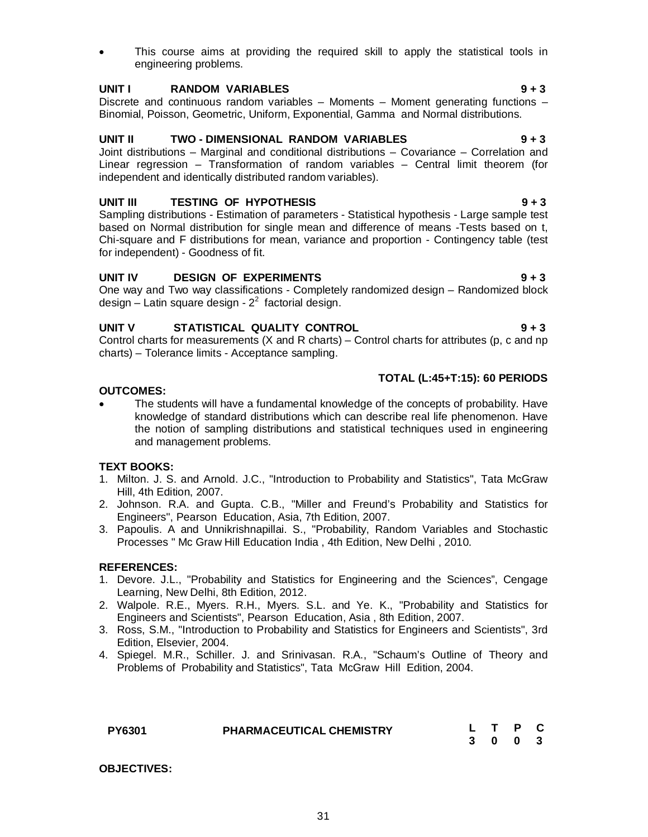This course aims at providing the required skill to apply the statistical tools in engineering problems.

#### **UNIT I RANDOM VARIABLES 9 + 3**

Discrete and continuous random variables  $-$  Moments  $-$  Moment generating functions  $-$ Binomial, Poisson, Geometric, Uniform, Exponential, Gamma and Normal distributions.

#### **UNIT II TWO - DIMENSIONAL RANDOM VARIABLES 9 + 3**

Joint distributions – Marginal and conditional distributions – Covariance – Correlation and Linear regression – Transformation of random variables – Central limit theorem (for independent and identically distributed random variables).

#### **UNIT III TESTING OF HYPOTHESIS 9 + 3**

Sampling distributions - Estimation of parameters - Statistical hypothesis - Large sample test based on Normal distribution for single mean and difference of means -Tests based on t, Chi-square and F distributions for mean, variance and proportion - Contingency table (test for independent) - Goodness of fit.

#### **UNIT IV DESIGN OF EXPERIMENTS 9 + 3**

One way and Two way classifications - Completely randomized design – Randomized block design – Latin square design -  $2^2$  factorial design.

### **UNIT V STATISTICAL QUALITY CONTROL 9 + 3**

Control charts for measurements (X and R charts) – Control charts for attributes (p, c and np charts) – Tolerance limits - Acceptance sampling.

#### **TOTAL (L:45+T:15): 60 PERIODS**

#### **OUTCOMES:**

 The students will have a fundamental knowledge of the concepts of probability. Have knowledge of standard distributions which can describe real life phenomenon. Have the notion of sampling distributions and statistical techniques used in engineering and management problems.

#### **TEXT BOOKS:**

- 1. Milton. J. S. and Arnold. J.C., "Introduction to Probability and Statistics", Tata McGraw Hill, 4th Edition, 2007.
- 2. Johnson. R.A. and Gupta. C.B., "Miller and Freund's Probability and Statistics for Engineers", Pearson Education, Asia, 7th Edition, 2007.
- 3. Papoulis. A and Unnikrishnapillai. S., "Probability, Random Variables and Stochastic Processes " Mc Graw Hill Education India , 4th Edition, New Delhi , 2010.

#### **REFERENCES:**

- 1. Devore. J.L., "Probability and Statistics for Engineering and the Sciences", Cengage Learning, New Delhi, 8th Edition, 2012.
- 2. Walpole. R.E., Myers. R.H., Myers. S.L. and Ye. K., "Probability and Statistics for Engineers and Scientists", Pearson Education, Asia , 8th Edition, 2007.
- 3. Ross, S.M., "Introduction to Probability and Statistics for Engineers and Scientists", 3rd Edition, Elsevier, 2004.
- 4. Spiegel. M.R., Schiller. J. and Srinivasan. R.A., "Schaum's Outline of Theory and Problems of Probability and Statistics", Tata McGraw Hill Edition, 2004.

| <b>PY6301</b> | PHARMACEUTICAL CHEMISTRY |  | L T P C |  |
|---------------|--------------------------|--|---------|--|
|               |                          |  | 3 0 0 3 |  |

**OBJECTIVES:**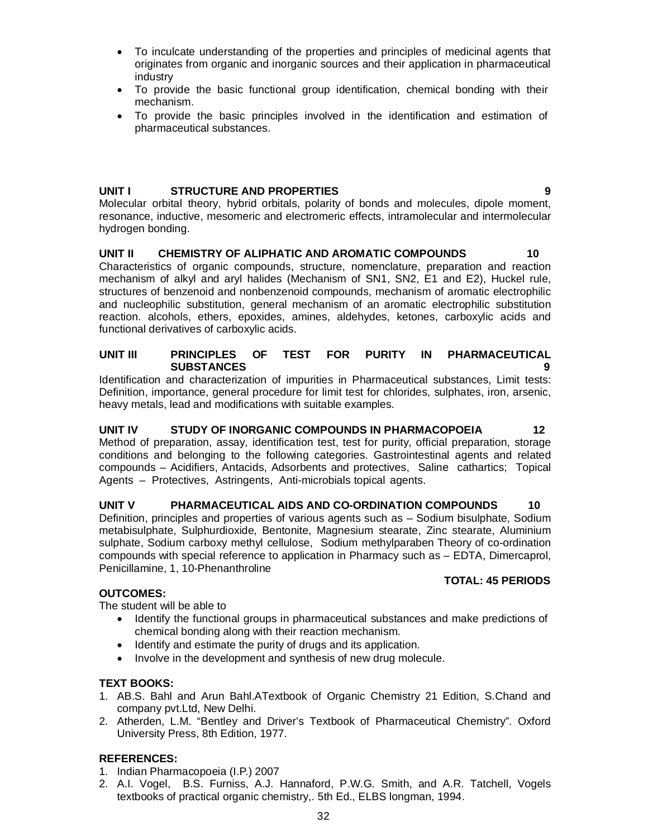- To inculcate understanding of the properties and principles of medicinal agents that originates from organic and inorganic sources and their application in pharmaceutical industry
- To provide the basic functional group identification, chemical bonding with their mechanism.
- To provide the basic principles involved in the identification and estimation of pharmaceutical substances.

#### **UNIT I STRUCTURE AND PROPERTIES 9**

Molecular orbital theory, hybrid orbitals, polarity of bonds and molecules, dipole moment, resonance, inductive, mesomeric and electromeric effects, intramolecular and intermolecular hydrogen bonding.

### **UNIT II CHEMISTRY OF ALIPHATIC AND AROMATIC COMPOUNDS 10**

Characteristics of organic compounds, structure, nomenclature, preparation and reaction mechanism of alkyl and aryl halides (Mechanism of SN1, SN2, E1 and E2), Huckel rule, structures of benzenoid and nonbenzenoid compounds, mechanism of aromatic electrophilic and nucleophilic substitution, general mechanism of an aromatic electrophilic substitution reaction. alcohols, ethers, epoxides, amines, aldehydes, ketones, carboxylic acids and functional derivatives of carboxylic acids.

#### **UNIT III PRINCIPLES OF TEST FOR PURITY IN PHARMACEUTICAL SUBSTANCES 9**

Identification and characterization of impurities in Pharmaceutical substances, Limit tests: Definition, importance, general procedure for limit test for chlorides, sulphates, iron, arsenic, heavy metals, lead and modifications with suitable examples.

### **UNIT IV STUDY OF INORGANIC COMPOUNDS IN PHARMACOPOEIA 12**

Method of preparation, assay, identification test, test for purity, official preparation, storage conditions and belonging to the following categories. Gastrointestinal agents and related compounds – Acidifiers, Antacids, Adsorbents and protectives, Saline cathartics; Topical Agents – Protectives, Astringents, Anti-microbials topical agents.

### **UNIT V PHARMACEUTICAL AIDS AND CO-ORDINATION COMPOUNDS 10**

Definition, principles and properties of various agents such as – Sodium bisulphate, Sodium metabisulphate, Sulphurdioxide, Bentonite, Magnesium stearate, Zinc stearate, Aluminium sulphate, Sodium carboxy methyl cellulose, Sodium methylparaben Theory of co-ordination compounds with special reference to application in Pharmacy such as – EDTA, Dimercaprol, Penicillamine, 1, 10-Phenanthroline

#### **TOTAL: 45 PERIODS**

# **OUTCOMES:**

The student will be able to

- Identify the functional groups in pharmaceutical substances and make predictions of chemical bonding along with their reaction mechanism.
- Identify and estimate the purity of drugs and its application.
- Involve in the development and synthesis of new drug molecule.

### **TEXT BOOKS:**

- 1. AB.S. Bahl and Arun Bahl.ATextbook of Organic Chemistry 21 Edition, S.Chand and company pvt.Ltd, New Delhi.
- 2. Atherden, L.M. "Bentley and Driver's Textbook of Pharmaceutical Chemistry". Oxford University Press, 8th Edition, 1977.

### **REFERENCES:**

- 1. Indian Pharmacopoeia (I.P.) 2007
- 2. A.I. Vogel, B.S. Furniss, A.J. Hannaford, P.W.G. Smith, and A.R. Tatchell, Vogels textbooks of practical organic chemistry,. 5th Ed., ELBS longman, 1994.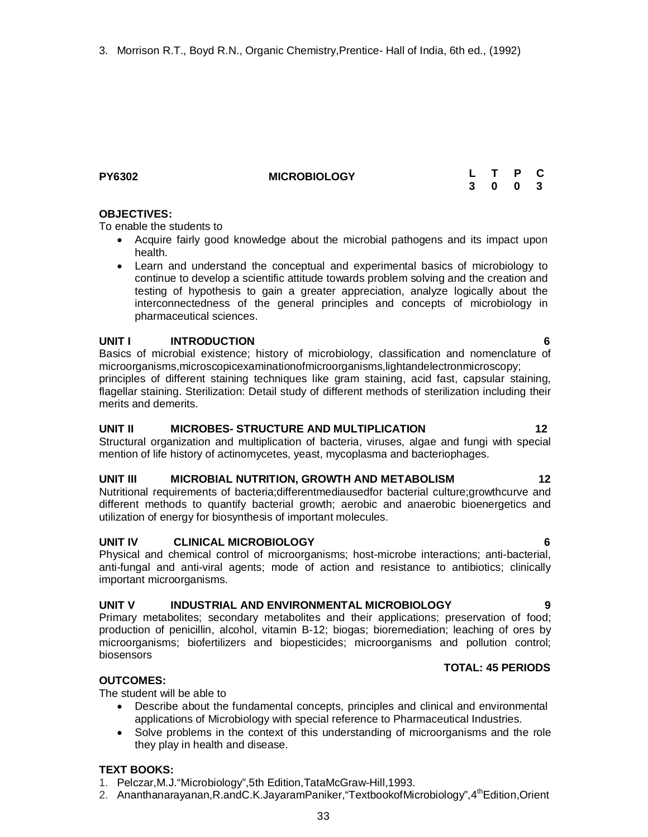#### **OBJECTIVES:**

To enable the students to

**PY6302 MICROBIOLOGY**

- Acquire fairly good knowledge about the microbial pathogens and its impact upon health.
- Learn and understand the conceptual and experimental basics of microbiology to continue to develop a scientific attitude towards problem solving and the creation and testing of hypothesis to gain a greater appreciation, analyze logically about the interconnectedness of the general principles and concepts of microbiology in pharmaceutical sciences.

#### **UNIT I INTRODUCTION 6**

Basics of microbial existence; history of microbiology, classification and nomenclature of microorganisms,microscopicexaminationofmicroorganisms,lightandelectronmicroscopy; principles of different staining techniques like gram staining, acid fast, capsular staining, flagellar staining. Sterilization: Detail study of different methods of sterilization including their merits and demerits.

#### **UNIT II MICROBES- STRUCTURE AND MULTIPLICATION 12**

Structural organization and multiplication of bacteria, viruses, algae and fungi with special mention of life history of actinomycetes, yeast, mycoplasma and bacteriophages.

#### **UNIT III MICROBIAL NUTRITION, GROWTH AND METABOLISM 12**

Nutritional requirements of bacteria;differentmediausedfor bacterial culture;growthcurve and different methods to quantify bacterial growth; aerobic and anaerobic bioenergetics and utilization of energy for biosynthesis of important molecules.

#### **UNIT IV CLINICAL MICROBIOLOGY 6**

Physical and chemical control of microorganisms; host-microbe interactions; anti-bacterial, anti-fungal and anti-viral agents; mode of action and resistance to antibiotics; clinically important microorganisms.

#### **UNIT V INDUSTRIAL AND ENVIRONMENTAL MICROBIOLOGY 9**

Primary metabolites; secondary metabolites and their applications; preservation of food; production of penicillin, alcohol, vitamin B-12; biogas; bioremediation; leaching of ores by microorganisms; biofertilizers and biopesticides; microorganisms and pollution control; biosensors

#### **TOTAL: 45 PERIODS**

#### **OUTCOMES:**

The student will be able to

- Describe about the fundamental concepts, principles and clinical and environmental applications of Microbiology with special reference to Pharmaceutical Industries.
- Solve problems in the context of this understanding of microorganisms and the role they play in health and disease.

#### **TEXT BOOKS:**

- 1. Pelczar,M.J."Microbiology",5th Edition,TataMcGraw-Hill,1993.
- 2. Ananthanarayanan, R.andC.K.JayaramPaniker, "Textbookof Microbiology", 4<sup>th</sup>Edition, Orient

#### **L T P C 3 0 0 3**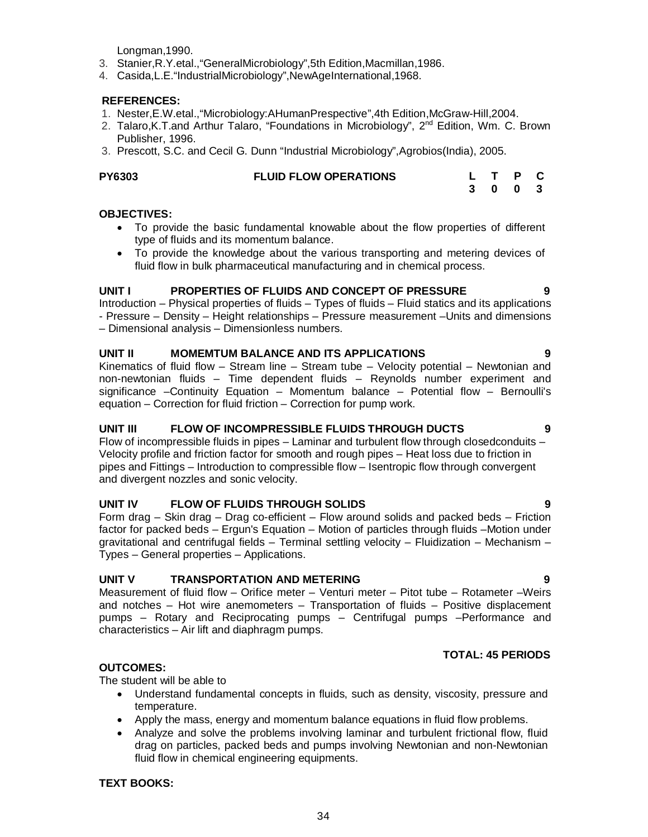Longman,1990.

- 3. Stanier,R.Y.etal.,"GeneralMicrobiology",5th Edition,Macmillan,1986.
- 4. Casida,L.E."IndustrialMicrobiology",NewAgeInternational,1968.

#### **REFERENCES:**

- 1. Nester,E.W.etal.,"Microbiology:AHumanPrespective",4th Edition,McGraw-Hill,2004.
- 2. Talaro, K.T.and Arthur Talaro, "Foundations in Microbiology", 2<sup>nd</sup> Edition, Wm. C. Brown Publisher, 1996.
- 3. Prescott, S.C. and Cecil G. Dunn "Industrial Microbiology",Agrobios(India), 2005.

| <b>PY6303</b> | <b>FLUID FLOW OPERATIONS</b> |  | L T P C |  |
|---------------|------------------------------|--|---------|--|
|               |                              |  | 3 0 0 3 |  |

#### **OBJECTIVES:**

- To provide the basic fundamental knowable about the flow properties of different type of fluids and its momentum balance.
- To provide the knowledge about the various transporting and metering devices of fluid flow in bulk pharmaceutical manufacturing and in chemical process.

#### **UNIT I PROPERTIES OF FLUIDS AND CONCEPT OF PRESSURE 9**

Introduction – Physical properties of fluids – Types of fluids – Fluid statics and its applications - Pressure – Density – Height relationships – Pressure measurement –Units and dimensions – Dimensional analysis – Dimensionless numbers.

#### **UNIT II MOMEMTUM BALANCE AND ITS APPLICATIONS 9**

Kinematics of fluid flow – Stream line – Stream tube – Velocity potential – Newtonian and non-newtonian fluids – Time dependent fluids – Reynolds number experiment and significance –Continuity Equation – Momentum balance – Potential flow – Bernoulli's equation – Correction for fluid friction – Correction for pump work.

#### **UNIT III FLOW OF INCOMPRESSIBLE FLUIDS THROUGH DUCTS 9**

Flow of incompressible fluids in pipes – Laminar and turbulent flow through closedconduits – Velocity profile and friction factor for smooth and rough pipes – Heat loss due to friction in pipes and Fittings – Introduction to compressible flow – Isentropic flow through convergent and divergent nozzles and sonic velocity.

#### **UNIT IV FLOW OF FLUIDS THROUGH SOLIDS 9**

Form drag – Skin drag – Drag co-efficient – Flow around solids and packed beds – Friction factor for packed beds – Ergun's Equation – Motion of particles through fluids –Motion under gravitational and centrifugal fields – Terminal settling velocity – Fluidization – Mechanism – Types – General properties – Applications.

#### **UNIT V TRANSPORTATION AND METERING 9**

Measurement of fluid flow – Orifice meter – Venturi meter – Pitot tube – Rotameter –Weirs and notches – Hot wire anemometers – Transportation of fluids – Positive displacement pumps – Rotary and Reciprocating pumps – Centrifugal pumps –Performance and characteristics – Air lift and diaphragm pumps.

#### **TOTAL: 45 PERIODS**

#### **OUTCOMES:**

The student will be able to

- Understand fundamental concepts in fluids, such as density, viscosity, pressure and temperature.
- Apply the mass, energy and momentum balance equations in fluid flow problems.
- Analyze and solve the problems involving laminar and turbulent frictional flow, fluid drag on particles, packed beds and pumps involving Newtonian and non-Newtonian fluid flow in chemical engineering equipments.

#### **TEXT BOOKS:**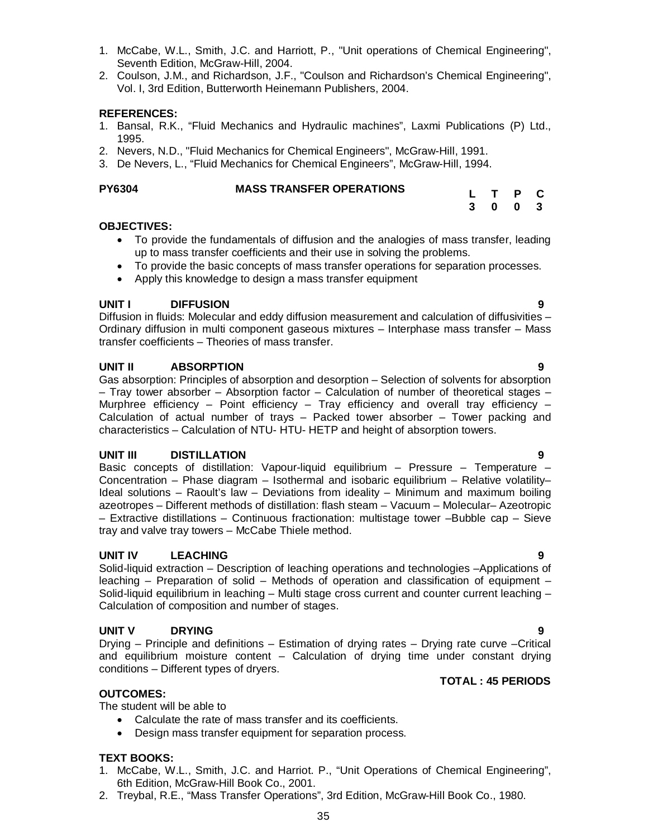- 1. McCabe, W.L., Smith, J.C. and Harriott, P., "Unit operations of Chemical Engineering", Seventh Edition, McGraw-Hill, 2004.
- 2. Coulson, J.M., and Richardson, J.F., "Coulson and Richardson's Chemical Engineering", Vol. I, 3rd Edition, Butterworth Heinemann Publishers, 2004.

## **REFERENCES:**

- 1. Bansal, R.K., "Fluid Mechanics and Hydraulic machines", Laxmi Publications (P) Ltd., 1995.
- 2. Nevers, N.D., "Fluid Mechanics for Chemical Engineers", McGraw-Hill, 1991.
- 3. De Nevers, L., "Fluid Mechanics for Chemical Engineers", McGraw-Hill, 1994.

#### **MASS TRANSFER OPERATIONS**

### **OBJECTIVES:**

- To provide the fundamentals of diffusion and the analogies of mass transfer, leading up to mass transfer coefficients and their use in solving the problems.
- To provide the basic concepts of mass transfer operations for separation processes.
- Apply this knowledge to design a mass transfer equipment

### **UNIT I DIFFUSION 9**

Diffusion in fluids: Molecular and eddy diffusion measurement and calculation of diffusivities – Ordinary diffusion in multi component gaseous mixtures – Interphase mass transfer – Mass transfer coefficients – Theories of mass transfer.

### **UNIT II ABSORPTION 9**

Gas absorption: Principles of absorption and desorption – Selection of solvents for absorption – Tray tower absorber – Absorption factor – Calculation of number of theoretical stages – Murphree efficiency – Point efficiency – Tray efficiency and overall tray efficiency – Calculation of actual number of trays – Packed tower absorber – Tower packing and characteristics – Calculation of NTU- HTU- HETP and height of absorption towers.

### **UNIT III DISTILLATION 9**

Basic concepts of distillation: Vapour-liquid equilibrium – Pressure – Temperature – Concentration – Phase diagram – Isothermal and isobaric equilibrium – Relative volatility– Ideal solutions – Raoult's law – Deviations from ideality – Minimum and maximum boiling azeotropes – Different methods of distillation: flash steam – Vacuum – Molecular– Azeotropic – Extractive distillations – Continuous fractionation: multistage tower –Bubble cap – Sieve tray and valve tray towers – McCabe Thiele method.

### **UNIT IV LEACHING 9**

Solid-liquid extraction – Description of leaching operations and technologies –Applications of leaching – Preparation of solid – Methods of operation and classification of equipment – Solid-liquid equilibrium in leaching – Multi stage cross current and counter current leaching – Calculation of composition and number of stages.

### **UNIT V DRYING 9**

Drying – Principle and definitions – Estimation of drying rates – Drying rate curve –Critical and equilibrium moisture content – Calculation of drying time under constant drying conditions – Different types of dryers.

### **OUTCOMES:**

The student will be able to

- Calculate the rate of mass transfer and its coefficients.
- Design mass transfer equipment for separation process.

### **TEXT BOOKS:**

- 1. McCabe, W.L., Smith, J.C. and Harriot. P., "Unit Operations of Chemical Engineering", 6th Edition, McGraw-Hill Book Co., 2001.
- 2. Treybal, R.E., "Mass Transfer Operations", 3rd Edition, McGraw-Hill Book Co., 1980.

**L T P C 3 0 0 3**

**TOTAL : 45 PERIODS**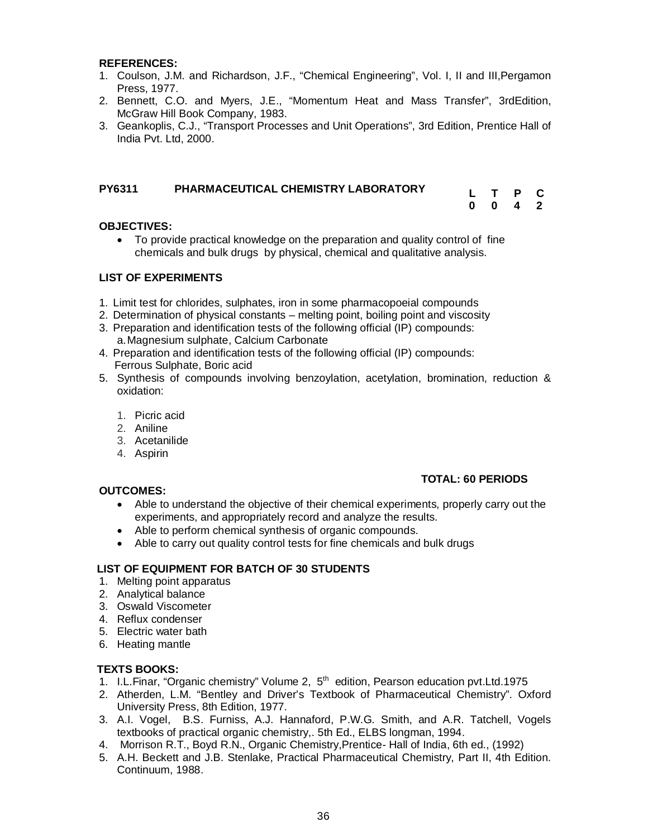#### **REFERENCES:**

- 1. Coulson, J.M. and Richardson, J.F., "Chemical Engineering", Vol. I, II and III,Pergamon Press, 1977.
- 2. Bennett, C.O. and Myers, J.E., "Momentum Heat and Mass Transfer", 3rdEdition, McGraw Hill Book Company, 1983.
- 3. Geankoplis, C.J., "Transport Processes and Unit Operations", 3rd Edition, Prentice Hall of India Pvt. Ltd, 2000.

| <b>PY6311</b> | PHARMACEUTICAL CHEMISTRY LABORATORY | L T P C |  |
|---------------|-------------------------------------|---------|--|
|               |                                     | 0 0 4 2 |  |

#### **OBJECTIVES:**

 To provide practical knowledge on the preparation and quality control of fine chemicals and bulk drugs by physical, chemical and qualitative analysis.

#### **LIST OF EXPERIMENTS**

- 1. Limit test for chlorides, sulphates, iron in some pharmacopoeial compounds
- 2. Determination of physical constants melting point, boiling point and viscosity
- 3. Preparation and identification tests of the following official (IP) compounds: a.Magnesium sulphate, Calcium Carbonate
- 4. Preparation and identification tests of the following official (IP) compounds: Ferrous Sulphate, Boric acid
- 5. Synthesis of compounds involving benzoylation, acetylation, bromination, reduction & oxidation:
	- 1. Picric acid
	- 2. Aniline
	- 3. Acetanilide
	- 4. Aspirin

#### **OUTCOMES:**

### **TOTAL: 60 PERIODS**

- Able to understand the objective of their chemical experiments, properly carry out the experiments, and appropriately record and analyze the results.
- Able to perform chemical synthesis of organic compounds.
- Able to carry out quality control tests for fine chemicals and bulk drugs

#### **LIST OF EQUIPMENT FOR BATCH OF 30 STUDENTS**

- 1. Melting point apparatus
- 2. Analytical balance
- 3. Oswald Viscometer
- 4. Reflux condenser
- 5. Electric water bath
- 6. Heating mantle

#### **TEXTS BOOKS:**

- 1. I.L. Finar, "Organic chemistry" Volume 2, 5<sup>th</sup> edition, Pearson education pvt.Ltd.1975
- 2. Atherden, L.M. "Bentley and Driver's Textbook of Pharmaceutical Chemistry". Oxford University Press, 8th Edition, 1977.
- 3. A.I. Vogel, B.S. Furniss, A.J. Hannaford, P.W.G. Smith, and A.R. Tatchell, Vogels textbooks of practical organic chemistry,. 5th Ed., ELBS longman, 1994.
- 4. Morrison R.T., Boyd R.N., Organic Chemistry,Prentice- Hall of India, 6th ed., (1992)
- 5. A.H. Beckett and J.B. Stenlake, Practical Pharmaceutical Chemistry, Part II, 4th Edition. Continuum, 1988.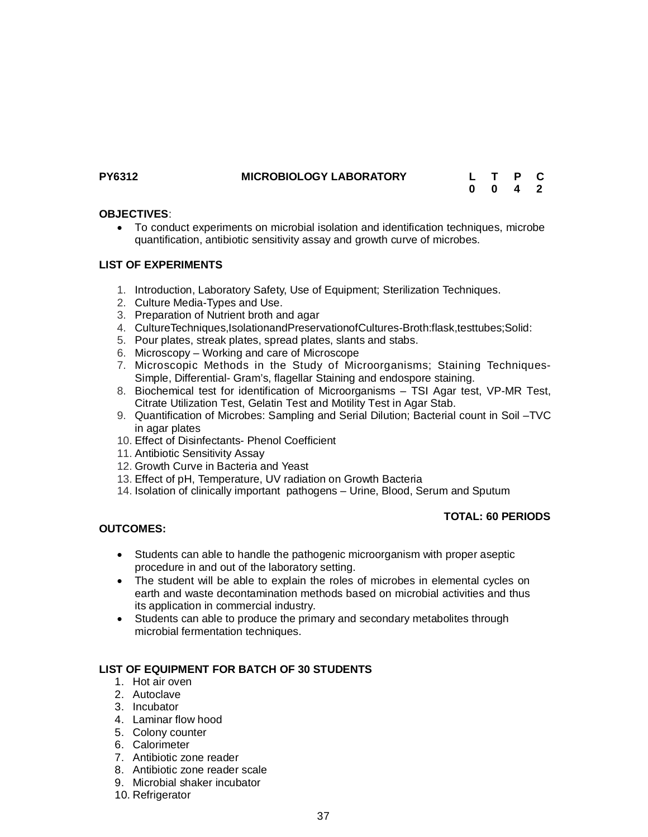## **PY6312 MICROBIOLOGY LABORATORY**

| L | $\top$ | P | С                       |
|---|--------|---|-------------------------|
| 0 | 0      | 4 | $\overline{\mathbf{2}}$ |

## **OBJECTIVES**:

 To conduct experiments on microbial isolation and identification techniques, microbe quantification, antibiotic sensitivity assay and growth curve of microbes.

## **LIST OF EXPERIMENTS**

- 1. Introduction, Laboratory Safety, Use of Equipment; Sterilization Techniques.
- 2. Culture Media-Types and Use.
- 3. Preparation of Nutrient broth and agar
- 4. CultureTechniques,IsolationandPreservationofCultures-Broth:flask,testtubes;Solid:
- 5. Pour plates, streak plates, spread plates, slants and stabs.
- 6. Microscopy Working and care of Microscope
- 7. Microscopic Methods in the Study of Microorganisms; Staining Techniques-Simple, Differential- Gram's, flagellar Staining and endospore staining.
- 8. Biochemical test for identification of Microorganisms TSI Agar test, VP-MR Test, Citrate Utilization Test, Gelatin Test and Motility Test in Agar Stab.
- 9. Quantification of Microbes: Sampling and Serial Dilution; Bacterial count in Soil TVC in agar plates
- 10. Effect of Disinfectants- Phenol Coefficient
- 11. Antibiotic Sensitivity Assay
- 12. Growth Curve in Bacteria and Yeast
- 13. Effect of pH, Temperature, UV radiation on Growth Bacteria
- 14. Isolation of clinically important pathogens Urine, Blood, Serum and Sputum

## **TOTAL: 60 PERIODS**

## **OUTCOMES:**

- Students can able to handle the pathogenic microorganism with proper aseptic procedure in and out of the laboratory setting.
- The student will be able to explain the roles of microbes in elemental cycles on earth and waste decontamination methods based on microbial activities and thus its application in commercial industry.
- Students can able to produce the primary and secondary metabolites through microbial fermentation techniques.

## **LIST OF EQUIPMENT FOR BATCH OF 30 STUDENTS**

- 1. Hot air oven
- 2. Autoclave
- 3. Incubator
- 4. Laminar flow hood
- 5. Colony counter
- 6. Calorimeter
- 7. Antibiotic zone reader
- 8. Antibiotic zone reader scale
- 9. Microbial shaker incubator
- 10. Refrigerator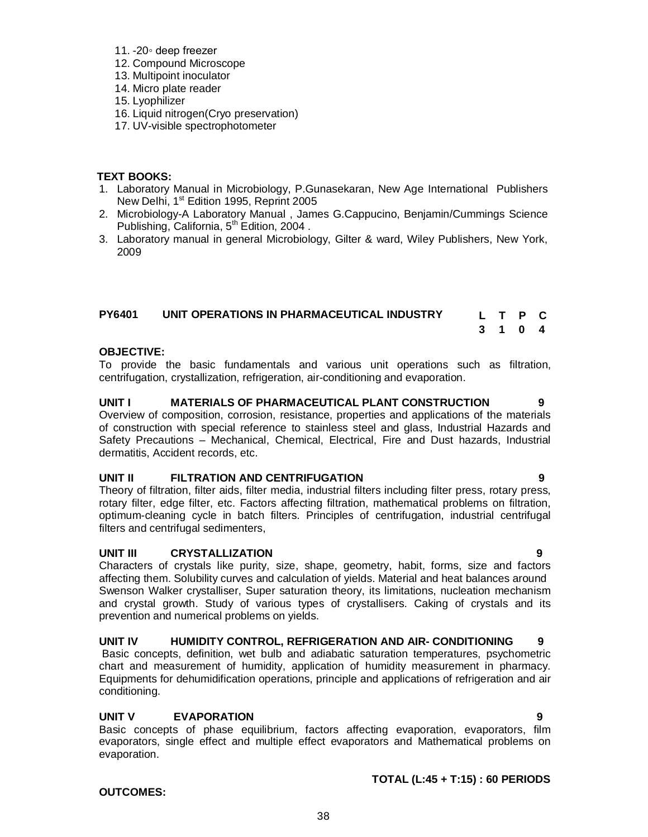## 11. -20◦ deep freezer

- 12. Compound Microscope
- 13. Multipoint inoculator
- 14. Micro plate reader
- 15. Lyophilizer
- 16. Liquid nitrogen(Cryo preservation)
- 17. UV-visible spectrophotometer

## **TEXT BOOKS:**

- 1. Laboratory Manual in Microbiology, P.Gunasekaran, New Age International Publishers New Delhi, 1<sup>st</sup> Edition 1995, Reprint 2005
- 2. Microbiology-A Laboratory Manual , James G.Cappucino, Benjamin/Cummings Science Publishing, California, 5<sup>th</sup> Edition, 2004.
- 3. Laboratory manual in general Microbiology, Gilter & ward, Wiley Publishers, New York, 2009

| <b>PY6401</b> | UNIT OPERATIONS IN PHARMACEUTICAL INDUSTRY | L T P C |         |  |
|---------------|--------------------------------------------|---------|---------|--|
|               |                                            |         | 3 1 0 4 |  |

## **OBJECTIVE:**

To provide the basic fundamentals and various unit operations such as filtration, centrifugation, crystallization, refrigeration, air-conditioning and evaporation.

## **UNIT I MATERIALS OF PHARMACEUTICAL PLANT CONSTRUCTION 9**

Overview of composition, corrosion, resistance, properties and applications of the materials of construction with special reference to stainless steel and glass, Industrial Hazards and Safety Precautions – Mechanical, Chemical, Electrical, Fire and Dust hazards, Industrial dermatitis, Accident records, etc.

## **UNIT II FILTRATION AND CENTRIFUGATION 9**

Theory of filtration, filter aids, filter media, industrial filters including filter press, rotary press, rotary filter, edge filter, etc. Factors affecting filtration, mathematical problems on filtration, optimum-cleaning cycle in batch filters. Principles of centrifugation, industrial centrifugal filters and centrifugal sedimenters,

## **UNIT III CRYSTALLIZATION 9**

Characters of crystals like purity, size, shape, geometry, habit, forms, size and factors affecting them. Solubility curves and calculation of yields. Material and heat balances around Swenson Walker crystalliser, Super saturation theory, its limitations, nucleation mechanism and crystal growth. Study of various types of crystallisers. Caking of crystals and its prevention and numerical problems on yields.

## **UNIT IV HUMIDITY CONTROL, REFRIGERATION AND AIR- CONDITIONING 9**

Basic concepts, definition, wet bulb and adiabatic saturation temperatures, psychometric chart and measurement of humidity, application of humidity measurement in pharmacy. Equipments for dehumidification operations, principle and applications of refrigeration and air conditioning.

## **UNIT V EVAPORATION 9**

Basic concepts of phase equilibrium, factors affecting evaporation, evaporators, film evaporators, single effect and multiple effect evaporators and Mathematical problems on evaporation.

# **TOTAL (L:45 + T:15) : 60 PERIODS**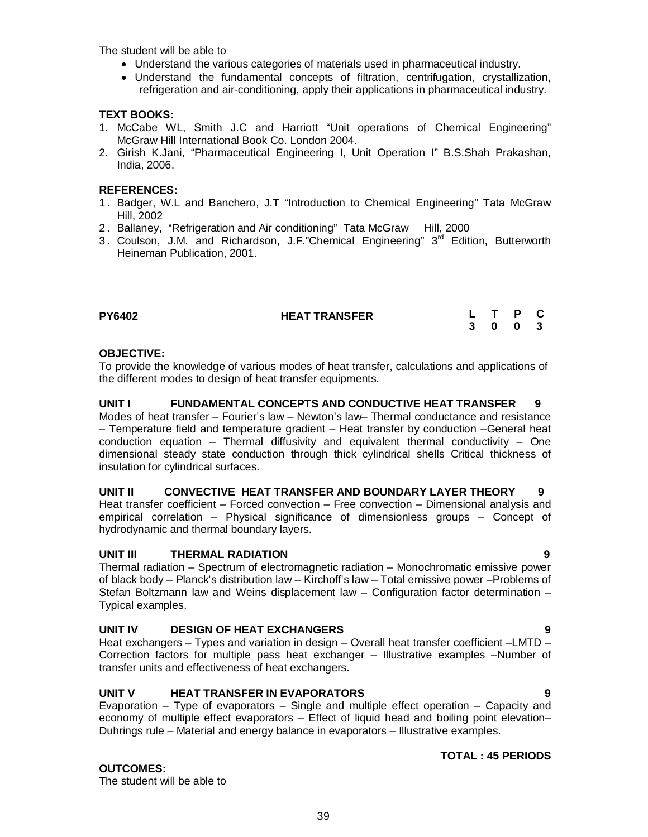The student will be able to

- Understand the various categories of materials used in pharmaceutical industry.
- Understand the fundamental concepts of filtration, centrifugation, crystallization, refrigeration and air-conditioning, apply their applications in pharmaceutical industry.

## **TEXT BOOKS:**

- 1. McCabe WL, Smith J.C and Harriott "Unit operations of Chemical Engineering" McGraw Hill International Book Co. London 2004.
- 2. Girish K.Jani, "Pharmaceutical Engineering I, Unit Operation I" B.S.Shah Prakashan, India, 2006.

## **REFERENCES:**

- 1 . Badger, W.L and Banchero, J.T "Introduction to Chemical Engineering" Tata McGraw Hill, 2002
- 2. Ballaney, "Refrigeration and Air conditioning" Tata McGraw Hill, 2000
- 3. Coulson, J.M. and Richardson, J.F."Chemical Engineering" 3<sup>rd</sup> Edition, Butterworth Heineman Publication, 2001.

| <b>PY6402</b> | <b>HEAT TRANSFER</b> |  | L T P C |  |
|---------------|----------------------|--|---------|--|
|               |                      |  | 3 0 0 3 |  |

## **OBJECTIVE:**

To provide the knowledge of various modes of heat transfer, calculations and applications of the different modes to design of heat transfer equipments.

**UNIT I FUNDAMENTAL CONCEPTS AND CONDUCTIVE HEAT TRANSFER 9** Modes of heat transfer – Fourier's law – Newton's law– Thermal conductance and resistance – Temperature field and temperature gradient – Heat transfer by conduction –General heat conduction equation – Thermal diffusivity and equivalent thermal conductivity – One dimensional steady state conduction through thick cylindrical shells Critical thickness of insulation for cylindrical surfaces.

## **UNIT II CONVECTIVE HEAT TRANSFER AND BOUNDARY LAYER THEORY 9**

Heat transfer coefficient – Forced convection – Free convection – Dimensional analysis and empirical correlation – Physical significance of dimensionless groups – Concept of hydrodynamic and thermal boundary layers.

## **UNIT III THERMAL RADIATION 9**

Thermal radiation – Spectrum of electromagnetic radiation – Monochromatic emissive power of black body – Planck's distribution law – Kirchoff's law – Total emissive power –Problems of Stefan Boltzmann law and Weins displacement law – Configuration factor determination – Typical examples.

## **UNIT IV DESIGN OF HEAT EXCHANGERS 9**

Heat exchangers – Types and variation in design – Overall heat transfer coefficient –LMTD – Correction factors for multiple pass heat exchanger – Illustrative examples –Number of transfer units and effectiveness of heat exchangers.

## **UNIT V HEAT TRANSFER IN EVAPORATORS 9**

Evaporation – Type of evaporators – Single and multiple effect operation – Capacity and economy of multiple effect evaporators – Effect of liquid head and boiling point elevation– Duhrings rule – Material and energy balance in evaporators – Illustrative examples.

## **OUTCOMES:**

The student will be able to

## **TOTAL : 45 PERIODS**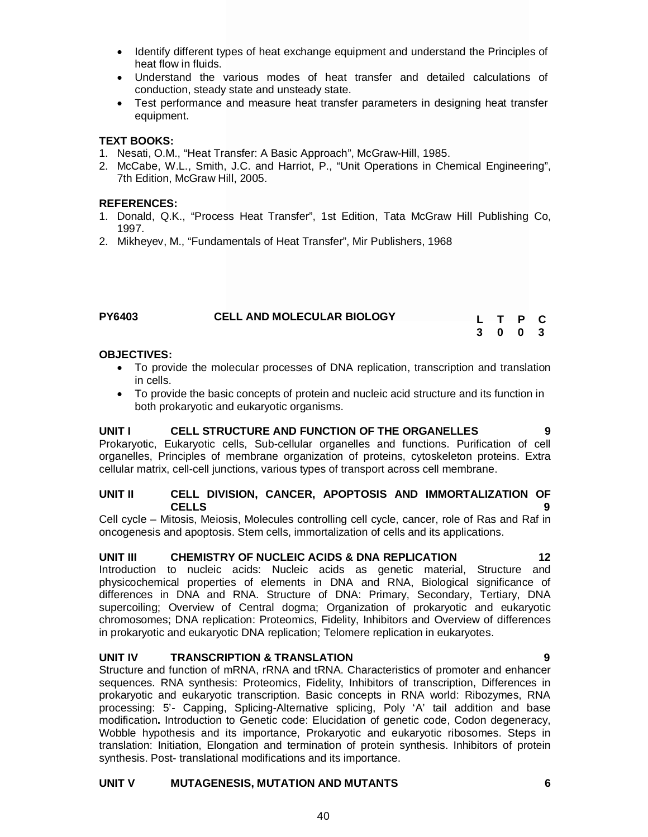- 1. Donald, Q.K., "Process Heat Transfer", 1st Edition, Tata McGraw Hill Publishing Co, 1997.
- 2. Mikheyev, M., "Fundamentals of Heat Transfer", Mir Publishers, 1968

| <b>PY6403</b> | <b>CELL AND MOLECULAR BIOLOGY</b> |  | L T P C |  |
|---------------|-----------------------------------|--|---------|--|
|               |                                   |  | 3 0 0 3 |  |

#### **OBJECTIVES:**

- To provide the molecular processes of DNA replication, transcription and translation in cells.
- To provide the basic concepts of protein and nucleic acid structure and its function in both prokaryotic and eukaryotic organisms.

Prokaryotic, Eukaryotic cells, Sub-cellular organelles and functions. Purification of cell organelles, Principles of membrane organization of proteins, cytoskeleton proteins. Extra cellular matrix, cell-cell junctions, various types of transport across cell membrane.

## **UNIT II CELL DIVISION, CANCER, APOPTOSIS AND IMMORTALIZATION OF CELLS 9**

Cell cycle – Mitosis, Meiosis, Molecules controlling cell cycle, cancer, role of Ras and Raf in oncogenesis and apoptosis. Stem cells, immortalization of cells and its applications.

#### **UNIT III CHEMISTRY OF NUCLEIC ACIDS & DNA REPLICATION 12**

Introduction to nucleic acids: Nucleic acids as genetic material, Structure and physicochemical properties of elements in DNA and RNA, Biological significance of differences in DNA and RNA. Structure of DNA: Primary, Secondary, Tertiary, DNA supercoiling; Overview of Central dogma; Organization of prokaryotic and eukaryotic chromosomes; DNA replication: Proteomics, Fidelity, Inhibitors and Overview of differences in prokaryotic and eukaryotic DNA replication; Telomere replication in eukaryotes.

## **UNIT IV TRANSCRIPTION & TRANSLATION 9**

Structure and function of mRNA, rRNA and tRNA. Characteristics of promoter and enhancer sequences. RNA synthesis: Proteomics, Fidelity, Inhibitors of transcription, Differences in prokaryotic and eukaryotic transcription. Basic concepts in RNA world: Ribozymes, RNA processing: 5'- Capping, Splicing-Alternative splicing, Poly 'A' tail addition and base modification**.** Introduction to Genetic code: Elucidation of genetic code, Codon degeneracy, Wobble hypothesis and its importance, Prokaryotic and eukaryotic ribosomes. Steps in translation: Initiation, Elongation and termination of protein synthesis. Inhibitors of protein synthesis. Post- translational modifications and its importance.

## **UNIT V MUTAGENESIS, MUTATION AND MUTANTS 6**

- Identify different types of heat exchange equipment and understand the Principles of heat flow in fluids.
- Understand the various modes of heat transfer and detailed calculations of conduction, steady state and unsteady state.
- Test performance and measure heat transfer parameters in designing heat transfer equipment.

## **TEXT BOOKS:**

- 1. Nesati, O.M., "Heat Transfer: A Basic Approach", McGraw-Hill, 1985.
- 2. McCabe, W.L., Smith, J.C. and Harriot, P., "Unit Operations in Chemical Engineering", 7th Edition, McGraw Hill, 2005.

## **REFERENCES:**

- 
- 
- 

## **UNIT I CELL STRUCTURE AND FUNCTION OF THE ORGANELLES 9**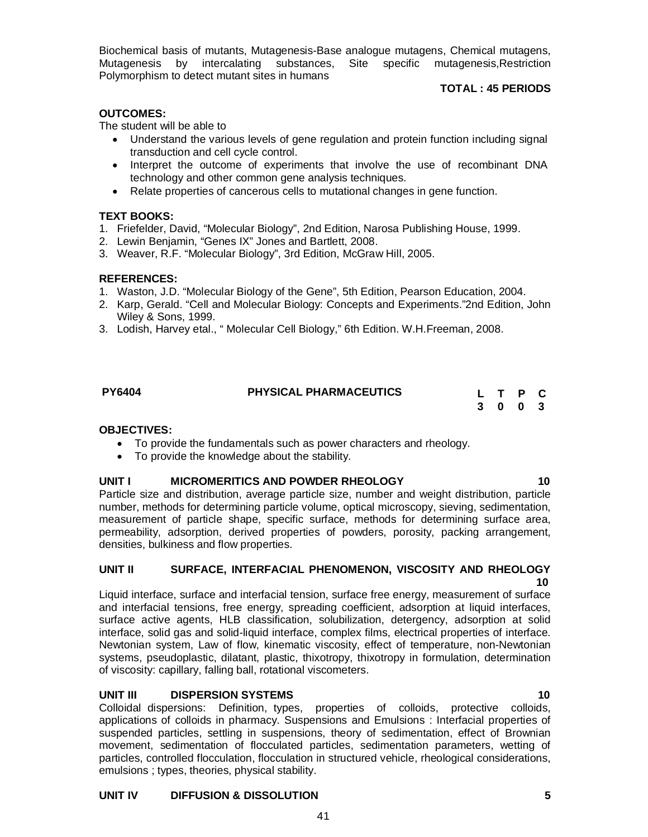Biochemical basis of mutants, Mutagenesis-Base analogue mutagens, Chemical mutagens, Mutagenesis by intercalating substances, Site specific mutagenesis,Restriction Polymorphism to detect mutant sites in humans

## **TOTAL : 45 PERIODS**

## **OUTCOMES:**

The student will be able to

- Understand the various levels of gene regulation and protein function including signal transduction and cell cycle control.
- Interpret the outcome of experiments that involve the use of recombinant DNA technology and other common gene analysis techniques.
- Relate properties of cancerous cells to mutational changes in gene function.

## **TEXT BOOKS:**

- 1. Friefelder, David, "Molecular Biology", 2nd Edition, Narosa Publishing House, 1999.
- 2. Lewin Benjamin, "Genes IX" Jones and Bartlett, 2008.
- 3. Weaver, R.F. "Molecular Biology", 3rd Edition, McGraw Hill, 2005.

## **REFERENCES:**

- 1. Waston, J.D. "Molecular Biology of the Gene", 5th Edition, Pearson Education, 2004.
- 2. Karp, Gerald. "Cell and Molecular Biology: Concepts and Experiments."2nd Edition, John Wiley & Sons, 1999.
- 3. Lodish, Harvey etal., " Molecular Cell Biology," 6th Edition. W.H.Freeman, 2008.

| <b>PHYSICAL PHARMACEUTICS</b><br><b>PY6404</b> |  | L T P C |  |
|------------------------------------------------|--|---------|--|
|                                                |  | 3 0 0 3 |  |

## **OBJECTIVES:**

- To provide the fundamentals such as power characters and rheology.
- To provide the knowledge about the stability.

## **UNIT I MICROMERITICS AND POWDER RHEOLOGY 40**

Particle size and distribution, average particle size, number and weight distribution, particle number, methods for determining particle volume, optical microscopy, sieving, sedimentation, measurement of particle shape, specific surface, methods for determining surface area, permeability, adsorption, derived properties of powders, porosity, packing arrangement, densities, bulkiness and flow properties.

## **UNIT II SURFACE, INTERFACIAL PHENOMENON, VISCOSITY AND RHEOLOGY 10**

Liquid interface, surface and interfacial tension, surface free energy, measurement of surface and interfacial tensions, free energy, spreading coefficient, adsorption at liquid interfaces, surface active agents, HLB classification, solubilization, detergency, adsorption at solid interface, solid gas and solid-liquid interface, complex films, electrical properties of interface. Newtonian system, Law of flow, kinematic viscosity, effect of temperature, non-Newtonian systems, pseudoplastic, dilatant, plastic, thixotropy, thixotropy in formulation, determination of viscosity: capillary, falling ball, rotational viscometers.

## **UNIT III DISPERSION SYSTEMS 10**

Colloidal dispersions: Definition, types, properties of colloids, protective colloids, applications of colloids in pharmacy. Suspensions and Emulsions : Interfacial properties of suspended particles, settling in suspensions, theory of sedimentation, effect of Brownian movement, sedimentation of flocculated particles, sedimentation parameters, wetting of particles, controlled flocculation, flocculation in structured vehicle, rheological considerations, emulsions ; types, theories, physical stability.

41

## **UNIT IV DIFFUSION & DISSOLUTION 5**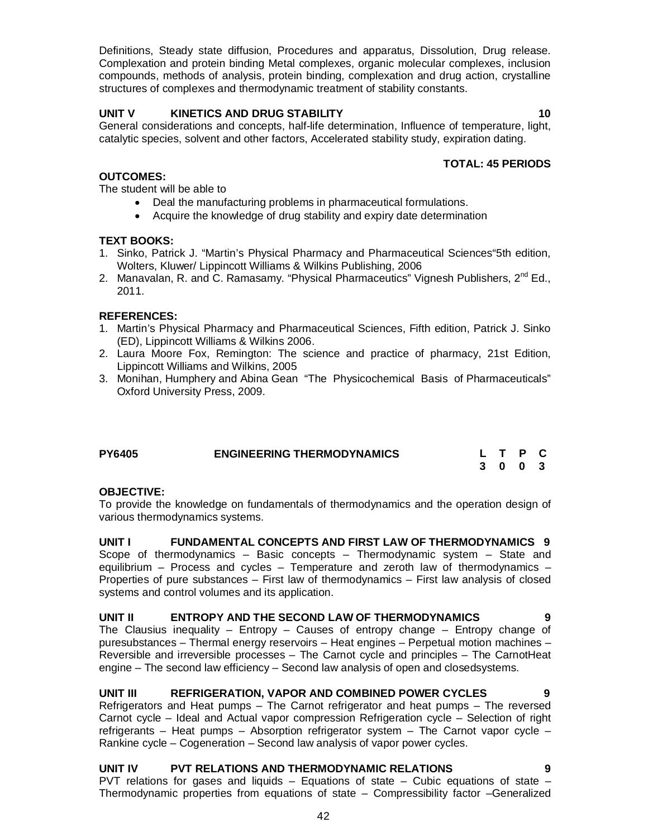Definitions, Steady state diffusion, Procedures and apparatus, Dissolution, Drug release. Complexation and protein binding Metal complexes, organic molecular complexes, inclusion compounds, methods of analysis, protein binding, complexation and drug action, crystalline structures of complexes and thermodynamic treatment of stability constants.

## **UNIT V KINETICS AND DRUG STABILITY 10**

General considerations and concepts, half-life determination, Influence of temperature, light, catalytic species, solvent and other factors, Accelerated stability study, expiration dating.

## **TOTAL: 45 PERIODS**

## **OUTCOMES:**

The student will be able to

- Deal the manufacturing problems in pharmaceutical formulations.
- Acquire the knowledge of drug stability and expiry date determination

## **TEXT BOOKS:**

- 1. Sinko, Patrick J. "Martin's Physical Pharmacy and Pharmaceutical Sciences"5th edition, Wolters, Kluwer/ Lippincott Williams & Wilkins Publishing, 2006
- 2. Manavalan, R. and C. Ramasamy. "Physical Pharmaceutics" Vignesh Publishers, 2<sup>nd</sup> Ed., 2011.

## **REFERENCES:**

- 1. Martin's Physical Pharmacy and Pharmaceutical Sciences, Fifth edition, Patrick J. Sinko (ED), Lippincott Williams & Wilkins 2006.
- 2. Laura Moore Fox, Remington: The science and practice of pharmacy, 21st Edition, Lippincott Williams and Wilkins, 2005
- 3. Monihan, Humphery and Abina Gean "The Physicochemical Basis of Pharmaceuticals" Oxford University Press, 2009.

| <b>PY6405</b> | <b>ENGINEERING THERMODYNAMICS</b> | L T P C |  |
|---------------|-----------------------------------|---------|--|
|               |                                   | 3 0 0 3 |  |

## **OBJECTIVE:**

To provide the knowledge on fundamentals of thermodynamics and the operation design of various thermodynamics systems.

**UNIT I FUNDAMENTAL CONCEPTS AND FIRST LAW OF THERMODYNAMICS 9** Scope of thermodynamics – Basic concepts – Thermodynamic system – State and equilibrium – Process and cycles – Temperature and zeroth law of thermodynamics – Properties of pure substances – First law of thermodynamics – First law analysis of closed systems and control volumes and its application.

## **UNIT II ENTROPY AND THE SECOND LAW OF THERMODYNAMICS 9**

The Clausius inequality – Entropy – Causes of entropy change – Entropy change of puresubstances – Thermal energy reservoirs – Heat engines – Perpetual motion machines – Reversible and irreversible processes – The Carnot cycle and principles – The CarnotHeat engine – The second law efficiency – Second law analysis of open and closedsystems.

## **UNIT III REFRIGERATION, VAPOR AND COMBINED POWER CYCLES 9**

Refrigerators and Heat pumps – The Carnot refrigerator and heat pumps – The reversed Carnot cycle – Ideal and Actual vapor compression Refrigeration cycle – Selection of right refrigerants – Heat pumps – Absorption refrigerator system – The Carnot vapor cycle – Rankine cycle – Cogeneration – Second law analysis of vapor power cycles.

## **UNIT IV PVT RELATIONS AND THERMODYNAMIC RELATIONS 9**

PVT relations for gases and liquids  $-$  Equations of state  $-$  Cubic equations of state  $-$ Thermodynamic properties from equations of state – Compressibility factor –Generalized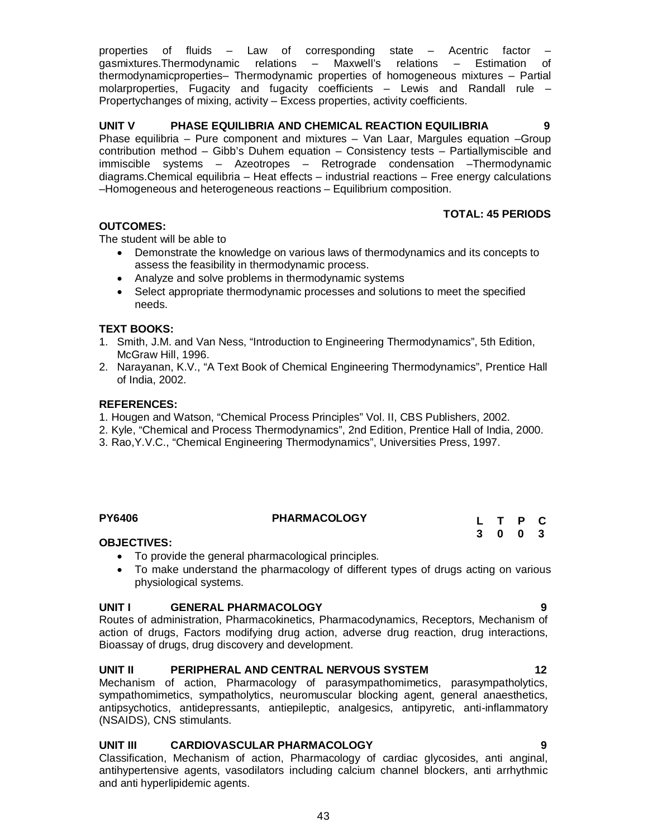properties of fluids – Law of corresponding state – Acentric factor – gasmixtures.Thermodynamic relations – Maxwell's relations – Estimation of thermodynamicproperties– Thermodynamic properties of homogeneous mixtures – Partial molarproperties, Fugacity and fugacity coefficients – Lewis and Randall rule – Propertychanges of mixing, activity – Excess properties, activity coefficients.

## **UNIT V PHASE EQUILIBRIA AND CHEMICAL REACTION EQUILIBRIA 9**

Phase equilibria – Pure component and mixtures – Van Laar, Margules equation –Group contribution method – Gibb's Duhem equation – Consistency tests – Partiallymiscible and immiscible systems – Azeotropes – Retrograde condensation –Thermodynamic diagrams.Chemical equilibria – Heat effects – industrial reactions – Free energy calculations –Homogeneous and heterogeneous reactions – Equilibrium composition.

## **TOTAL: 45 PERIODS**

## **OUTCOMES:**

The student will be able to

- Demonstrate the knowledge on various laws of thermodynamics and its concepts to assess the feasibility in thermodynamic process.
- Analyze and solve problems in thermodynamic systems
- Select appropriate thermodynamic processes and solutions to meet the specified needs.

## **TEXT BOOKS:**

- 1. Smith, J.M. and Van Ness, "Introduction to Engineering Thermodynamics", 5th Edition, McGraw Hill, 1996.
- 2. Narayanan, K.V., "A Text Book of Chemical Engineering Thermodynamics", Prentice Hall of India, 2002.

## **REFERENCES:**

- 1. Hougen and Watson, "Chemical Process Principles" Vol. II, CBS Publishers, 2002.
- 2. Kyle, "Chemical and Process Thermodynamics", 2nd Edition, Prentice Hall of India, 2000.
- 3. Rao,Y.V.C., "Chemical Engineering Thermodynamics", Universities Press, 1997.

## **PY6406 PHARMACOLOGY**

**L T P C 3 0 0 3**

## **OBJECTIVES:**

- To provide the general pharmacological principles.
- To make understand the pharmacology of different types of drugs acting on various physiological systems.

## **UNIT I GENERAL PHARMACOLOGY 9**

Routes of administration, Pharmacokinetics, Pharmacodynamics, Receptors, Mechanism of action of drugs, Factors modifying drug action, adverse drug reaction, drug interactions, Bioassay of drugs, drug discovery and development.

## **UNIT II PERIPHERAL AND CENTRAL NERVOUS SYSTEM 12**

Mechanism of action, Pharmacology of parasympathomimetics, parasympatholytics, sympathomimetics, sympatholytics, neuromuscular blocking agent, general anaesthetics, antipsychotics, antidepressants, antiepileptic, analgesics, antipyretic, anti-inflammatory (NSAIDS), CNS stimulants.

## **UNIT III CARDIOVASCULAR PHARMACOLOGY 9**

Classification, Mechanism of action, Pharmacology of cardiac glycosides, anti anginal, antihypertensive agents, vasodilators including calcium channel blockers, anti arrhythmic and anti hyperlipidemic agents.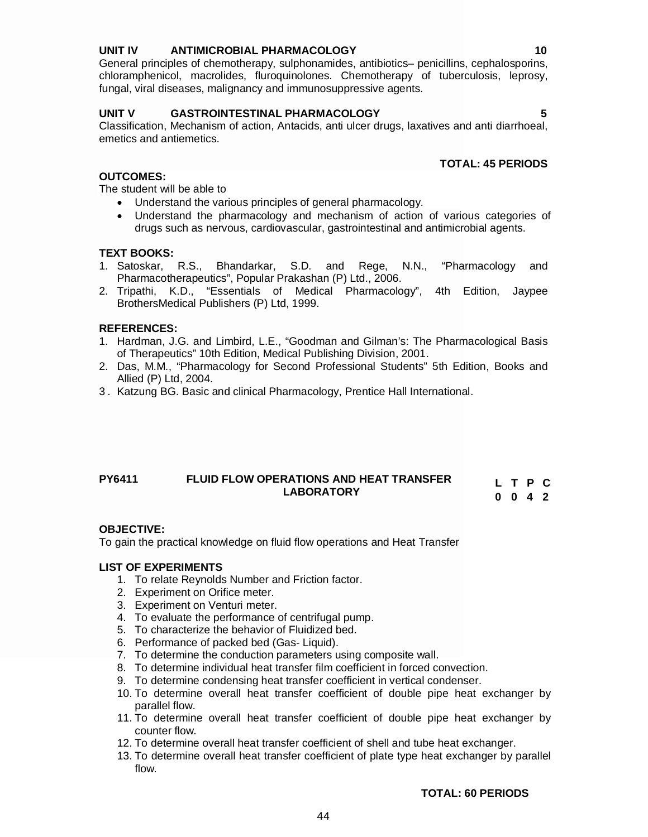## **UNIT IV ANTIMICROBIAL PHARMACOLOGY 10**

General principles of chemotherapy, sulphonamides, antibiotics– penicillins, cephalosporins, chloramphenicol, macrolides, fluroquinolones. Chemotherapy of tuberculosis, leprosy, fungal, viral diseases, malignancy and immunosuppressive agents.

## **UNIT V GASTROINTESTINAL PHARMACOLOGY 5**

Classification, Mechanism of action, Antacids, anti ulcer drugs, laxatives and anti diarrhoeal, emetics and antiemetics.

## **TOTAL: 45 PERIODS**

## **OUTCOMES:**

The student will be able to

- Understand the various principles of general pharmacology.
- Understand the pharmacology and mechanism of action of various categories of drugs such as nervous, cardiovascular, gastrointestinal and antimicrobial agents.

## **TEXT BOOKS:**

- 1. Satoskar, R.S., Bhandarkar, S.D. and Rege, N.N., "Pharmacology and Pharmacotherapeutics", Popular Prakashan (P) Ltd., 2006.
- 2. Tripathi, K.D., "Essentials of Medical Pharmacology", 4th Edition, Jaypee BrothersMedical Publishers (P) Ltd, 1999.

## **REFERENCES:**

- 1. Hardman, J.G. and Limbird, L.E., "Goodman and Gilman's: The Pharmacological Basis of Therapeutics" 10th Edition, Medical Publishing Division, 2001.
- 2. Das, M.M., "Pharmacology for Second Professional Students" 5th Edition, Books and Allied (P) Ltd, 2004.
- 3 . Katzung BG. Basic and clinical Pharmacology, Prentice Hall International.

## **PY6411 FLUID FLOW OPERATIONS AND HEAT TRANSFER LABORATORY**

|  | LTPC            |  |
|--|-----------------|--|
|  | $0 \t0 \t4 \t2$ |  |

## **OBJECTIVE:**

To gain the practical knowledge on fluid flow operations and Heat Transfer

## **LIST OF EXPERIMENTS**

- 1. To relate Reynolds Number and Friction factor.
- 2. Experiment on Orifice meter.
- 3. Experiment on Venturi meter.
- 4. To evaluate the performance of centrifugal pump.
- 5. To characterize the behavior of Fluidized bed.
- 6. Performance of packed bed (Gas- Liquid).
- 7. To determine the conduction parameters using composite wall.
- 8. To determine individual heat transfer film coefficient in forced convection.
- 9. To determine condensing heat transfer coefficient in vertical condenser.
- 10. To determine overall heat transfer coefficient of double pipe heat exchanger by parallel flow.
- 11. To determine overall heat transfer coefficient of double pipe heat exchanger by counter flow.
- 12. To determine overall heat transfer coefficient of shell and tube heat exchanger.

44

13. To determine overall heat transfer coefficient of plate type heat exchanger by parallel flow.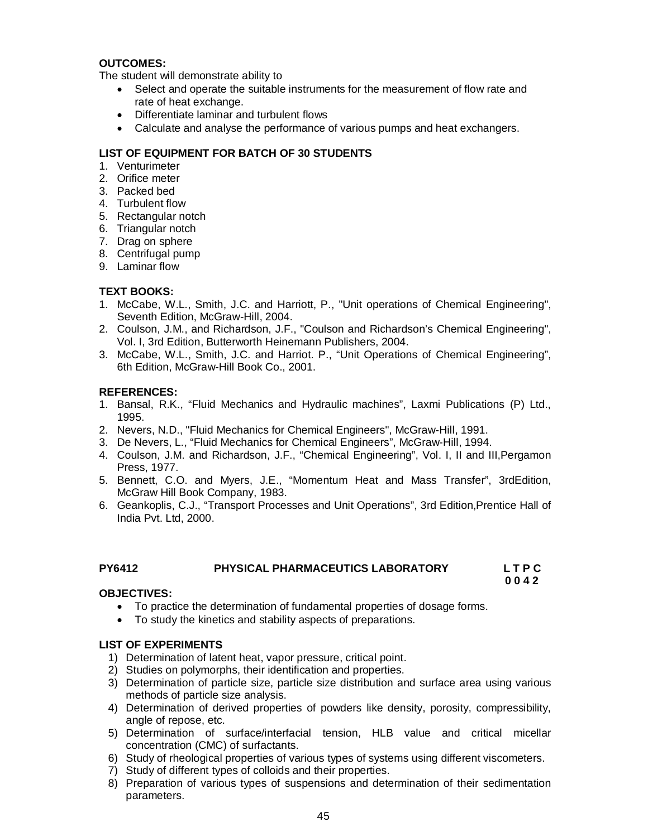## **OUTCOMES:**

The student will demonstrate ability to

- Select and operate the suitable instruments for the measurement of flow rate and rate of heat exchange.
- Differentiate laminar and turbulent flows
- Calculate and analyse the performance of various pumps and heat exchangers.

## **LIST OF EQUIPMENT FOR BATCH OF 30 STUDENTS**

- 1. Venturimeter
- 2. Orifice meter
- 3. Packed bed
- 4. Turbulent flow
- 5. Rectangular notch
- 6. Triangular notch
- 7. Drag on sphere
- 8. Centrifugal pump
- 9. Laminar flow

## **TEXT BOOKS:**

- 1. McCabe, W.L., Smith, J.C. and Harriott, P., "Unit operations of Chemical Engineering", Seventh Edition, McGraw-Hill, 2004.
- 2. Coulson, J.M., and Richardson, J.F., "Coulson and Richardson's Chemical Engineering", Vol. I, 3rd Edition, Butterworth Heinemann Publishers, 2004.
- 3. McCabe, W.L., Smith, J.C. and Harriot. P., "Unit Operations of Chemical Engineering", 6th Edition, McGraw-Hill Book Co., 2001.

## **REFERENCES:**

- 1. Bansal, R.K., "Fluid Mechanics and Hydraulic machines", Laxmi Publications (P) Ltd., 1995.
- 2. Nevers, N.D., "Fluid Mechanics for Chemical Engineers", McGraw-Hill, 1991.
- 3. De Nevers, L., "Fluid Mechanics for Chemical Engineers", McGraw-Hill, 1994.
- 4. Coulson, J.M. and Richardson, J.F., "Chemical Engineering", Vol. I, II and III,Pergamon Press, 1977.
- 5. Bennett, C.O. and Myers, J.E., "Momentum Heat and Mass Transfer", 3rdEdition, McGraw Hill Book Company, 1983.
- 6. Geankoplis, C.J., "Transport Processes and Unit Operations", 3rd Edition,Prentice Hall of India Pvt. Ltd, 2000.

## **PY6412 PHYSICAL PHARMACEUTICS LABORATORY L T P C**

**0 0 4 2**

## **OBJECTIVES:**

- To practice the determination of fundamental properties of dosage forms.
- To study the kinetics and stability aspects of preparations.

## **LIST OF EXPERIMENTS**

- 1) Determination of latent heat, vapor pressure, critical point.
- 2) Studies on polymorphs, their identification and properties.
- 3) Determination of particle size, particle size distribution and surface area using various methods of particle size analysis.
- 4) Determination of derived properties of powders like density, porosity, compressibility, angle of repose, etc.
- 5) Determination of surface/interfacial tension, HLB value and critical micellar concentration (CMC) of surfactants.
- 6) Study of rheological properties of various types of systems using different viscometers.
- 7) Study of different types of colloids and their properties.
- 8) Preparation of various types of suspensions and determination of their sedimentation parameters.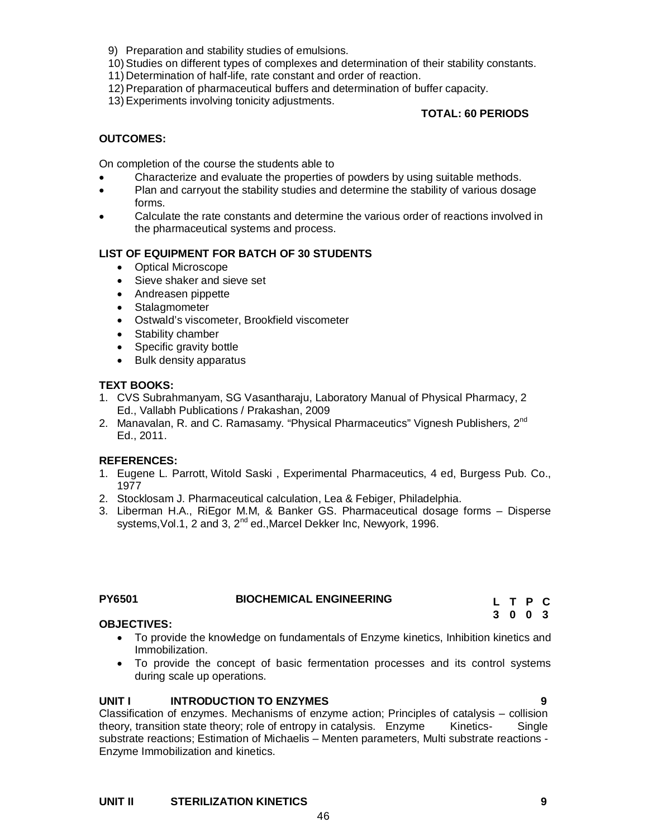- 9) Preparation and stability studies of emulsions.
- 10)Studies on different types of complexes and determination of their stability constants.
- 11) Determination of half-life, rate constant and order of reaction.
- 12)Preparation of pharmaceutical buffers and determination of buffer capacity.
- 13)Experiments involving tonicity adjustments.

## **TOTAL: 60 PERIODS**

## **OUTCOMES:**

On completion of the course the students able to

- Characterize and evaluate the properties of powders by using suitable methods.
- Plan and carryout the stability studies and determine the stability of various dosage forms.
- Calculate the rate constants and determine the various order of reactions involved in the pharmaceutical systems and process.

## **LIST OF EQUIPMENT FOR BATCH OF 30 STUDENTS**

- Optical Microscope
- Sieve shaker and sieve set
- Andreasen pippette
- Stalagmometer
- Ostwald's viscometer, Brookfield viscometer
- Stability chamber
- Specific gravity bottle
- Bulk density apparatus

## **TEXT BOOKS:**

- 1. CVS Subrahmanyam, SG Vasantharaju, Laboratory Manual of Physical Pharmacy, 2 Ed., Vallabh Publications / Prakashan, 2009
- 2. Manavalan, R. and C. Ramasamy. "Physical Pharmaceutics" Vignesh Publishers, 2<sup>nd</sup> Ed., 2011.

## **REFERENCES:**

- 1. Eugene L. Parrott, Witold Saski , Experimental Pharmaceutics, 4 ed, Burgess Pub. Co., 1977
- 2. Stocklosam J. Pharmaceutical calculation, Lea & Febiger, Philadelphia.
- 3. Liberman H.A., RiEgor M.M, & Banker GS. Pharmaceutical dosage forms Disperse systems, Vol.1, 2 and 3, 2<sup>nd</sup> ed., Marcel Dekker Inc, Newyork, 1996.

## **PY6501 BIOCHEMICAL ENGINEERING**

**L T P C 3 0 0 3**

## **OBJECTIVES:**

- To provide the knowledge on fundamentals of Enzyme kinetics, Inhibition kinetics and Immobilization.
- To provide the concept of basic fermentation processes and its control systems during scale up operations.

## **UNIT I INTRODUCTION TO ENZYMES 9**

Classification of enzymes. Mechanisms of enzyme action; Principles of catalysis – collision theory, transition state theory; role of entropy in catalysis. Enzyme Kinetics- Single substrate reactions; Estimation of Michaelis – Menten parameters, Multi substrate reactions - Enzyme Immobilization and kinetics.

46

## **UNIT II STERILIZATION KINETICS 9**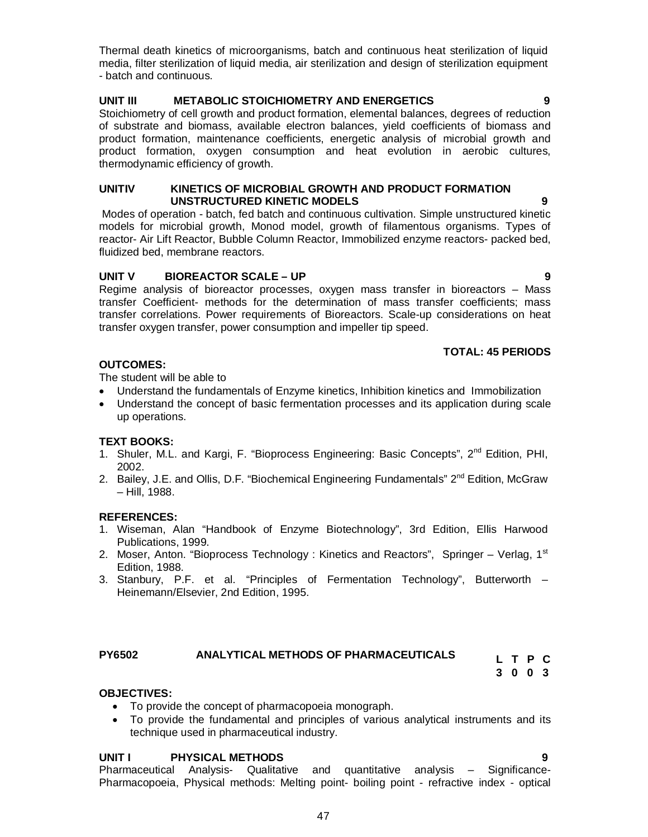Thermal death kinetics of microorganisms, batch and continuous heat sterilization of liquid media, filter sterilization of liquid media, air sterilization and design of sterilization equipment - batch and continuous.

## **UNIT III METABOLIC STOICHIOMETRY AND ENERGETICS 9**

Stoichiometry of cell growth and product formation, elemental balances, degrees of reduction of substrate and biomass, available electron balances, yield coefficients of biomass and product formation, maintenance coefficients, energetic analysis of microbial growth and product formation, oxygen consumption and heat evolution in aerobic cultures, thermodynamic efficiency of growth.

## **UNITIV KINETICS OF MICROBIAL GROWTH AND PRODUCT FORMATION UNSTRUCTURED KINETIC MODELS 9**

Modes of operation - batch, fed batch and continuous cultivation. Simple unstructured kinetic models for microbial growth, Monod model, growth of filamentous organisms. Types of reactor- Air Lift Reactor, Bubble Column Reactor, Immobilized enzyme reactors- packed bed, fluidized bed, membrane reactors.

## **UNIT V BIOREACTOR SCALE – UP 9**

Regime analysis of bioreactor processes, oxygen mass transfer in bioreactors – Mass transfer Coefficient- methods for the determination of mass transfer coefficients; mass transfer correlations. Power requirements of Bioreactors. Scale-up considerations on heat transfer oxygen transfer, power consumption and impeller tip speed.

## **TOTAL: 45 PERIODS**

## **OUTCOMES:**

The student will be able to

- Understand the fundamentals of Enzyme kinetics, Inhibition kinetics and Immobilization
- Understand the concept of basic fermentation processes and its application during scale up operations.

## **TEXT BOOKS:**

- 1. Shuler, M.L. and Kargi, F. "Bioprocess Engineering: Basic Concepts", 2<sup>nd</sup> Edition, PHI, 2002.
- 2. Bailey, J.E. and Ollis, D.F. "Biochemical Engineering Fundamentals"  $2^{nd}$  Edition, McGraw – Hill, 1988.

## **REFERENCES:**

- 1. Wiseman, Alan "Handbook of Enzyme Biotechnology", 3rd Edition, Ellis Harwood Publications, 1999.
- 2. Moser, Anton. "Bioprocess Technology: Kinetics and Reactors", Springer Verlag,  $1<sup>st</sup>$ Edition, 1988.
- 3. Stanbury, P.F. et al. "Principles of Fermentation Technology", Butterworth Heinemann/Elsevier, 2nd Edition, 1995.

## **PY6502 ANALYTICAL METHODS OF PHARMACEUTICALS**

**L T P C 3 0 0 3**

## **OBJECTIVES:**

- To provide the concept of pharmacopoeia monograph.
- To provide the fundamental and principles of various analytical instruments and its technique used in pharmaceutical industry.

## **UNIT I PHYSICAL METHODS 9**

Pharmaceutical Analysis- Qualitative and quantitative analysis – Significance-Pharmacopoeia, Physical methods: Melting point- boiling point - refractive index - optical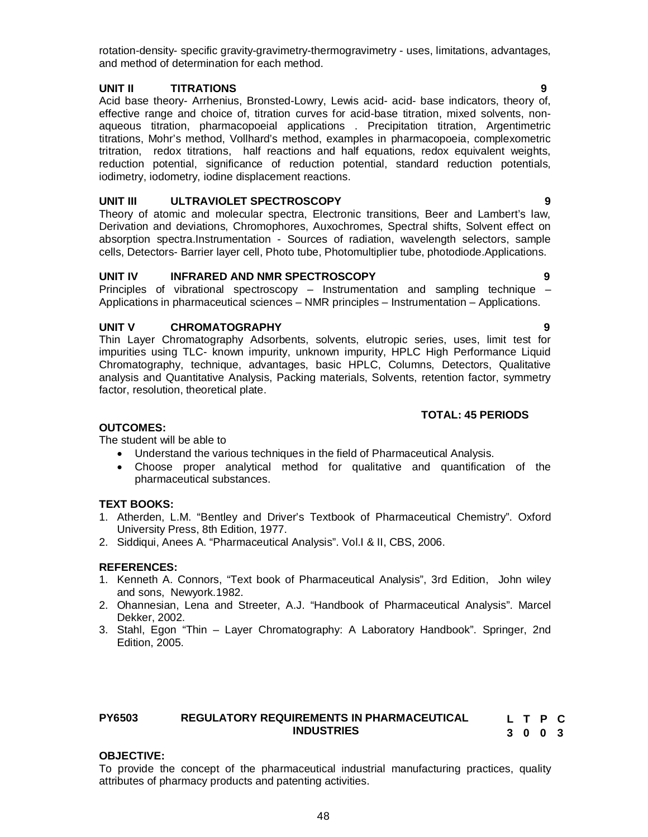rotation-density- specific gravity-gravimetry-thermogravimetry - uses, limitations, advantages, and method of determination for each method.

## **UNIT II TITRATIONS 9**

Acid base theory- Arrhenius, Bronsted-Lowry, Lewis acid- acid- base indicators, theory of, effective range and choice of, titration curves for acid-base titration, mixed solvents, nonaqueous titration, pharmacopoeial applications . Precipitation titration, Argentimetric titrations, Mohr's method, Vollhard's method, examples in pharmacopoeia, complexometric tritration, redox titrations, half reactions and half equations, redox equivalent weights, reduction potential, significance of reduction potential, standard reduction potentials, iodimetry, iodometry, iodine displacement reactions.

## **UNIT III ULTRAVIOLET SPECTROSCOPY 9**

Theory of atomic and molecular spectra, Electronic transitions, Beer and Lambert's law, Derivation and deviations, Chromophores, Auxochromes, Spectral shifts, Solvent effect on absorption spectra.Instrumentation - Sources of radiation, wavelength selectors, sample cells, Detectors- Barrier layer cell, Photo tube, Photomultiplier tube, photodiode.Applications.

## **UNIT IV INFRARED AND NMR SPECTROSCOPY 9**

Principles of vibrational spectroscopy – Instrumentation and sampling technique – Applications in pharmaceutical sciences – NMR principles – Instrumentation – Applications.

## **UNIT V CHROMATOGRAPHY 9**

Thin Layer Chromatography Adsorbents, solvents, elutropic series, uses, limit test for impurities using TLC- known impurity, unknown impurity, HPLC High Performance Liquid Chromatography, technique, advantages, basic HPLC, Columns, Detectors, Qualitative analysis and Quantitative Analysis, Packing materials, Solvents, retention factor, symmetry factor, resolution, theoretical plate.

## **TOTAL: 45 PERIODS**

## **OUTCOMES:**

The student will be able to

- Understand the various techniques in the field of Pharmaceutical Analysis.
- Choose proper analytical method for qualitative and quantification of the pharmaceutical substances.

## **TEXT BOOKS:**

- 1. Atherden, L.M. "Bentley and Driver's Textbook of Pharmaceutical Chemistry". Oxford University Press, 8th Edition, 1977.
- 2. Siddiqui, Anees A. "Pharmaceutical Analysis". Vol.I & II, CBS, 2006.

## **REFERENCES:**

- 1. Kenneth A. Connors, "Text book of Pharmaceutical Analysis", 3rd Edition, John wiley and sons, Newyork.1982.
- 2. Ohannesian, Lena and Streeter, A.J. "Handbook of Pharmaceutical Analysis". Marcel Dekker, 2002.
- 3. Stahl, Egon "Thin Layer Chromatography: A Laboratory Handbook". Springer, 2nd Edition, 2005.

#### **PY6503 REGULATORY REQUIREMENTS IN PHARMACEUTICAL INDUSTRIES L T P C 3 0 0 3**

## **OBJECTIVE:**

To provide the concept of the pharmaceutical industrial manufacturing practices, quality attributes of pharmacy products and patenting activities.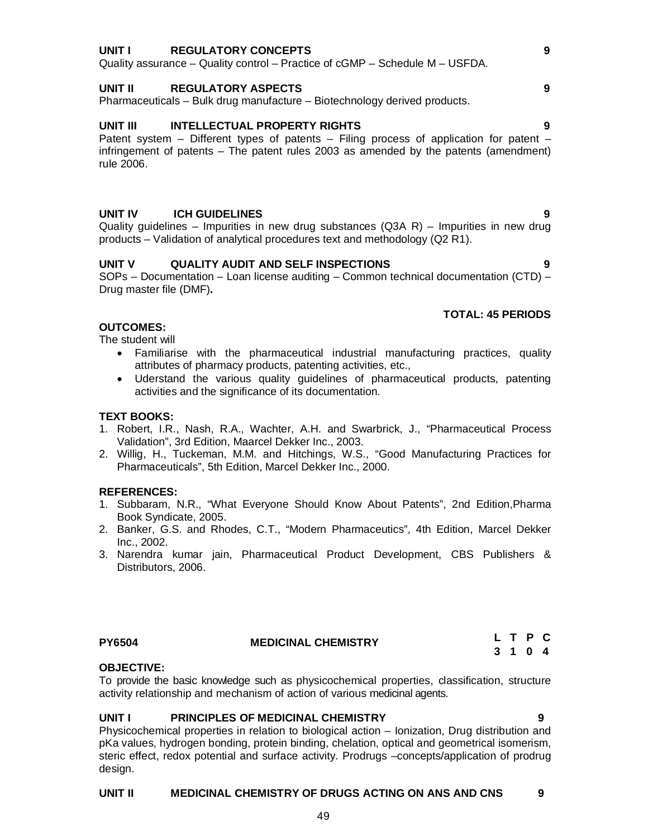#### **UNIT I REGULATORY CONCEPTS 9**

Quality assurance – Quality control – Practice of cGMP – Schedule M – USFDA.

## **UNIT II REGULATORY ASPECTS 9**

Pharmaceuticals – Bulk drug manufacture – Biotechnology derived products.

## **UNIT III INTELLECTUAL PROPERTY RIGHTS 9**

Patent system – Different types of patents – Filing process of application for patent – infringement of patents – The patent rules 2003 as amended by the patents (amendment) rule 2006.

## **UNIT IV ICH GUIDELINES 9**

Quality guidelines – Impurities in new drug substances (Q3A R) – Impurities in new drug products – Validation of analytical procedures text and methodology (Q2 R1).

## **UNIT V QUALITY AUDIT AND SELF INSPECTIONS 9**

SOPs – Documentation – Loan license auditing – Common technical documentation (CTD) – Drug master file (DMF)**.**

## **TOTAL: 45 PERIODS**

## **OUTCOMES:**

The student will

- Familiarise with the pharmaceutical industrial manufacturing practices, quality attributes of pharmacy products, patenting activities, etc.,
- Uderstand the various quality guidelines of pharmaceutical products, patenting activities and the significance of its documentation.

#### **TEXT BOOKS:**

- 1. Robert, I.R., Nash, R.A., Wachter, A.H. and Swarbrick, J., "Pharmaceutical Process Validation", 3rd Edition, Maarcel Dekker Inc., 2003.
- 2. Willig, H., Tuckeman, M.M. and Hitchings, W.S., "Good Manufacturing Practices for Pharmaceuticals", 5th Edition, Marcel Dekker Inc., 2000.

## **REFERENCES:**

- 1. Subbaram, N.R., "What Everyone Should Know About Patents", 2nd Edition,Pharma Book Syndicate, 2005.
- 2. Banker, G.S. and Rhodes, C.T., "Modern Pharmaceutics", 4th Edition, Marcel Dekker Inc., 2002.
- 3. Narendra kumar jain, Pharmaceutical Product Development, CBS Publishers & Distributors, 2006.

## **PY6504 MEDICINAL CHEMISTRY**

**L T P C 3 1 0 4**

## **OBJECTIVE:**

To provide the basic knowledge such as physicochemical properties, classification, structure activity relationship and mechanism of action of various medicinal agents.

## **UNIT I PRINCIPLES OF MEDICINAL CHEMISTRY 9**

Physicochemical properties in relation to biological action – Ionization, Drug distribution and pKa values, hydrogen bonding, protein binding, chelation, optical and geometrical isomerism, steric effect, redox potential and surface activity. Prodrugs –concepts/application of prodrug design.

## **UNIT II MEDICINAL CHEMISTRY OF DRUGS ACTING ON ANS AND CNS 9**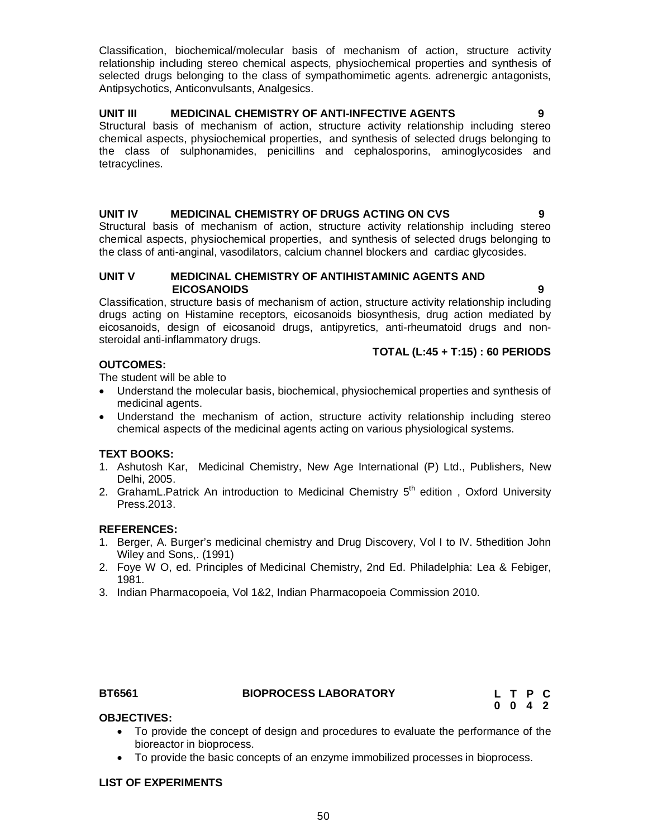Classification, biochemical/molecular basis of mechanism of action, structure activity relationship including stereo chemical aspects, physiochemical properties and synthesis of selected drugs belonging to the class of sympathomimetic agents. adrenergic antagonists, Antipsychotics, Anticonvulsants, Analgesics.

## **UNIT III MEDICINAL CHEMISTRY OF ANTI-INFECTIVE AGENTS 9**

Structural basis of mechanism of action, structure activity relationship including stereo chemical aspects, physiochemical properties, and synthesis of selected drugs belonging to the class of sulphonamides, penicillins and cephalosporins, aminoglycosides and tetracyclines.

## **UNIT IV MEDICINAL CHEMISTRY OF DRUGS ACTING ON CVS 9**

Structural basis of mechanism of action, structure activity relationship including stereo chemical aspects, physiochemical properties, and synthesis of selected drugs belonging to the class of anti-anginal, vasodilators, calcium channel blockers and cardiac glycosides.

## **UNIT V MEDICINAL CHEMISTRY OF ANTIHISTAMINIC AGENTS AND EICOSANOIDS 9**

Classification, structure basis of mechanism of action, structure activity relationship including drugs acting on Histamine receptors, eicosanoids biosynthesis, drug action mediated by eicosanoids, design of eicosanoid drugs, antipyretics, anti-rheumatoid drugs and nonsteroidal anti-inflammatory drugs.

## **TOTAL (L:45 + T:15) : 60 PERIODS**

## **OUTCOMES:**

The student will be able to

- Understand the molecular basis, biochemical, physiochemical properties and synthesis of medicinal agents.
- Understand the mechanism of action, structure activity relationship including stereo chemical aspects of the medicinal agents acting on various physiological systems.

## **TEXT BOOKS:**

- 1. Ashutosh Kar, Medicinal Chemistry, New Age International (P) Ltd., Publishers, New Delhi, 2005.
- 2. GrahamL.Patrick An introduction to Medicinal Chemistry 5<sup>th</sup> edition, Oxford University Press.2013.

## **REFERENCES:**

- 1. Berger, A. Burger's medicinal chemistry and Drug Discovery, Vol I to IV. 5thedition John Wiley and Sons,. (1991)
- 2. Foye W O, ed. Principles of Medicinal Chemistry, 2nd Ed. Philadelphia: Lea & Febiger, 1981.
- 3. Indian Pharmacopoeia, Vol 1&2, Indian Pharmacopoeia Commission 2010.

## **BT6561 BIOPROCESS LABORATORY**

## **OBJECTIVES:**

- To provide the concept of design and procedures to evaluate the performance of the bioreactor in bioprocess.
- To provide the basic concepts of an enzyme immobilized processes in bioprocess.

## **LIST OF EXPERIMENTS**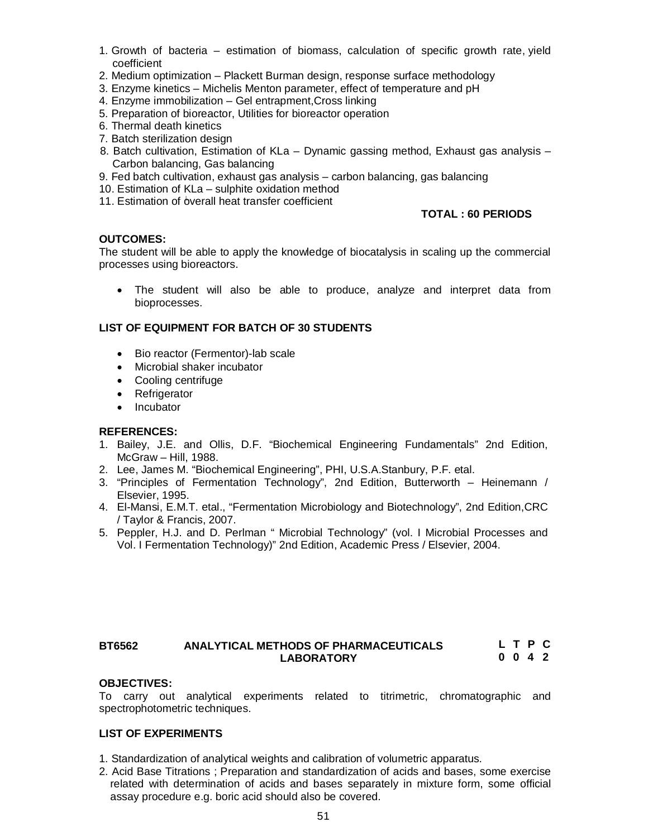- 1. Growth of bacteria estimation of biomass, calculation of specific growth rate, yield coefficient
- 2. Medium optimization Plackett Burman design, response surface methodology
- 3. Enzyme kinetics Michelis Menton parameter, effect of temperature and pH
- 4. Enzyme immobilization Gel entrapment,Cross linking
- 5. Preparation of bioreactor, Utilities for bioreactor operation
- 6. Thermal death kinetics
- 7. Batch sterilization design
- 8. Batch cultivation, Estimation of KLa Dynamic gassing method, Exhaust gas analysis Carbon balancing, Gas balancing
- 9. Fed batch cultivation, exhaust gas analysis carbon balancing, gas balancing
- 10. Estimation of KLa sulphite oxidation method
- 11. Estimation of overall heat transfer coefficient

## **TOTAL : 60 PERIODS**

## **OUTCOMES:**

The student will be able to apply the knowledge of biocatalysis in scaling up the commercial processes using bioreactors.

 The student will also be able to produce, analyze and interpret data from bioprocesses.

## **LIST OF EQUIPMENT FOR BATCH OF 30 STUDENTS**

- Bio reactor (Fermentor)-lab scale
- Microbial shaker incubator
- Cooling centrifuge
- Refrigerator
- Incubator

## **REFERENCES:**

- 1. Bailey, J.E. and Ollis, D.F. "Biochemical Engineering Fundamentals" 2nd Edition, McGraw – Hill, 1988.
- 2. Lee, James M. "Biochemical Engineering", PHI, U.S.A.Stanbury, P.F. etal.
- 3. "Principles of Fermentation Technology", 2nd Edition, Butterworth Heinemann / Elsevier, 1995.
- 4. El-Mansi, E.M.T. etal., "Fermentation Microbiology and Biotechnology", 2nd Edition,CRC / Taylor & Francis, 2007.
- 5. Peppler, H.J. and D. Perlman " Microbial Technology" (vol. I Microbial Processes and Vol. I Fermentation Technology)" 2nd Edition, Academic Press / Elsevier, 2004.

#### **BT6562 ANALYTICAL METHODS OF PHARMACEUTICALS LABORATORY L T P C 0 0 4 2**

## **OBJECTIVES:**

To carry out analytical experiments related to titrimetric, chromatographic and spectrophotometric techniques.

## **LIST OF EXPERIMENTS**

- 1. Standardization of analytical weights and calibration of volumetric apparatus.
- 2. Acid Base Titrations ; Preparation and standardization of acids and bases, some exercise related with determination of acids and bases separately in mixture form, some official assay procedure e.g. boric acid should also be covered.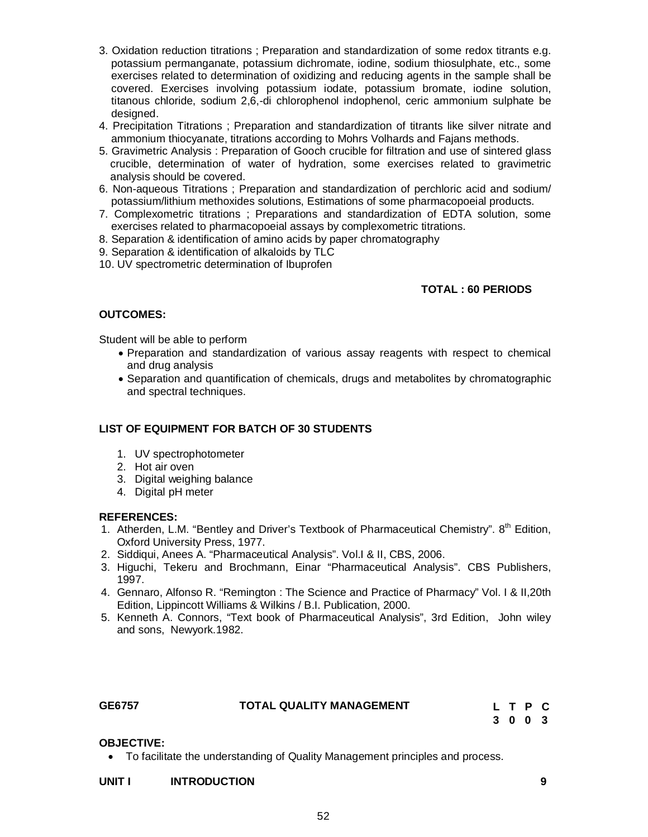- 3. Oxidation reduction titrations ; Preparation and standardization of some redox titrants e.g. potassium permanganate, potassium dichromate, iodine, sodium thiosulphate, etc., some exercises related to determination of oxidizing and reducing agents in the sample shall be covered. Exercises involving potassium iodate, potassium bromate, iodine solution, titanous chloride, sodium 2,6,-di chlorophenol indophenol, ceric ammonium sulphate be designed.
- 4. Precipitation Titrations ; Preparation and standardization of titrants like silver nitrate and ammonium thiocyanate, titrations according to Mohrs Volhards and Fajans methods.
- 5. Gravimetric Analysis : Preparation of Gooch crucible for filtration and use of sintered glass crucible, determination of water of hydration, some exercises related to gravimetric analysis should be covered.
- 6. Non-aqueous Titrations ; Preparation and standardization of perchloric acid and sodium/ potassium/lithium methoxides solutions, Estimations of some pharmacopoeial products.
- 7. Complexometric titrations ; Preparations and standardization of EDTA solution, some exercises related to pharmacopoeial assays by complexometric titrations.
- 8. Separation & identification of amino acids by paper chromatography
- 9. Separation & identification of alkaloids by TLC
- 10. UV spectrometric determination of Ibuprofen

## **TOTAL : 60 PERIODS**

## **OUTCOMES:**

Student will be able to perform

- Preparation and standardization of various assay reagents with respect to chemical and drug analysis
- Separation and quantification of chemicals, drugs and metabolites by chromatographic and spectral techniques.

## **LIST OF EQUIPMENT FOR BATCH OF 30 STUDENTS**

- 1. UV spectrophotometer
- 2. Hot air oven
- 3. Digital weighing balance
- 4. Digital pH meter

## **REFERENCES:**

- 1. Atherden, L.M. "Bentley and Driver's Textbook of Pharmaceutical Chemistry". 8<sup>th</sup> Edition, Oxford University Press, 1977.
- 2. Siddiqui, Anees A. "Pharmaceutical Analysis". Vol.I & II, CBS, 2006.
- 3. Higuchi, Tekeru and Brochmann, Einar "Pharmaceutical Analysis". CBS Publishers, 1997.
- 4. Gennaro, Alfonso R. "Remington : The Science and Practice of Pharmacy" Vol. I & II,20th Edition, Lippincott Williams & Wilkins / B.I. Publication, 2000.
- 5. Kenneth A. Connors, "Text book of Pharmaceutical Analysis", 3rd Edition, John wiley and sons, Newyork.1982.

| GE6757 | TOTAL QUALITY MANAGEMENT |  |
|--------|--------------------------|--|
|        |                          |  |

**L T P C 3 0 0 3**

## **OBJECTIVE:**

To facilitate the understanding of Quality Management principles and process.

## **UNIT I INTRODUCTION 9**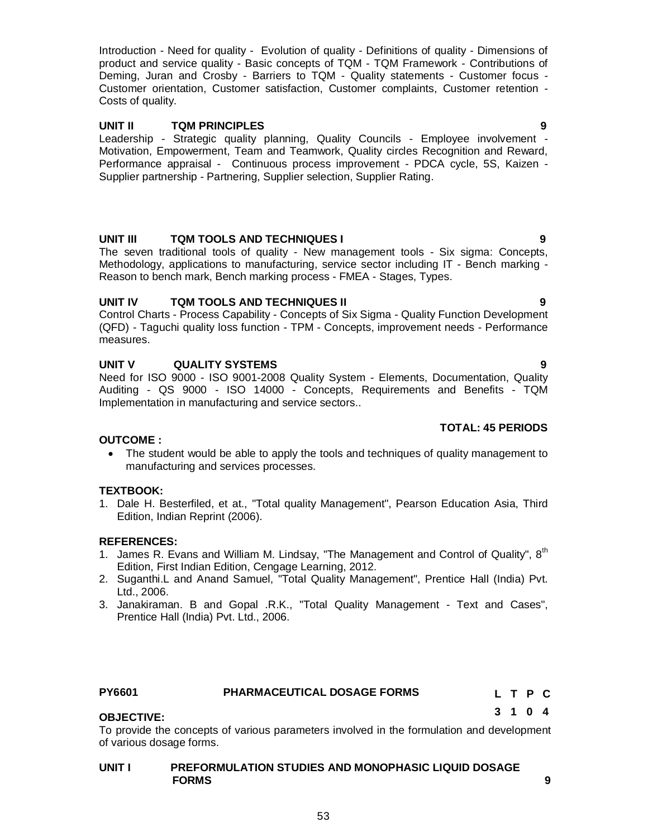Introduction - Need for quality - Evolution of quality - Definitions of quality - Dimensions of product and service quality - Basic concepts of TQM - TQM Framework - Contributions of Deming, Juran and Crosby - Barriers to TQM - Quality statements - Customer focus - Customer orientation, Customer satisfaction, Customer complaints, Customer retention - Costs of quality.

## **UNIT II TQM PRINCIPLES 9**

Leadership - Strategic quality planning, Quality Councils - Employee involvement - Motivation, Empowerment, Team and Teamwork, Quality circles Recognition and Reward, Performance appraisal - Continuous process improvement - PDCA cycle, 5S, Kaizen - Supplier partnership - Partnering, Supplier selection, Supplier Rating.

## **UNIT III TQM TOOLS AND TECHNIQUES I 9**

The seven traditional tools of quality - New management tools - Six sigma: Concepts, Methodology, applications to manufacturing, service sector including IT - Bench marking - Reason to bench mark, Bench marking process - FMEA - Stages, Types.

## **UNIT IV TQM TOOLS AND TECHNIQUES II 9**

Control Charts - Process Capability - Concepts of Six Sigma - Quality Function Development (QFD) - Taguchi quality loss function - TPM - Concepts, improvement needs - Performance measures.

## **UNIT V QUALITY SYSTEMS 9**

Need for ISO 9000 - ISO 9001-2008 Quality System - Elements, Documentation, Quality Auditing - QS 9000 - ISO 14000 - Concepts, Requirements and Benefits - TQM Implementation in manufacturing and service sectors..

## **TOTAL: 45 PERIODS**

## **OUTCOME :**

 The student would be able to apply the tools and techniques of quality management to manufacturing and services processes.

## **TEXTBOOK:**

1. Dale H. Besterfiled, et at., "Total quality Management", Pearson Education Asia, Third Edition, Indian Reprint (2006).

## **REFERENCES:**

- 1. James R. Evans and William M. Lindsay, "The Management and Control of Quality",  $8<sup>th</sup>$ Edition, First Indian Edition, Cengage Learning, 2012.
- 2. Suganthi.L and Anand Samuel, "Total Quality Management", Prentice Hall (India) Pvt. Ltd., 2006.
- 3. Janakiraman. B and Gopal .R.K., "Total Quality Management Text and Cases", Prentice Hall (India) Pvt. Ltd., 2006.

## **PY6601 PHARMACEUTICAL DOSAGE FORMS**

## **OBJECTIVE:**

To provide the concepts of various parameters involved in the formulation and development of various dosage forms.

## **UNIT I PREFORMULATION STUDIES AND MONOPHASIC LIQUID DOSAGE FORMS** 9

**L T P C 3 1 0 4**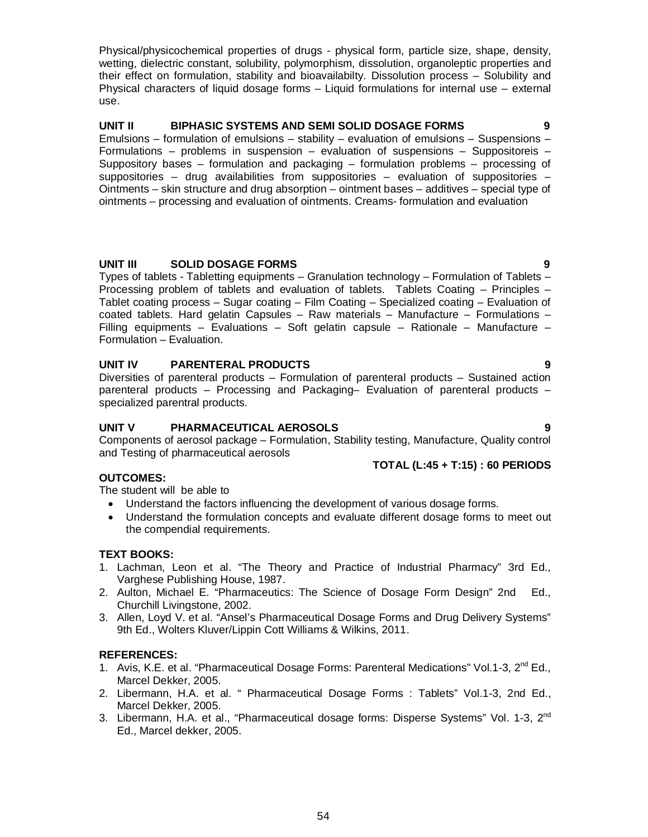54

Physical/physicochemical properties of drugs - physical form, particle size, shape, density, wetting, dielectric constant, solubility, polymorphism, dissolution, organoleptic properties and their effect on formulation, stability and bioavailabilty. Dissolution process – Solubility and Physical characters of liquid dosage forms – Liquid formulations for internal use – external use.

## **UNIT II BIPHASIC SYSTEMS AND SEMI SOLID DOSAGE FORMS 9**

Emulsions – formulation of emulsions – stability – evaluation of emulsions – Suspensions – Formulations – problems in suspension – evaluation of suspensions – Suppositoreis – Suppository bases – formulation and packaging – formulation problems – processing of suppositories – drug availabilities from suppositories – evaluation of suppositories – Ointments – skin structure and drug absorption – ointment bases – additives – special type of ointments – processing and evaluation of ointments. Creams- formulation and evaluation

## **UNIT III SOLID DOSAGE FORMS 9**

Types of tablets - Tabletting equipments – Granulation technology – Formulation of Tablets – Processing problem of tablets and evaluation of tablets. Tablets Coating – Principles – Tablet coating process – Sugar coating – Film Coating – Specialized coating – Evaluation of coated tablets. Hard gelatin Capsules – Raw materials – Manufacture – Formulations – Filling equipments – Evaluations – Soft gelatin capsule – Rationale – Manufacture – Formulation – Evaluation.

## **UNIT IV PARENTERAL PRODUCTS 9**

Diversities of parenteral products – Formulation of parenteral products – Sustained action parenteral products – Processing and Packaging– Evaluation of parenteral products – specialized parentral products.

## **UNIT V PHARMACEUTICAL AEROSOLS 9**

Components of aerosol package – Formulation, Stability testing, Manufacture, Quality control and Testing of pharmaceutical aerosols

## **OUTCOMES:**

The student will be able to

- Understand the factors influencing the development of various dosage forms.
- Understand the formulation concepts and evaluate different dosage forms to meet out the compendial requirements.

## **TEXT BOOKS:**

- 1. Lachman, Leon et al. "The Theory and Practice of Industrial Pharmacy" 3rd Ed., Varghese Publishing House, 1987.
- 2. Aulton, Michael E. "Pharmaceutics: The Science of Dosage Form Design" 2nd Ed., Churchill Livingstone, 2002.
- 3. Allen, Loyd V. et al. "Ansel's Pharmaceutical Dosage Forms and Drug Delivery Systems" 9th Ed., Wolters Kluver/Lippin Cott Williams & Wilkins, 2011.

## **REFERENCES:**

- 1. Avis, K.E. et al. "Pharmaceutical Dosage Forms: Parenteral Medications" Vol.1-3, 2<sup>nd</sup> Ed., Marcel Dekker, 2005.
- 2. Libermann, H.A. et al. " Pharmaceutical Dosage Forms : Tablets" Vol.1-3, 2nd Ed., Marcel Dekker, 2005.
- 3. Libermann, H.A. et al., "Pharmaceutical dosage forms: Disperse Systems" Vol. 1-3, 2<sup>nd</sup> Ed., Marcel dekker, 2005.

# **TOTAL (L:45 + T:15) : 60 PERIODS**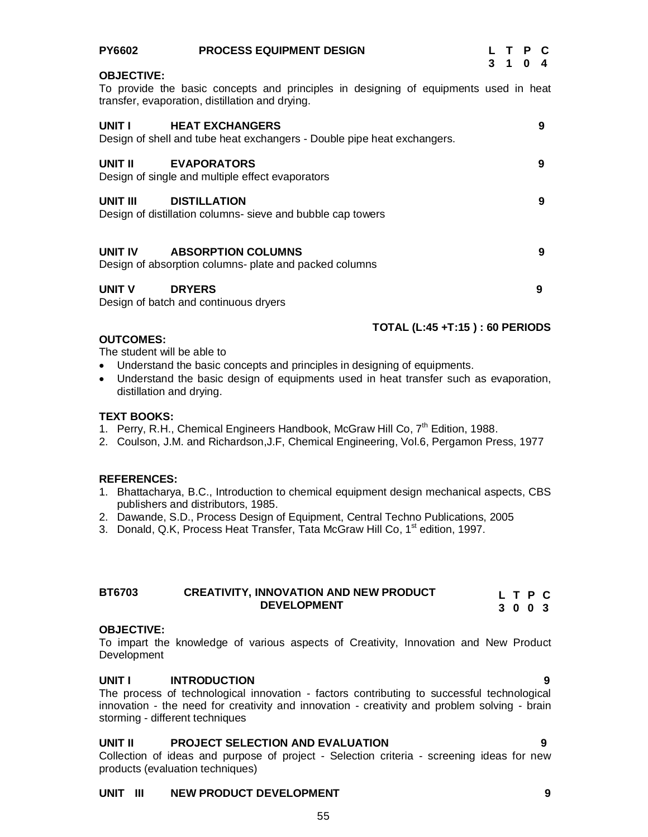| <b>PY6602</b>     | <b>PROCESS EQUIPMENT DESIGN</b>                                                                                                         | $3 \quad 1$ | $\Omega$ | L T P C<br>4 |
|-------------------|-----------------------------------------------------------------------------------------------------------------------------------------|-------------|----------|--------------|
| <b>OBJECTIVE:</b> | To provide the basic concepts and principles in designing of equipments used in heat<br>transfer, evaporation, distillation and drying. |             |          |              |
| UNIT I            | <b>HEAT EXCHANGERS</b><br>Design of shell and tube heat exchangers - Double pipe heat exchangers.                                       |             |          | 9            |
| UNIT II           | <b>EVAPORATORS</b><br>Design of single and multiple effect evaporators                                                                  |             |          | 9            |
| UNIT III          | <b>DISTILLATION</b><br>Design of distillation columns- sieve and bubble cap towers                                                      |             |          | 9            |
| UNIT IV           | <b>ABSORPTION COLUMNS</b><br>Design of absorption columns- plate and packed columns                                                     |             |          | 9            |
| UNIT V            | <b>DRYERS</b><br>Design of batch and continuous dryers                                                                                  |             |          | 9            |
|                   | <b>TOTAL (L:45 +T:15): 60 PERIODS</b>                                                                                                   |             |          |              |

## **OUTCOMES:**

The student will be able to

- Understand the basic concepts and principles in designing of equipments.
- Understand the basic design of equipments used in heat transfer such as evaporation, distillation and drying.

## **TEXT BOOKS:**

- 1. Perry, R.H., Chemical Engineers Handbook, McGraw Hill Co, 7<sup>th</sup> Edition, 1988.
- 2. Coulson, J.M. and Richardson,J.F, Chemical Engineering, Vol.6, Pergamon Press, 1977

## **REFERENCES:**

- 1. Bhattacharya, B.C., Introduction to chemical equipment design mechanical aspects, CBS publishers and distributors, 1985.
- 2. Dawande, S.D., Process Design of Equipment, Central Techno Publications, 2005
- 3. Donald, Q.K, Process Heat Transfer, Tata McGraw Hill Co, 1<sup>st</sup> edition, 1997.

| <b>BT6703</b> | <b>CREATIVITY, INNOVATION AND NEW PRODUCT</b> | L T P C |
|---------------|-----------------------------------------------|---------|
|               | <b>DEVELOPMENT</b>                            | 3003    |

## **OBJECTIVE:**

To impart the knowledge of various aspects of Creativity, Innovation and New Product Development

## **UNIT I INTRODUCTION 9**

The process of technological innovation - factors contributing to successful technological innovation - the need for creativity and innovation - creativity and problem solving - brain storming - different techniques

## **UNIT II PROJECT SELECTION AND EVALUATION 9**

Collection of ideas and purpose of project - Selection criteria - screening ideas for new products (evaluation techniques)

## **UNIT III NEW PRODUCT DEVELOPMENT 9**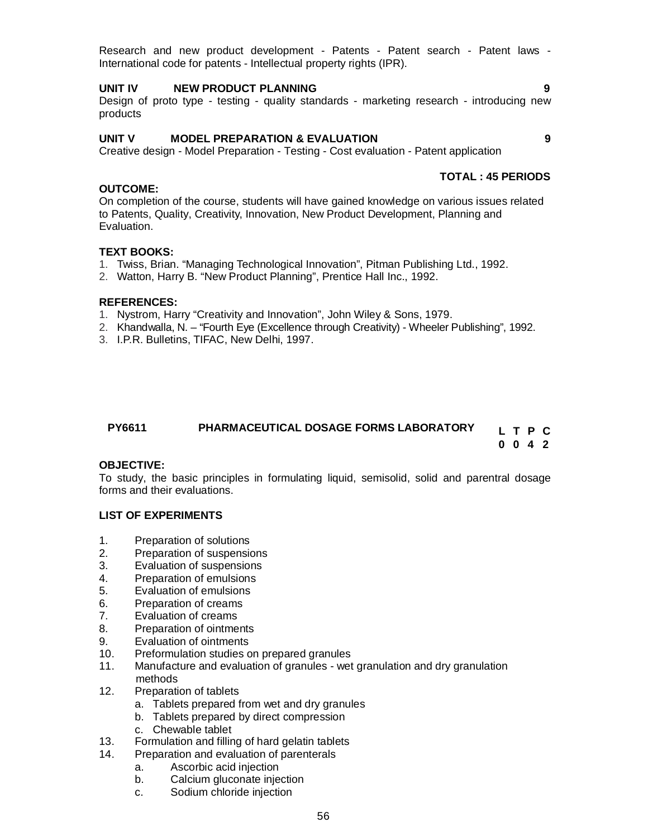Research and new product development - Patents - Patent search - Patent laws - International code for patents - Intellectual property rights (IPR).

## **UNIT IV NEW PRODUCT PLANNING 9**

Design of proto type - testing - quality standards - marketing research - introducing new products

## **UNIT V MODEL PREPARATION & EVALUATION 9**

Creative design - Model Preparation - Testing - Cost evaluation - Patent application

# **TOTAL : 45 PERIODS**

On completion of the course, students will have gained knowledge on various issues related to Patents, Quality, Creativity, Innovation, New Product Development, Planning and Evaluation.

## **TEXT BOOKS:**

**OUTCOME:**

- 1. Twiss, Brian. "Managing Technological Innovation", Pitman Publishing Ltd., 1992.
- 2. Watton, Harry B. "New Product Planning", Prentice Hall Inc., 1992.

## **REFERENCES:**

- 1. Nystrom, Harry "Creativity and Innovation", John Wiley & Sons, 1979.
- 2. Khandwalla, N. "Fourth Eye (Excellence through Creativity) Wheeler Publishing", 1992.
- 3. I.P.R. Bulletins, TIFAC, New Delhi, 1997.

#### **PY6611 PHARMACEUTICAL DOSAGE FORMS LABORATORY L T P C 0 0 4 2**

## **OBJECTIVE:**

To study, the basic principles in formulating liquid, semisolid, solid and parentral dosage forms and their evaluations.

## **LIST OF EXPERIMENTS**

- 1. Preparation of solutions
- 2. Preparation of suspensions
- 3. Evaluation of suspensions
- 4. Preparation of emulsions
- 5. Evaluation of emulsions
- 6. Preparation of creams
- 7. Evaluation of creams
- 8. Preparation of ointments
- 9. Evaluation of ointments
- 10. Preformulation studies on prepared granules
- 11. Manufacture and evaluation of granules wet granulation and dry granulation methods<br>12. Preparati
- Preparation of tablets
	- a. Tablets prepared from wet and dry granules
	- b. Tablets prepared by direct compression
	- c. Chewable tablet
- 13. Formulation and filling of hard gelatin tablets
- 14. Preparation and evaluation of parenterals
	- a. Ascorbic acid injection
	- b. Calcium gluconate injection
	- c. Sodium chloride injection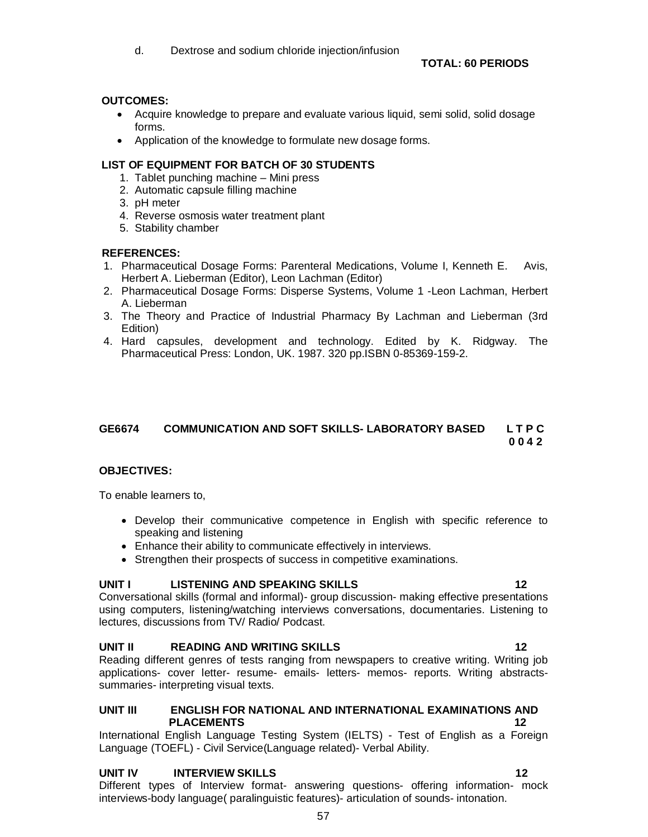## **OUTCOMES:**

- Acquire knowledge to prepare and evaluate various liquid, semi solid, solid dosage forms.
- Application of the knowledge to formulate new dosage forms.

## **LIST OF EQUIPMENT FOR BATCH OF 30 STUDENTS**

- 1. Tablet punching machine Mini press
- 2. Automatic capsule filling machine
- 3. pH meter
- 4. Reverse osmosis water treatment plant
- 5. Stability chamber

## **REFERENCES:**

- 1. Pharmaceutical Dosage Forms: Parenteral Medications, Volume I, Kenneth E. Avis, Herbert A. Lieberman (Editor), Leon Lachman (Editor)
- 2. Pharmaceutical Dosage Forms: Disperse Systems, Volume 1 -Leon Lachman, Herbert A. Lieberman
- 3. The Theory and Practice of Industrial Pharmacy By Lachman and Lieberman (3rd Edition)
- 4. Hard capsules, development and technology. Edited by K. Ridgway. The Pharmaceutical Press: London, UK. 1987. 320 pp.ISBN 0-85369-159-2.

## **GE6674 COMMUNICATION AND SOFT SKILLS- LABORATORY BASED L T P C 0 0 4 2**

## **OBJECTIVES:**

To enable learners to,

- Develop their communicative competence in English with specific reference to speaking and listening
- Enhance their ability to communicate effectively in interviews.
- Strengthen their prospects of success in competitive examinations.

## **UNIT I LISTENING AND SPEAKING SKILLS 12**

Conversational skills (formal and informal)- group discussion- making effective presentations using computers, listening/watching interviews conversations, documentaries. Listening to lectures, discussions from TV/ Radio/ Podcast.

## **UNIT II READING AND WRITING SKILLS 12**

Reading different genres of tests ranging from newspapers to creative writing. Writing job applications- cover letter- resume- emails- letters- memos- reports. Writing abstractssummaries- interpreting visual texts.

## **UNIT III ENGLISH FOR NATIONAL AND INTERNATIONAL EXAMINATIONS AND PLACEMENTS 12**

International English Language Testing System (IELTS) - Test of English as a Foreign Language (TOEFL) - Civil Service(Language related)- Verbal Ability.

## **UNIT IV INTERVIEW SKILLS 12**

Different types of Interview format- answering questions- offering information- mock interviews-body language( paralinguistic features)- articulation of sounds- intonation.

57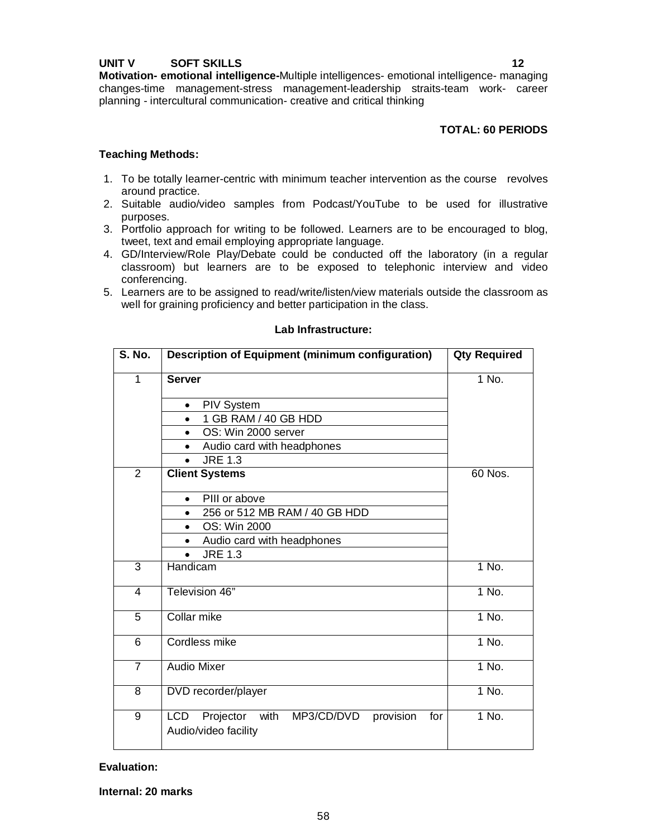## **UNIT V SOFT SKILLS 12**

**Motivation- emotional intelligence-**Multiple intelligences- emotional intelligence- managing changes-time management-stress management-leadership straits-team work- career planning - intercultural communication- creative and critical thinking

## **TOTAL: 60 PERIODS**

## **Teaching Methods:**

- 1. To be totally learner-centric with minimum teacher intervention as the course revolves around practice.
- 2. Suitable audio/video samples from Podcast/YouTube to be used for illustrative purposes.
- 3. Portfolio approach for writing to be followed. Learners are to be encouraged to blog, tweet, text and email employing appropriate language.
- 4. GD/Interview/Role Play/Debate could be conducted off the laboratory (in a regular classroom) but learners are to be exposed to telephonic interview and video conferencing.
- 5. Learners are to be assigned to read/write/listen/view materials outside the classroom as well for graining proficiency and better participation in the class.

## **Lab Infrastructure:**

| <b>S. No.</b>  | <b>Description of Equipment (minimum configuration)</b>                                   | <b>Qty Required</b> |
|----------------|-------------------------------------------------------------------------------------------|---------------------|
| $\mathbf{1}$   | <b>Server</b>                                                                             | $\overline{1}$ No.  |
|                | <b>PIV System</b><br>٠                                                                    |                     |
|                | 1 GB RAM / 40 GB HDD<br>$\bullet$                                                         |                     |
|                | OS: Win 2000 server<br>$\bullet$                                                          |                     |
|                | Audio card with headphones                                                                |                     |
|                | <b>JRE 1.3</b>                                                                            |                     |
| $\overline{2}$ | <b>Client Systems</b>                                                                     | 60 Nos.             |
|                | PIII or above<br>$\bullet$                                                                |                     |
|                | 256 or 512 MB RAM / 40 GB HDD<br>٠                                                        |                     |
|                | OS: Win 2000<br>$\bullet$                                                                 |                     |
|                | Audio card with headphones<br>٠                                                           |                     |
|                | <b>JRE 1.3</b>                                                                            |                     |
| 3              | Handicam                                                                                  | 1 No.               |
| 4              | Television 46"                                                                            | $1$ No.             |
| 5              | Collar mike                                                                               | $1$ No.             |
| 6              | Cordless mike                                                                             | 1 No.               |
| 7              | <b>Audio Mixer</b>                                                                        | $1$ No.             |
| 8              | DVD recorder/player                                                                       | 1 No.               |
| 9              | <b>LCD</b><br>Projector<br>with<br>MP3/CD/DVD<br>provision<br>for<br>Audio/video facility | 1 No.               |

## **Evaluation:**

**Internal: 20 marks**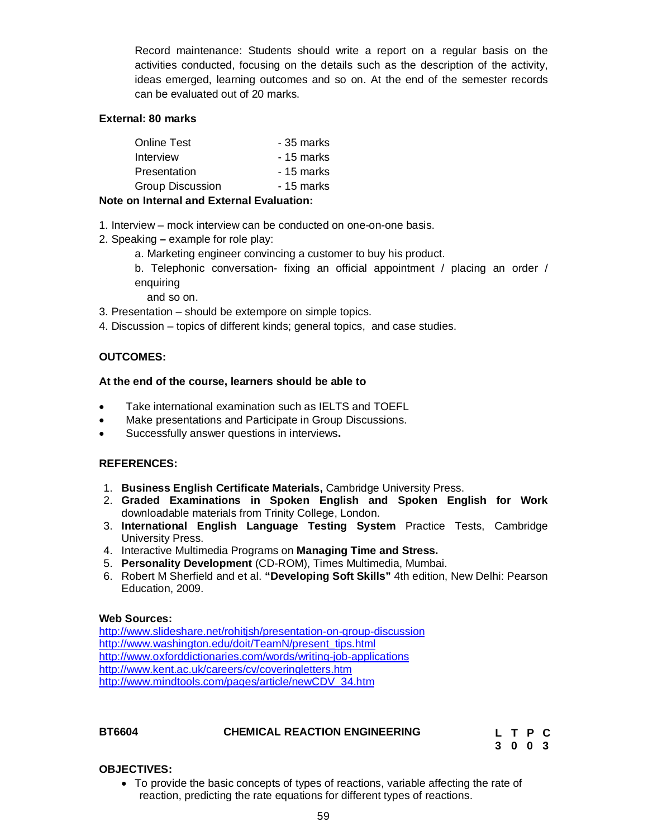Record maintenance: Students should write a report on a regular basis on the activities conducted, focusing on the details such as the description of the activity, ideas emerged, learning outcomes and so on. At the end of the semester records can be evaluated out of 20 marks.

## **External: 80 marks**

| <b>Online Test</b>      | - 35 marks |
|-------------------------|------------|
| Interview               | - 15 marks |
| Presentation            | - 15 marks |
| <b>Group Discussion</b> | - 15 marks |
|                         |            |

## **Note on Internal and External Evaluation:**

- 1. Interview mock interview can be conducted on one-on-one basis.
- 2. Speaking **–** example for role play:
	- a. Marketing engineer convincing a customer to buy his product.
	- b. Telephonic conversation- fixing an official appointment / placing an order / enquiring

and so on.

- 3. Presentation should be extempore on simple topics.
- 4. Discussion topics of different kinds; general topics, and case studies.

## **OUTCOMES:**

## **At the end of the course, learners should be able to**

- Take international examination such as IELTS and TOEFL
- Make presentations and Participate in Group Discussions.
- Successfully answer questions in interviews**.**

## **REFERENCES:**

- 1. **Business English Certificate Materials,** Cambridge University Press.
- 2. **Graded Examinations in Spoken English and Spoken English for Work**  downloadable materials from Trinity College, London.
- 3. **International English Language Testing System** Practice Tests, Cambridge University Press.
- 4. Interactive Multimedia Programs on **Managing Time and Stress.**
- 5. **Personality Development** (CD-ROM), Times Multimedia, Mumbai.
- 6. Robert M Sherfield and et al. **"Developing Soft Skills"** 4th edition, New Delhi: Pearson Education, 2009.

## **Web Sources:**

http://www.slideshare.net/rohitjsh/presentation-on-group-discussion http://www.washington.edu/doit/TeamN/present\_tips.html http://www.oxforddictionaries.com/words/writing-job-applications http://www.kent.ac.uk/careers/cv/coveringletters.htm http://www.mindtools.com/pages/article/newCDV\_34.htm

## **BT6604 CHEMICAL REACTION ENGINEERING**

**L T P C 3 0 0 3**

## **OBJECTIVES:**

• To provide the basic concepts of types of reactions, variable affecting the rate of reaction, predicting the rate equations for different types of reactions.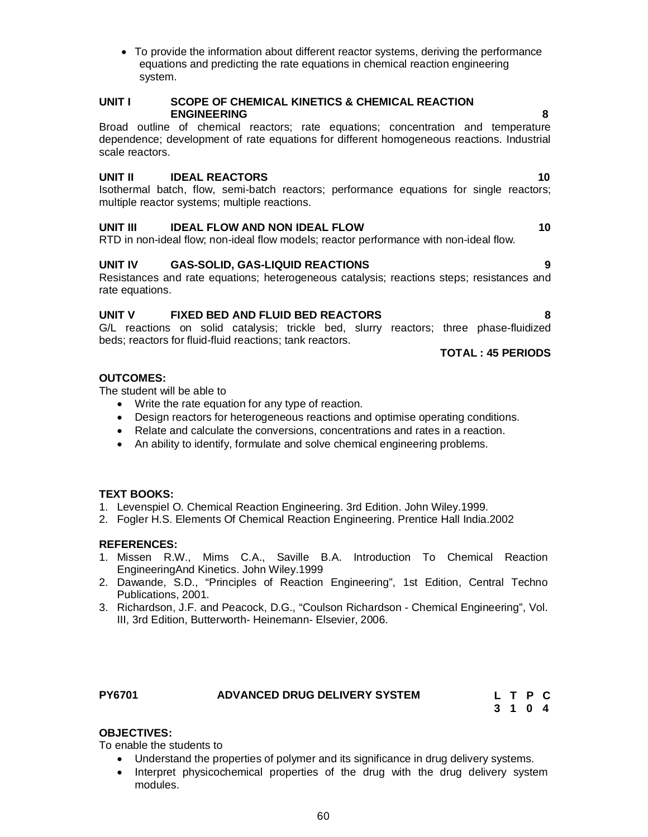To provide the information about different reactor systems, deriving the performance equations and predicting the rate equations in chemical reaction engineering system.

## **UNIT I SCOPE OF CHEMICAL KINETICS & CHEMICAL REACTION ENGINEERING 8**

Broad outline of chemical reactors; rate equations; concentration and temperature dependence; development of rate equations for different homogeneous reactions. Industrial scale reactors.

## **UNIT II IDEAL REACTORS 10**

Isothermal batch, flow, semi-batch reactors; performance equations for single reactors; multiple reactor systems; multiple reactions.

## **UNIT III IDEAL FLOW AND NON IDEAL FLOW 10**

RTD in non-ideal flow; non-ideal flow models; reactor performance with non-ideal flow.

## **UNIT IV GAS-SOLID, GAS-LIQUID REACTIONS 9**

Resistances and rate equations; heterogeneous catalysis; reactions steps; resistances and rate equations.

## **UNIT V FIXED BED AND FLUID BED REACTORS 8**

G/L reactions on solid catalysis; trickle bed, slurry reactors; three phase-fluidized beds; reactors for fluid-fluid reactions; tank reactors.

## **TOTAL : 45 PERIODS**

## **OUTCOMES:**

The student will be able to

- Write the rate equation for any type of reaction.
- Design reactors for heterogeneous reactions and optimise operating conditions.
- Relate and calculate the conversions, concentrations and rates in a reaction.
- An ability to identify, formulate and solve chemical engineering problems.

## **TEXT BOOKS:**

- 1. Levenspiel O. Chemical Reaction Engineering. 3rd Edition. John Wiley.1999.
- 2. Fogler H.S. Elements Of Chemical Reaction Engineering. Prentice Hall India.2002

## **REFERENCES:**

- 1. Missen R.W., Mims C.A., Saville B.A. Introduction To Chemical Reaction EngineeringAnd Kinetics. John Wiley.1999
- 2. Dawande, S.D., "Principles of Reaction Engineering", 1st Edition, Central Techno Publications, 2001.
- 3. Richardson, J.F. and Peacock, D.G., "Coulson Richardson Chemical Engineering", Vol. III, 3rd Edition, Butterworth- Heinemann- Elsevier, 2006.

## **PY6701 ADVANCED DRUG DELIVERY SYSTEM**

**L T P C 3 1 0 4**

## **OBJECTIVES:**

To enable the students to

- Understand the properties of polymer and its significance in drug delivery systems.
- Interpret physicochemical properties of the drug with the drug delivery system modules.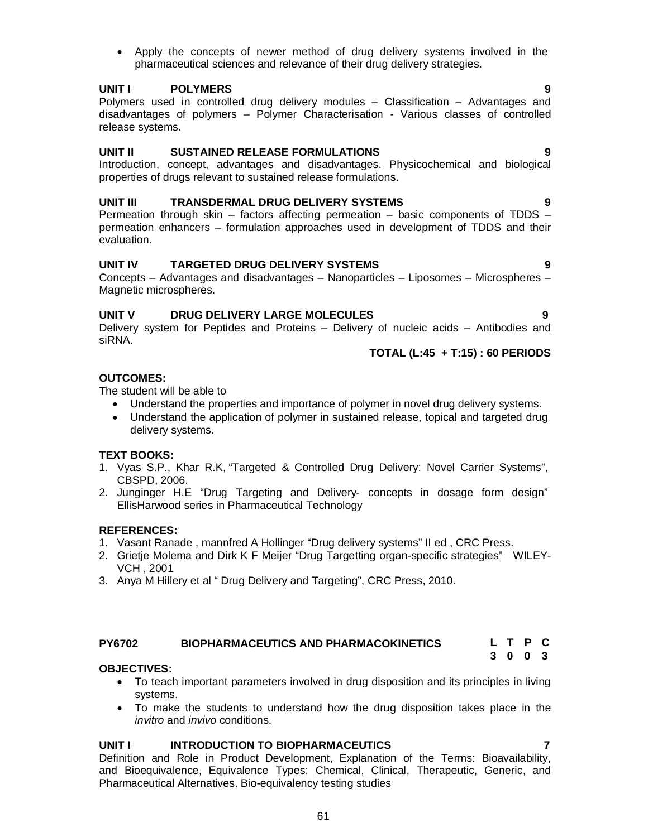**UNIT I INTRODUCTION TO BIOPHARMACEUTICS 7** Definition and Role in Product Development, Explanation of the Terms: Bioavailability, and Bioequivalence, Equivalence Types: Chemical, Clinical, Therapeutic, Generic, and Pharmaceutical Alternatives. Bio-equivalency testing studies

 Apply the concepts of newer method of drug delivery systems involved in the pharmaceutical sciences and relevance of their drug delivery strategies.

## **UNIT I POLYMERS 9**

Polymers used in controlled drug delivery modules – Classification – Advantages and disadvantages of polymers – Polymer Characterisation - Various classes of controlled release systems.

## **UNIT II SUSTAINED RELEASE FORMULATIONS 9**

Introduction, concept, advantages and disadvantages. Physicochemical and biological properties of drugs relevant to sustained release formulations.

## **UNIT III TRANSDERMAL DRUG DELIVERY SYSTEMS 9**

Permeation through skin – factors affecting permeation – basic components of TDDS – permeation enhancers – formulation approaches used in development of TDDS and their evaluation.

## **UNIT IV TARGETED DRUG DELIVERY SYSTEMS 9**

Concepts – Advantages and disadvantages – Nanoparticles – Liposomes – Microspheres – Magnetic microspheres.

## **UNIT V DRUG DELIVERY LARGE MOLECULES 9**

Delivery system for Peptides and Proteins – Delivery of nucleic acids – Antibodies and siRNA.

## **TOTAL (L:45 + T:15) : 60 PERIODS**

## **OUTCOMES:**

The student will be able to

- Understand the properties and importance of polymer in novel drug delivery systems.
- Understand the application of polymer in sustained release, topical and targeted drug delivery systems.

## **TEXT BOOKS:**

- 1. Vyas S.P., Khar R.K, "Targeted & Controlled Drug Delivery: Novel Carrier Systems", CBSPD, 2006.
- 2. Junginger H.E "Drug Targeting and Delivery- concepts in dosage form design" EllisHarwood series in Pharmaceutical Technology

## **REFERENCES:**

- 1. Vasant Ranade , mannfred A Hollinger "Drug delivery systems" II ed , CRC Press.
- 2. Grietje Molema and Dirk K F Meijer "Drug Targetting organ-specific strategies" WILEY-VCH , 2001
- 3. Anya M Hillery et al " Drug Delivery and Targeting", CRC Press, 2010.

#### **PY6702 BIOPHARMACEUTICS AND PHARMACOKINETICS L T P C 3 0 0 3**

## **OBJECTIVES:**

- To teach important parameters involved in drug disposition and its principles in living systems.
- To make the students to understand how the drug disposition takes place in the *invitro* and *invivo* conditions.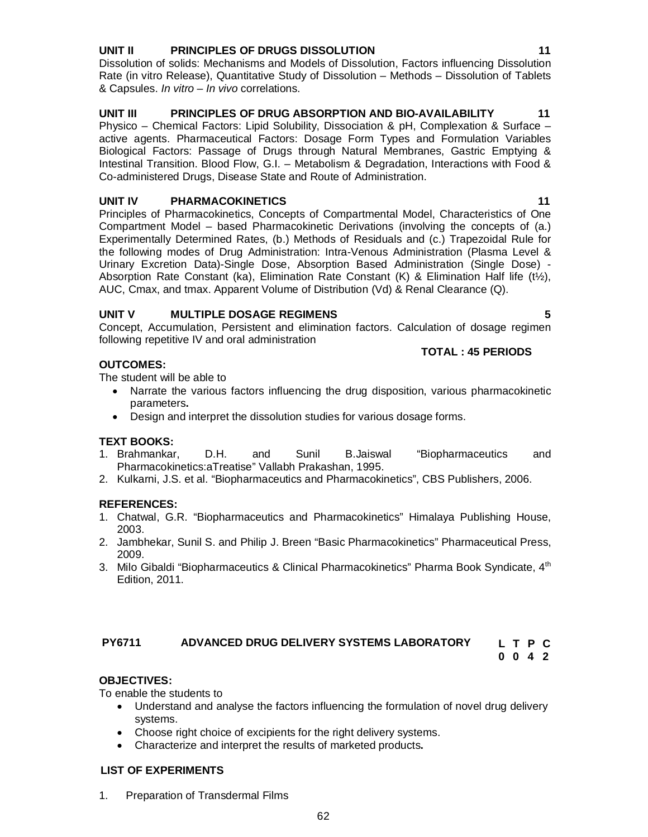# **UNIT II PRINCIPLES OF DRUGS DISSOLUTION 11**

Dissolution of solids: Mechanisms and Models of Dissolution, Factors influencing Dissolution Rate (in vitro Release), Quantitative Study of Dissolution – Methods – Dissolution of Tablets & Capsules. *In vitro – In vivo* correlations.

## **UNIT III PRINCIPLES OF DRUG ABSORPTION AND BIO-AVAILABILITY 11**

Physico – Chemical Factors: Lipid Solubility, Dissociation & pH, Complexation & Surface – active agents. Pharmaceutical Factors: Dosage Form Types and Formulation Variables Biological Factors: Passage of Drugs through Natural Membranes, Gastric Emptying & Intestinal Transition. Blood Flow, G.I. – Metabolism & Degradation, Interactions with Food & Co-administered Drugs, Disease State and Route of Administration.

#### **UNIT IV PHARMACOKINETICS** 11

Principles of Pharmacokinetics, Concepts of Compartmental Model, Characteristics of One Compartment Model – based Pharmacokinetic Derivations (involving the concepts of (a.) Experimentally Determined Rates, (b.) Methods of Residuals and (c.) Trapezoidal Rule for the following modes of Drug Administration: Intra-Venous Administration (Plasma Level & Urinary Excretion Data)-Single Dose, Absorption Based Administration (Single Dose) - Absorption Rate Constant (ka), Elimination Rate Constant (K) & Elimination Half life (t $\frac{1}{2}$ ), AUC, Cmax, and tmax. Apparent Volume of Distribution (Vd) & Renal Clearance (Q).

## **UNIT V MULTIPLE DOSAGE REGIMENS 5**

Concept, Accumulation, Persistent and elimination factors. Calculation of dosage regimen following repetitive IV and oral administration

## **OUTCOMES:**

The student will be able to

- Narrate the various factors influencing the drug disposition, various pharmacokinetic parameters**.**
- Design and interpret the dissolution studies for various dosage forms.

## **TEXT BOOKS:**

- 1. Brahmankar, D.H. and Sunil B.Jaiswal "Biopharmaceutics and Pharmacokinetics:aTreatise" Vallabh Prakashan, 1995.
- 2. Kulkarni, J.S. et al. "Biopharmaceutics and Pharmacokinetics", CBS Publishers, 2006.

## **REFERENCES:**

- 1. Chatwal, G.R. "Biopharmaceutics and Pharmacokinetics" Himalaya Publishing House, 2003.
- 2. Jambhekar, Sunil S. and Philip J. Breen "Basic Pharmacokinetics" Pharmaceutical Press, 2009.
- 3. Milo Gibaldi "Biopharmaceutics & Clinical Pharmacokinetics" Pharma Book Syndicate, 4<sup>th</sup> Edition, 2011.

#### **PY6711 ADVANCED DRUG DELIVERY SYSTEMS LABORATORY L T P C**

**0 0 4 2**

## **OBJECTIVES:**

To enable the students to

- Understand and analyse the factors influencing the formulation of novel drug delivery systems.
- Choose right choice of excipients for the right delivery systems.
- Characterize and interpret the results of marketed products**.**

#### **LIST OF EXPERIMENTS**

1. Preparation of Transdermal Films

**TOTAL : 45 PERIODS**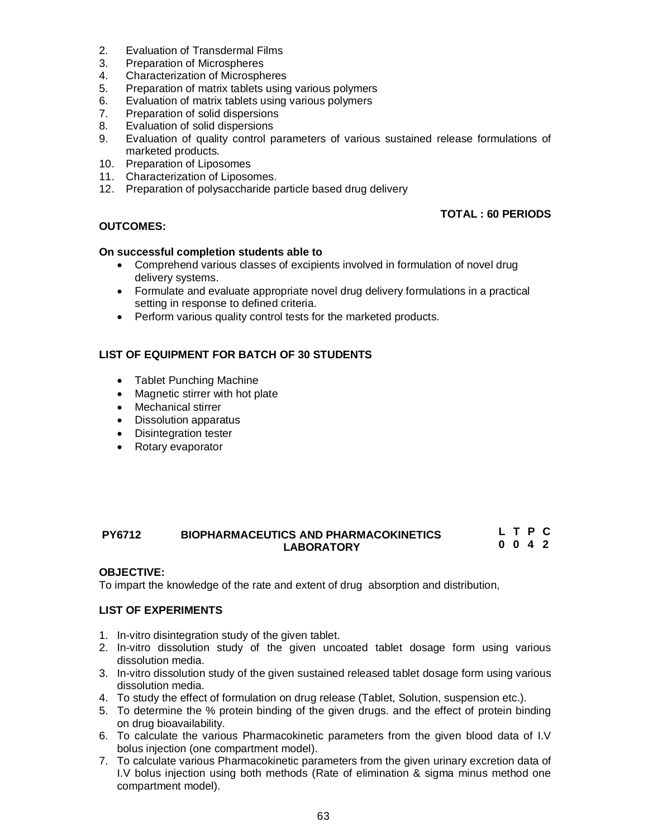- 2. Evaluation of Transdermal Films
- 3. Preparation of Microspheres
- 4. Characterization of Microspheres<br>5. Preparation of matrix tablets using
- Preparation of matrix tablets using various polymers
- 6. Evaluation of matrix tablets using various polymers
- 7. Preparation of solid dispersions<br>8. Evaluation of solid dispersions
- Evaluation of solid dispersions
- 9. Evaluation of quality control parameters of various sustained release formulations of marketed products.
- 10. Preparation of Liposomes
- 11. Characterization of Liposomes.
- 12. Preparation of polysaccharide particle based drug delivery

## **TOTAL : 60 PERIODS**

## **OUTCOMES:**

## **On successful completion students able to**

- Comprehend various classes of excipients involved in formulation of novel drug delivery systems.
- Formulate and evaluate appropriate novel drug delivery formulations in a practical setting in response to defined criteria.
- Perform various quality control tests for the marketed products.

## **LIST OF EQUIPMENT FOR BATCH OF 30 STUDENTS**

- Tablet Punching Machine
- Magnetic stirrer with hot plate
- Mechanical stirrer
- Dissolution apparatus
- Disintegration tester
- Rotary evaporator

#### **PY6712 BIOPHARMACEUTICS AND PHARMACOKINETICS LABORATORY L T P C 0 0 4 2**

## **OBJECTIVE:**

To impart the knowledge of the rate and extent of drug absorption and distribution,

## **LIST OF EXPERIMENTS**

- 1. In-vitro disintegration study of the given tablet.
- 2. In-vitro dissolution study of the given uncoated tablet dosage form using various dissolution media.
- 3. In-vitro dissolution study of the given sustained released tablet dosage form using various dissolution media.
- 4. To study the effect of formulation on drug release (Tablet, Solution, suspension etc.).
- 5. To determine the % protein binding of the given drugs. and the effect of protein binding on drug bioavailability.
- 6. To calculate the various Pharmacokinetic parameters from the given blood data of I.V bolus injection (one compartment model).
- 7. To calculate various Pharmacokinetic parameters from the given urinary excretion data of I.V bolus injection using both methods (Rate of elimination & sigma minus method one compartment model).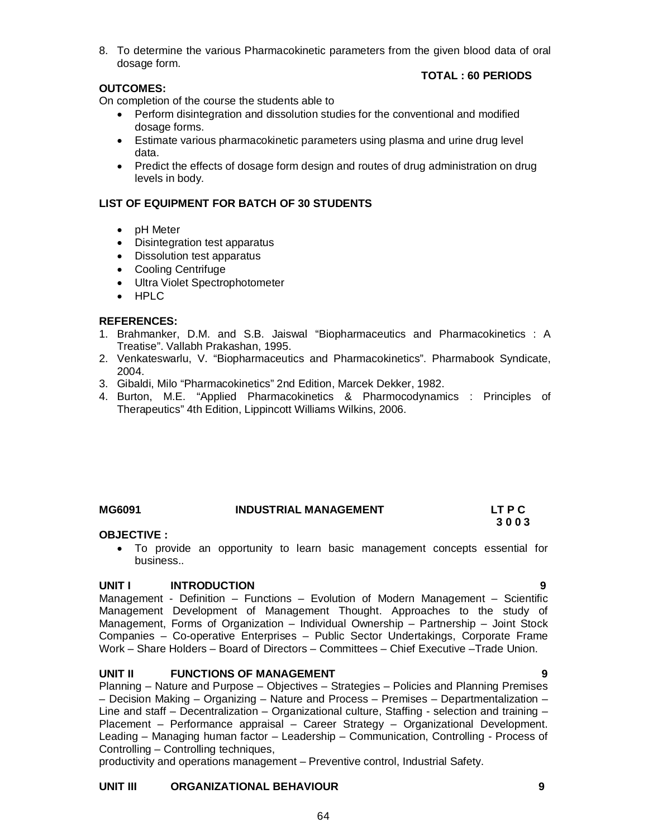## **TOTAL : 60 PERIODS**

## **OUTCOMES:**

On completion of the course the students able to

- Perform disintegration and dissolution studies for the conventional and modified dosage forms.
- Estimate various pharmacokinetic parameters using plasma and urine drug level data.
- Predict the effects of dosage form design and routes of drug administration on drug levels in body.

## **LIST OF EQUIPMENT FOR BATCH OF 30 STUDENTS**

- **pH** Meter
- Disintegration test apparatus
- Dissolution test apparatus
- Cooling Centrifuge
- Ultra Violet Spectrophotometer
- HPLC

## **REFERENCES:**

- 1. Brahmanker, D.M. and S.B. Jaiswal "Biopharmaceutics and Pharmacokinetics : A Treatise". Vallabh Prakashan, 1995.
- 2. Venkateswarlu, V. "Biopharmaceutics and Pharmacokinetics". Pharmabook Syndicate, 2004.
- 3. Gibaldi, Milo "Pharmacokinetics" 2nd Edition, Marcek Dekker, 1982.
- 4. Burton, M.E. "Applied Pharmacokinetics & Pharmocodynamics : Principles of Therapeutics" 4th Edition, Lippincott Williams Wilkins, 2006.

## MG6091 INDUSTRIAL MANAGEMENT LT P C<br>3 0 0 3 **3 0 0 3**

## **OBJECTIVE :**

 To provide an opportunity to learn basic management concepts essential for business..

## **UNIT I INTRODUCTION 9**

Management - Definition – Functions – Evolution of Modern Management – Scientific Management Development of Management Thought. Approaches to the study of Management, Forms of Organization – Individual Ownership – Partnership – Joint Stock Companies – Co-operative Enterprises – Public Sector Undertakings, Corporate Frame Work – Share Holders – Board of Directors – Committees – Chief Executive –Trade Union.

## **UNIT II FUNCTIONS OF MANAGEMENT 9**

Planning – Nature and Purpose – Objectives – Strategies – Policies and Planning Premises – Decision Making – Organizing – Nature and Process – Premises – Departmentalization – Line and staff – Decentralization – Organizational culture, Staffing - selection and training – Placement – Performance appraisal – Career Strategy – Organizational Development. Leading – Managing human factor – Leadership – Communication, Controlling - Process of Controlling – Controlling techniques,

productivity and operations management – Preventive control, Industrial Safety.

## **UNIT III ORGANIZATIONAL BEHAVIOUR 9**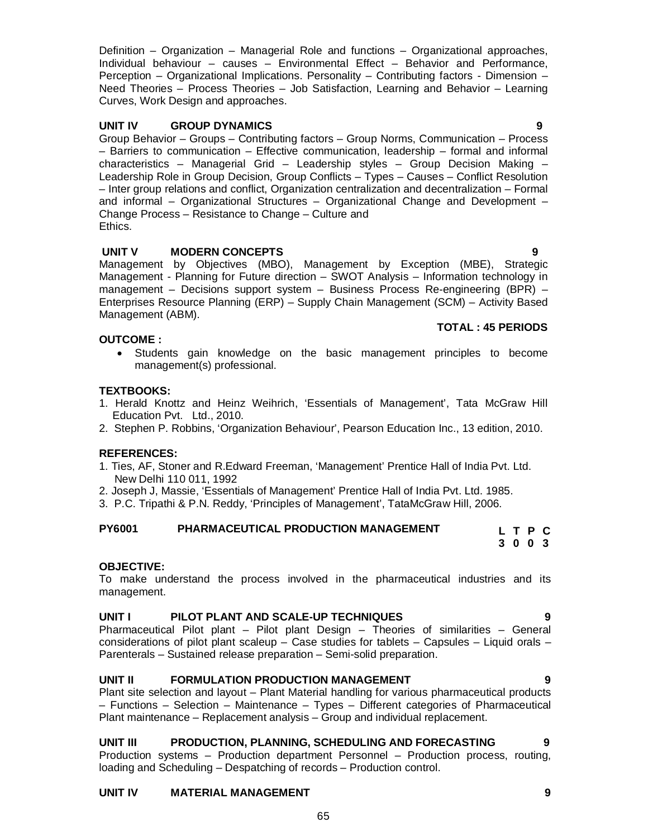Definition – Organization – Managerial Role and functions – Organizational approaches, Individual behaviour – causes – Environmental Effect – Behavior and Performance, Perception – Organizational Implications. Personality – Contributing factors - Dimension – Need Theories – Process Theories – Job Satisfaction, Learning and Behavior – Learning Curves, Work Design and approaches.

## **UNIT IV GROUP DYNAMICS 9**

Group Behavior – Groups – Contributing factors – Group Norms, Communication – Process – Barriers to communication – Effective communication, leadership – formal and informal characteristics – Managerial Grid – Leadership styles – Group Decision Making – Leadership Role in Group Decision, Group Conflicts – Types – Causes – Conflict Resolution – Inter group relations and conflict, Organization centralization and decentralization – Formal and informal – Organizational Structures – Organizational Change and Development – Change Process – Resistance to Change – Culture and Ethics.

## **UNIT V MODERN CONCEPTS**

Management by Objectives (MBO), Management by Exception (MBE), Strategic Management - Planning for Future direction – SWOT Analysis – Information technology in management – Decisions support system – Business Process Re-engineering (BPR) – Enterprises Resource Planning (ERP) – Supply Chain Management (SCM) – Activity Based Management (ABM). **TOTAL : 45 PERIODS** 

## **OUTCOME :**

 Students gain knowledge on the basic management principles to become management(s) professional.

## **TEXTBOOKS:**

- 1. Herald Knottz and Heinz Weihrich, 'Essentials of Management', Tata McGraw Hill Education Pvt. Ltd., 2010.
- 2. Stephen P. Robbins, 'Organization Behaviour', Pearson Education Inc., 13 edition, 2010.

## **REFERENCES:**

- 1. Ties, AF, Stoner and R.Edward Freeman, 'Management' Prentice Hall of India Pvt. Ltd. New Delhi 110 011, 1992
- 2. Joseph J, Massie, 'Essentials of Management' Prentice Hall of India Pvt. Ltd. 1985.
- 3. P.C. Tripathi & P.N. Reddy, 'Principles of Management', TataMcGraw Hill, 2006.

## **PY6001 PHARMACEUTICAL PRODUCTION MANAGEMENT**

## **OBJECTIVE:**

To make understand the process involved in the pharmaceutical industries and its management.

## **UNIT I PILOT PLANT AND SCALE-UP TECHNIQUES 9**

Pharmaceutical Pilot plant – Pilot plant Design – Theories of similarities – General considerations of pilot plant scaleup – Case studies for tablets – Capsules – Liquid orals – Parenterals – Sustained release preparation – Semi-solid preparation.

# **UNIT II FORMULATION PRODUCTION MANAGEMENT 9**

Plant site selection and layout – Plant Material handling for various pharmaceutical products – Functions – Selection – Maintenance – Types – Different categories of Pharmaceutical Plant maintenance – Replacement analysis – Group and individual replacement.

# **UNIT III PRODUCTION, PLANNING, SCHEDULING AND FORECASTING 9**

Production systems – Production department Personnel – Production process, routing, loading and Scheduling – Despatching of records – Production control.

# **UNIT IV MATERIAL MANAGEMENT 9**

**L T P C 3 0 0 3**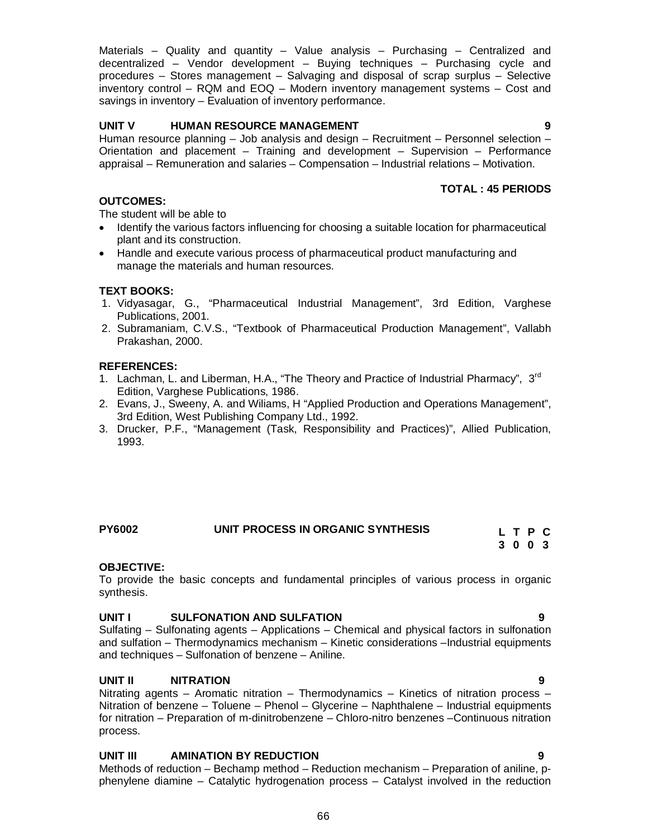Materials – Quality and quantity – Value analysis – Purchasing – Centralized and decentralized – Vendor development – Buying techniques – Purchasing cycle and procedures – Stores management – Salvaging and disposal of scrap surplus – Selective inventory control – RQM and EOQ – Modern inventory management systems – Cost and savings in inventory – Evaluation of inventory performance.

## **UNIT V HUMAN RESOURCE MANAGEMENT 9**

Human resource planning – Job analysis and design – Recruitment – Personnel selection – Orientation and placement – Training and development – Supervision – Performance appraisal – Remuneration and salaries – Compensation – Industrial relations – Motivation.

## **TOTAL : 45 PERIODS**

## **OUTCOMES:**

The student will be able to

- Identify the various factors influencing for choosing a suitable location for pharmaceutical plant and its construction.
- Handle and execute various process of pharmaceutical product manufacturing and manage the materials and human resources.

## **TEXT BOOKS:**

- 1. Vidyasagar, G., "Pharmaceutical Industrial Management", 3rd Edition, Varghese Publications, 2001.
- 2. Subramaniam, C.V.S., "Textbook of Pharmaceutical Production Management", Vallabh Prakashan, 2000.

## **REFERENCES:**

- 1. Lachman, L. and Liberman, H.A., "The Theory and Practice of Industrial Pharmacy", 3<sup>rd</sup> Edition, Varghese Publications, 1986.
- 2. Evans, J., Sweeny, A. and Wiliams, H "Applied Production and Operations Management", 3rd Edition, West Publishing Company Ltd., 1992.
- 3. Drucker, P.F., "Management (Task, Responsibility and Practices)", Allied Publication, 1993.

# **PY6002 UNIT PROCESS IN ORGANIC SYNTHESIS**

## **OBJECTIVE:**

To provide the basic concepts and fundamental principles of various process in organic synthesis.

## **UNIT I SULFONATION AND SULFATION 9**

Sulfating – Sulfonating agents – Applications – Chemical and physical factors in sulfonation and sulfation – Thermodynamics mechanism – Kinetic considerations –Industrial equipments and techniques – Sulfonation of benzene – Aniline.

## **UNIT II NITRATION 9**

Nitrating agents – Aromatic nitration – Thermodynamics – Kinetics of nitration process – Nitration of benzene – Toluene – Phenol – Glycerine – Naphthalene – Industrial equipments for nitration – Preparation of m-dinitrobenzene – Chloro-nitro benzenes –Continuous nitration process.

## **UNIT III AMINATION BY REDUCTION 9**

Methods of reduction – Bechamp method – Reduction mechanism – Preparation of aniline, pphenylene diamine – Catalytic hydrogenation process – Catalyst involved in the reduction

**L T P C 3 0 0 3**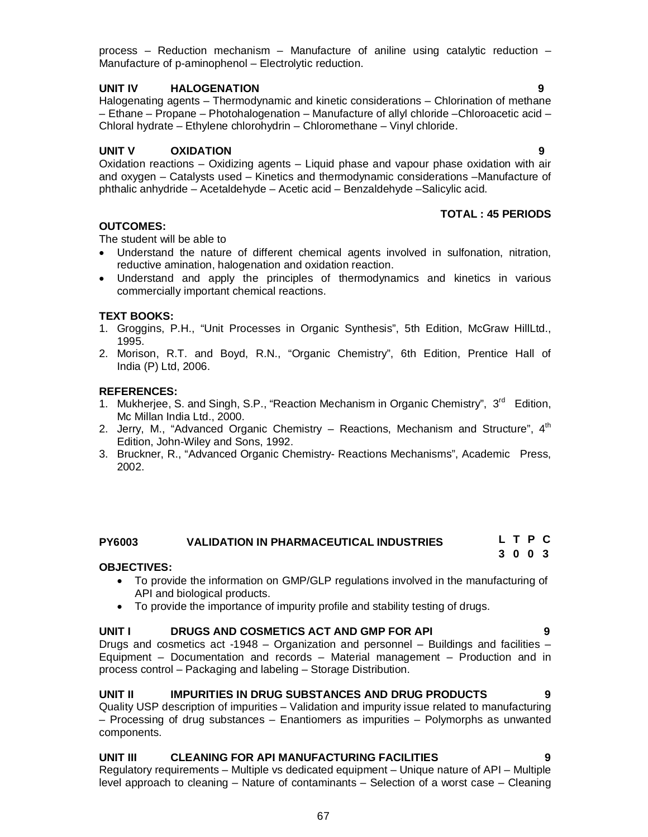process – Reduction mechanism – Manufacture of aniline using catalytic reduction – Manufacture of p-aminophenol – Electrolytic reduction.

## **UNIT IV HALOGENATION 9**

Halogenating agents – Thermodynamic and kinetic considerations – Chlorination of methane – Ethane – Propane – Photohalogenation – Manufacture of allyl chloride –Chloroacetic acid – Chloral hydrate – Ethylene chlorohydrin – Chloromethane – Vinyl chloride.

## **UNIT V OXIDATION 9**

Oxidation reactions – Oxidizing agents – Liquid phase and vapour phase oxidation with air and oxygen – Catalysts used – Kinetics and thermodynamic considerations –Manufacture of phthalic anhydride – Acetaldehyde – Acetic acid – Benzaldehyde –Salicylic acid.

## **TOTAL : 45 PERIODS**

## **OUTCOMES:**

The student will be able to

- Understand the nature of different chemical agents involved in sulfonation, nitration, reductive amination, halogenation and oxidation reaction.
- Understand and apply the principles of thermodynamics and kinetics in various commercially important chemical reactions.

## **TEXT BOOKS:**

- 1. Groggins, P.H., "Unit Processes in Organic Synthesis", 5th Edition, McGraw HillLtd., 1995.
- 2. Morison, R.T. and Boyd, R.N., "Organic Chemistry", 6th Edition, Prentice Hall of India (P) Ltd, 2006.

## **REFERENCES:**

- 1. Mukherjee, S. and Singh, S.P., "Reaction Mechanism in Organic Chemistry", 3<sup>rd</sup> Edition, Mc Millan India Ltd., 2000.
- 2. Jerry, M., "Advanced Organic Chemistry Reactions, Mechanism and Structure", 4<sup>th</sup> Edition, John-Wiley and Sons, 1992.
- 3. Bruckner, R., "Advanced Organic Chemistry- Reactions Mechanisms", Academic Press, 2002.

#### **PY6003 VALIDATION IN PHARMACEUTICAL INDUSTRIES L T P C 3 0 0 3**

## **OBJECTIVES:**

- To provide the information on GMP/GLP regulations involved in the manufacturing of API and biological products.
- To provide the importance of impurity profile and stability testing of drugs.

## **UNIT I DRUGS AND COSMETICS ACT AND GMP FOR API 9**

Drugs and cosmetics act -1948 – Organization and personnel – Buildings and facilities – Equipment – Documentation and records – Material management – Production and in process control – Packaging and labeling – Storage Distribution.

## **UNIT II IMPURITIES IN DRUG SUBSTANCES AND DRUG PRODUCTS 9**

Quality USP description of impurities – Validation and impurity issue related to manufacturing – Processing of drug substances – Enantiomers as impurities – Polymorphs as unwanted components.

## **UNIT III CLEANING FOR API MANUFACTURING FACILITIES 9**

Regulatory requirements – Multiple vs dedicated equipment – Unique nature of API – Multiple level approach to cleaning – Nature of contaminants – Selection of a worst case – Cleaning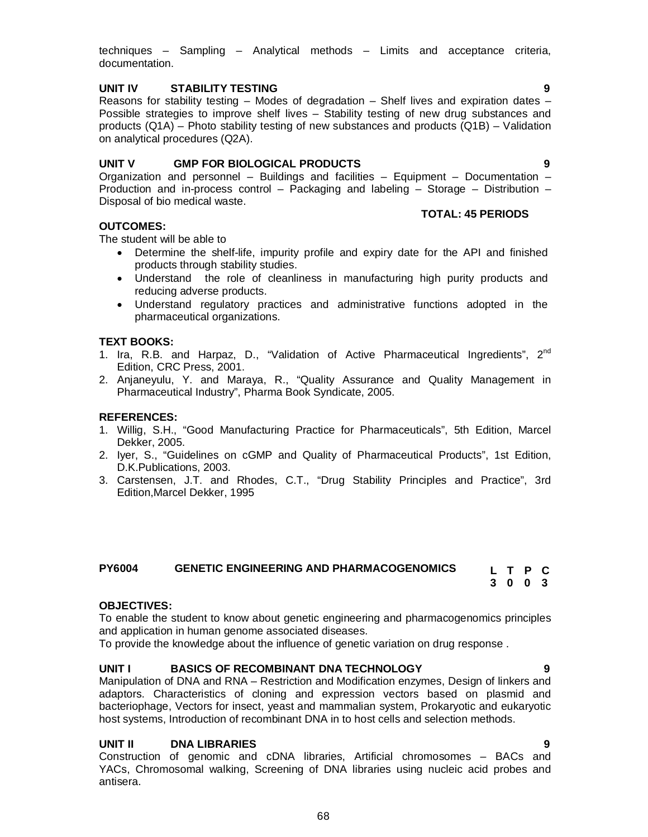techniques – Sampling – Analytical methods – Limits and acceptance criteria, documentation.

## **UNIT IV STABILITY TESTING 9**

Reasons for stability testing  $-$  Modes of degradation  $-$  Shelf lives and expiration dates  $-$ Possible strategies to improve shelf lives – Stability testing of new drug substances and products (Q1A) – Photo stability testing of new substances and products (Q1B) – Validation on analytical procedures (Q2A).

## **UNIT V GMP FOR BIOLOGICAL PRODUCTS 9**

Organization and personnel – Buildings and facilities – Equipment – Documentation – Production and in-process control – Packaging and labeling – Storage – Distribution – Disposal of bio medical waste.

## **OUTCOMES:**

The student will be able to

- Determine the shelf-life, impurity profile and expiry date for the API and finished products through stability studies.
- Understand the role of cleanliness in manufacturing high purity products and reducing adverse products.
- Understand regulatory practices and administrative functions adopted in the pharmaceutical organizations.

## **TEXT BOOKS:**

- 1. Ira, R.B. and Harpaz, D., "Validation of Active Pharmaceutical Ingredients", 2<sup>nd</sup> Edition, CRC Press, 2001.
- 2. Anjaneyulu, Y. and Maraya, R., "Quality Assurance and Quality Management in Pharmaceutical Industry", Pharma Book Syndicate, 2005.

## **REFERENCES:**

- 1. Willig, S.H., "Good Manufacturing Practice for Pharmaceuticals", 5th Edition, Marcel Dekker, 2005.
- 2. Iyer, S., "Guidelines on cGMP and Quality of Pharmaceutical Products", 1st Edition, D.K.Publications, 2003.
- 3. Carstensen, J.T. and Rhodes, C.T., "Drug Stability Principles and Practice", 3rd Edition,Marcel Dekker, 1995

## **PY6004 GENETIC ENGINEERING AND PHARMACOGENOMICS**

**L T P C 3 0 0 3**

## **OBJECTIVES:**

To enable the student to know about genetic engineering and pharmacogenomics principles and application in human genome associated diseases.

To provide the knowledge about the influence of genetic variation on drug response .

## **UNIT I BASICS OF RECOMBINANT DNA TECHNOLOGY 9**

Manipulation of DNA and RNA – Restriction and Modification enzymes, Design of linkers and adaptors. Characteristics of cloning and expression vectors based on plasmid and bacteriophage, Vectors for insect, yeast and mammalian system, Prokaryotic and eukaryotic host systems, Introduction of recombinant DNA in to host cells and selection methods.

## **UNIT II DNA LIBRARIES 9**

Construction of genomic and cDNA libraries, Artificial chromosomes – BACs and YACs, Chromosomal walking, Screening of DNA libraries using nucleic acid probes and antisera.

**TOTAL: 45 PERIODS**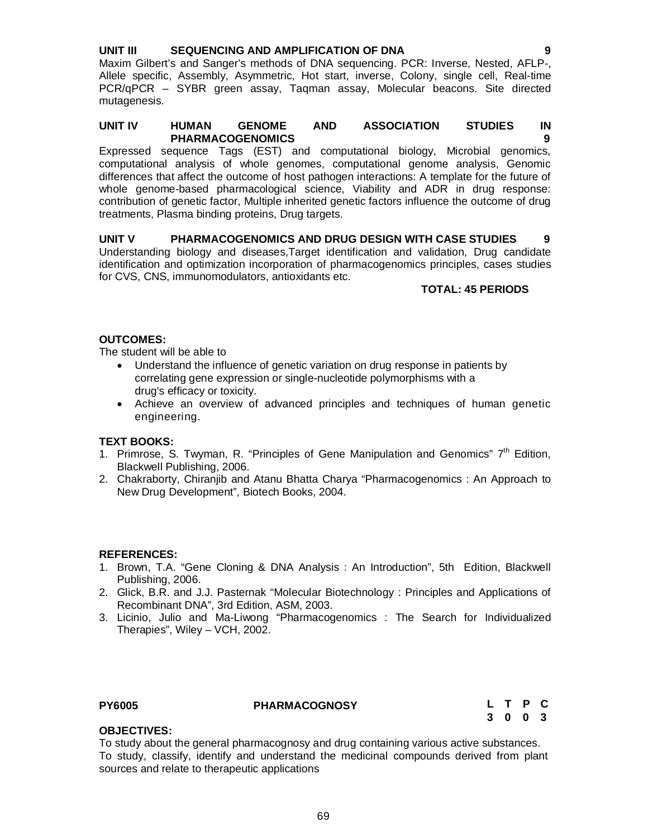## **UNIT III SEQUENCING AND AMPLIFICATION OF DNA 9**

Maxim Gilbert's and Sanger's methods of DNA sequencing. PCR: Inverse, Nested, AFLP-, Allele specific, Assembly, Asymmetric, Hot start, inverse, Colony, single cell, Real-time PCR/qPCR – SYBR green assay, Taqman assay, Molecular beacons. Site directed mutagenesis.

## **UNIT IV HUMAN GENOME AND ASSOCIATION STUDIES IN PHARMACOGENOMICS 9**

Expressed sequence Tags (EST) and computational biology, Microbial genomics, computational analysis of whole genomes, computational genome analysis, Genomic differences that affect the outcome of host pathogen interactions: A template for the future of whole genome-based pharmacological science, Viability and ADR in drug response: contribution of genetic factor, Multiple inherited genetic factors influence the outcome of drug treatments, Plasma binding proteins, Drug targets.

## **UNIT V PHARMACOGENOMICS AND DRUG DESIGN WITH CASE STUDIES 9** Understanding biology and diseases,Target identification and validation, Drug candidate

identification and optimization incorporation of pharmacogenomics principles, cases studies for CVS, CNS, immunomodulators, antioxidants etc.

## **TOTAL: 45 PERIODS**

## **OUTCOMES:**

The student will be able to

- Understand the influence of genetic variation on drug response in patients by correlating gene expression or single-nucleotide polymorphisms with a drug's efficacy or toxicity.
- Achieve an overview of advanced principles and techniques of human genetic engineering.

## **TEXT BOOKS:**

- 1. Primrose, S. Twyman, R. "Principles of Gene Manipulation and Genomics"  $7<sup>th</sup>$  Edition, Blackwell Publishing, 2006.
- 2. Chakraborty, Chiranjib and Atanu Bhatta Charya "Pharmacogenomics : An Approach to New Drug Development", Biotech Books, 2004.

## **REFERENCES:**

- 1. Brown, T.A. "Gene Cloning & DNA Analysis : An Introduction", 5th Edition, Blackwell Publishing, 2006.
- 2. Glick, B.R. and J.J. Pasternak "Molecular Biotechnology : Principles and Applications of Recombinant DNA", 3rd Edition, ASM, 2003.
- 3. Licinio, Julio and Ma-Liwong "Pharmacogenomics : The Search for Individualized Therapies", Wiley – VCH, 2002.

**PY6005 PHARMACOGNOSY**

## **L T P C 3 0 0 3**

## **OBJECTIVES:**

To study about the general pharmacognosy and drug containing various active substances. To study, classify, identify and understand the medicinal compounds derived from plant sources and relate to therapeutic applications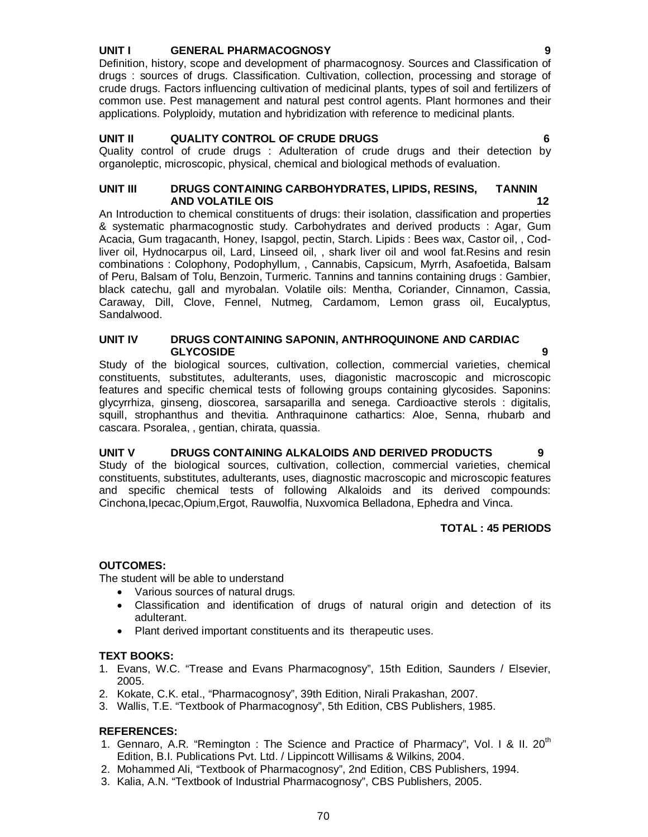## **UNIT I GENERAL PHARMACOGNOSY**

Definition, history, scope and development of pharmacognosy. Sources and Classification of drugs : sources of drugs. Classification. Cultivation, collection, processing and storage of crude drugs. Factors influencing cultivation of medicinal plants, types of soil and fertilizers of common use. Pest management and natural pest control agents. Plant hormones and their applications. Polyploidy, mutation and hybridization with reference to medicinal plants.

## **UNIT II QUALITY CONTROL OF CRUDE DRUGS 6**

Quality control of crude drugs : Adulteration of crude drugs and their detection by organoleptic, microscopic, physical, chemical and biological methods of evaluation.

## **UNIT III DRUGS CONTAINING CARBOHYDRATES, LIPIDS, RESINS, TANNIN AND VOLATILE OIS 12**

An Introduction to chemical constituents of drugs: their isolation, classification and properties & systematic pharmacognostic study. Carbohydrates and derived products : Agar, Gum Acacia, Gum tragacanth, Honey, Isapgol, pectin, Starch. Lipids : Bees wax, Castor oil, , Codliver oil, Hydnocarpus oil, Lard, Linseed oil, , shark liver oil and wool fat.Resins and resin combinations : Colophony, Podophyllum, , Cannabis, Capsicum, Myrrh, Asafoetida, Balsam of Peru, Balsam of Tolu, Benzoin, Turmeric. Tannins and tannins containing drugs : Gambier, black catechu, gall and myrobalan. Volatile oils: Mentha, Coriander, Cinnamon, Cassia, Caraway, Dill, Clove, Fennel, Nutmeg, Cardamom, Lemon grass oil, Eucalyptus, Sandalwood.

## **UNIT IV DRUGS CONTAINING SAPONIN, ANTHROQUINONE AND CARDIAC GLYCOSIDE 9**

Study of the biological sources, cultivation, collection, commercial varieties, chemical constituents, substitutes, adulterants, uses, diagonistic macroscopic and microscopic features and specific chemical tests of following groups containing glycosides. Saponins: glycyrrhiza, ginseng, dioscorea, sarsaparilla and senega. Cardioactive sterols : digitalis, squill, strophanthus and thevitia. Anthraquinone cathartics: Aloe, Senna, rhubarb and cascara. Psoralea, , gentian, chirata, quassia.

## **UNIT V DRUGS CONTAINING ALKALOIDS AND DERIVED PRODUCTS 9**

Study of the biological sources, cultivation, collection, commercial varieties, chemical constituents, substitutes, adulterants, uses, diagnostic macroscopic and microscopic features and specific chemical tests of following Alkaloids and its derived compounds: Cinchona,Ipecac,Opium,Ergot, Rauwolfia, Nuxvomica Belladona, Ephedra and Vinca.

## **TOTAL : 45 PERIODS**

## **OUTCOMES:**

The student will be able to understand

- Various sources of natural drugs.
- Classification and identification of drugs of natural origin and detection of its adulterant.
- Plant derived important constituents and its therapeutic uses.

## **TEXT BOOKS:**

- 1. Evans, W.C. "Trease and Evans Pharmacognosy", 15th Edition, Saunders / Elsevier, 2005.
- 2. Kokate, C.K. etal., "Pharmacognosy", 39th Edition, Nirali Prakashan, 2007.
- 3. Wallis, T.E. "Textbook of Pharmacognosy", 5th Edition, CBS Publishers, 1985.

## **REFERENCES:**

- 1. Gennaro, A.R. "Remington : The Science and Practice of Pharmacy", Vol. I & II. 20<sup>th</sup> Edition, B.I. Publications Pvt. Ltd. / Lippincott Willisams & Wilkins, 2004.
- 2. Mohammed Ali, "Textbook of Pharmacognosy", 2nd Edition, CBS Publishers, 1994.
- 3. Kalia, A.N. "Textbook of Industrial Pharmacognosy", CBS Publishers, 2005.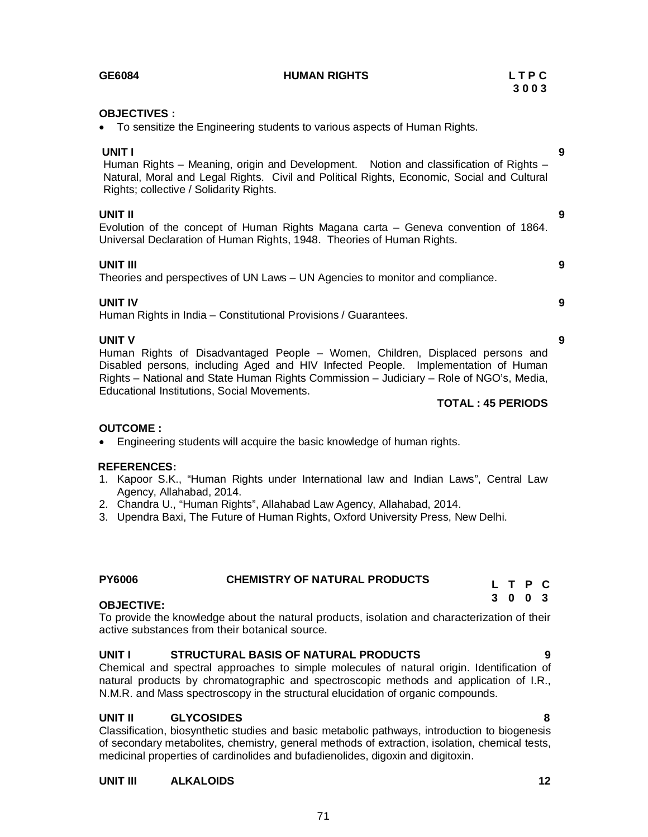| <b>OBJECTIVES:</b>                                                          |
|-----------------------------------------------------------------------------|
| • To sensitize the Engineering students to various aspects of Human Rights. |

**UNIT I 9** Human Rights – Meaning, origin and Development. Notion and classification of Rights – Natural, Moral and Legal Rights. Civil and Political Rights, Economic, Social and Cultural Rights; collective / Solidarity Rights.

**UNIT II 9** Evolution of the concept of Human Rights Magana carta – Geneva convention of 1864. Universal Declaration of Human Rights, 1948. Theories of Human Rights.

**UNIT III 9** Theories and perspectives of UN Laws – UN Agencies to monitor and compliance.

## **UNIT IV 9**

Human Rights in India – Constitutional Provisions / Guarantees.

**UNIT V 9** Human Rights of Disadvantaged People – Women, Children, Displaced persons and Disabled persons, including Aged and HIV Infected People. Implementation of Human Rights – National and State Human Rights Commission – Judiciary – Role of NGO's, Media, Educational Institutions, Social Movements.

## **TOTAL : 45 PERIODS**

# **OUTCOME :**

Engineering students will acquire the basic knowledge of human rights.

# **REFERENCES:**

- 1. Kapoor S.K., "Human Rights under International law and Indian Laws", Central Law Agency, Allahabad, 2014.
- 2. Chandra U., "Human Rights", Allahabad Law Agency, Allahabad, 2014.
- 3. Upendra Baxi, The Future of Human Rights, Oxford University Press, New Delhi.

## **PY6006 CHEMISTRY OF NATURAL PRODUCTS**

## **OBJECTIVE:**

To provide the knowledge about the natural products, isolation and characterization of their active substances from their botanical source.

# **UNIT I STRUCTURAL BASIS OF NATURAL PRODUCTS 9**

Chemical and spectral approaches to simple molecules of natural origin. Identification of natural products by chromatographic and spectroscopic methods and application of I.R., N.M.R. and Mass spectroscopy in the structural elucidation of organic compounds.

# **UNIT II GLYCOSIDES 8**

Classification, biosynthetic studies and basic metabolic pathways, introduction to biogenesis of secondary metabolites, chemistry, general methods of extraction, isolation, chemical tests, medicinal properties of cardinolides and bufadienolides, digoxin and digitoxin.

71

# **UNIT III ALKALOIDS 12**

**GE6084 HUMAN RIGHTS L T P C**

**3 0 0 3**

**L T P C 3 0 0 3**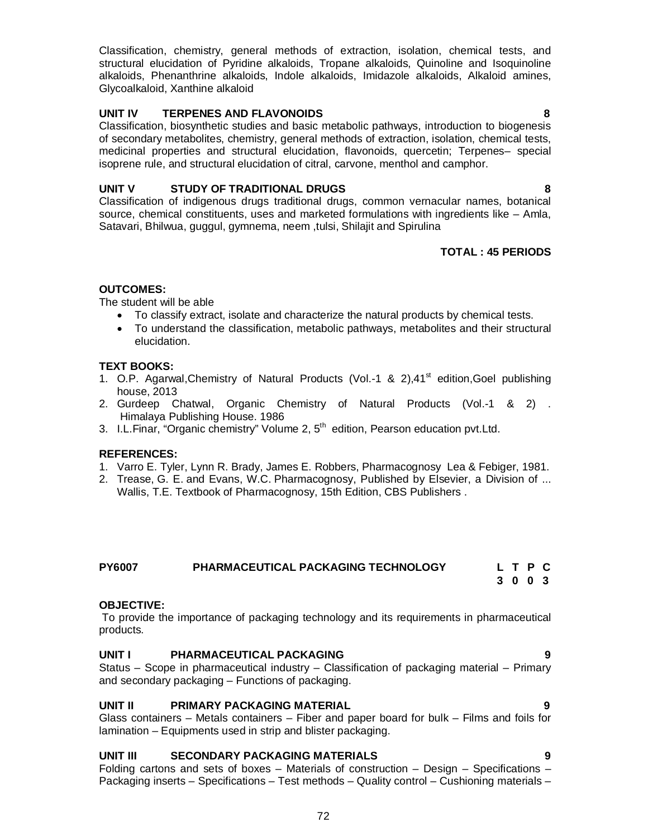Classification, chemistry, general methods of extraction, isolation, chemical tests, and structural elucidation of Pyridine alkaloids, Tropane alkaloids, Quinoline and Isoquinoline alkaloids, Phenanthrine alkaloids, Indole alkaloids, Imidazole alkaloids, Alkaloid amines, Glycoalkaloid, Xanthine alkaloid

## **UNIT IV TERPENES AND FLAVONOIDS 8**

Classification, biosynthetic studies and basic metabolic pathways, introduction to biogenesis of secondary metabolites, chemistry, general methods of extraction, isolation, chemical tests, medicinal properties and structural elucidation, flavonoids, quercetin; Terpenes– special isoprene rule, and structural elucidation of citral, carvone, menthol and camphor.

## **UNIT V STUDY OF TRADITIONAL DRUGS 8**

Classification of indigenous drugs traditional drugs, common vernacular names, botanical source, chemical constituents, uses and marketed formulations with ingredients like – Amla, Satavari, Bhilwua, guggul, gymnema, neem ,tulsi, Shilajit and Spirulina

## **TOTAL : 45 PERIODS**

## **OUTCOMES:**

The student will be able

- To classify extract, isolate and characterize the natural products by chemical tests.
- To understand the classification, metabolic pathways, metabolites and their structural elucidation.

## **TEXT BOOKS:**

- 1. O.P. Agarwal, Chemistry of Natural Products (Vol.-1 & 2), 41<sup>st</sup> edition, Goel publishing house, 2013
- 2. Gurdeep Chatwal, Organic Chemistry of Natural Products (Vol.-1 & 2) . Himalaya Publishing House. 1986
- 3. I.L.Finar, "Organic chemistry" Volume 2, 5<sup>th</sup> edition, Pearson education pvt.Ltd.

## **REFERENCES:**

- 1. Varro E. Tyler, Lynn R. Brady, James E. Robbers, Pharmacognosy Lea & Febiger, 1981.
- 2. Trease, G. E. and Evans, W.C. Pharmacognosy, Published by Elsevier, a Division of ... Wallis, T.E. Textbook of Pharmacognosy, 15th Edition, CBS Publishers .

## **PY6007 PHARMACEUTICAL PACKAGING TECHNOLOGY**

#### **L T P C 3 0 0 3**

## **OBJECTIVE:**

To provide the importance of packaging technology and its requirements in pharmaceutical products.

## **UNIT I PHARMACEUTICAL PACKAGING 9**

Status – Scope in pharmaceutical industry – Classification of packaging material – Primary and secondary packaging – Functions of packaging.

## **UNIT II PRIMARY PACKAGING MATERIAL 9**

Glass containers – Metals containers – Fiber and paper board for bulk – Films and foils for lamination – Equipments used in strip and blister packaging.

## **UNIT III SECONDARY PACKAGING MATERIALS 9**

Folding cartons and sets of boxes – Materials of construction – Design – Specifications – Packaging inserts – Specifications – Test methods – Quality control – Cushioning materials –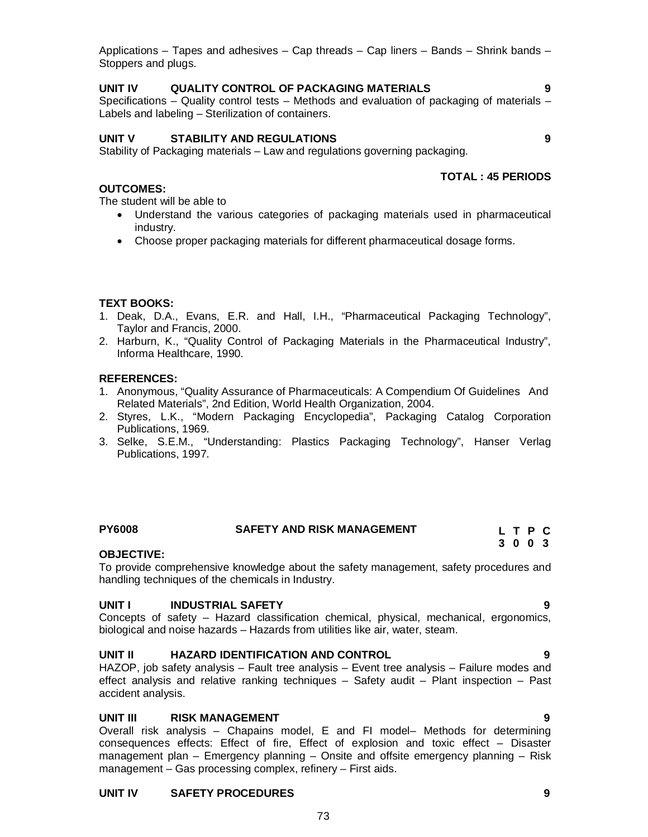Applications – Tapes and adhesives – Cap threads – Cap liners – Bands – Shrink bands – Stoppers and plugs.

#### **UNIT IV QUALITY CONTROL OF PACKAGING MATERIALS 9**

Specifications – Quality control tests – Methods and evaluation of packaging of materials – Labels and labeling – Sterilization of containers.

#### **UNIT V STABILITY AND REGULATIONS 9**

Stability of Packaging materials – Law and regulations governing packaging.

#### **TOTAL : 45 PERIODS**

**OUTCOMES:**

The student will be able to

- Understand the various categories of packaging materials used in pharmaceutical industry.
- Choose proper packaging materials for different pharmaceutical dosage forms.

#### **TEXT BOOKS:**

- 1. Deak, D.A., Evans, E.R. and Hall, I.H., "Pharmaceutical Packaging Technology", Taylor and Francis, 2000.
- 2. Harburn, K., "Quality Control of Packaging Materials in the Pharmaceutical Industry", Informa Healthcare, 1990.

#### **REFERENCES:**

- 1. Anonymous, "Quality Assurance of Pharmaceuticals: A Compendium Of Guidelines And Related Materials", 2nd Edition, World Health Organization, 2004.
- 2. Styres, L.K., "Modern Packaging Encyclopedia", Packaging Catalog Corporation Publications, 1969.
- 3. Selke, S.E.M., "Understanding: Plastics Packaging Technology", Hanser Verlag Publications, 1997.

#### **PY6008 SAFETY AND RISK MANAGEMENT**

#### **OBJECTIVE:**

To provide comprehensive knowledge about the safety management, safety procedures and handling techniques of the chemicals in Industry.

#### **UNIT I INDUSTRIAL SAFETY 9**

Concepts of safety – Hazard classification chemical, physical, mechanical, ergonomics, biological and noise hazards – Hazards from utilities like air, water, steam.

#### **UNIT II HAZARD IDENTIFICATION AND CONTROL 9**

HAZOP, job safety analysis – Fault tree analysis – Event tree analysis – Failure modes and effect analysis and relative ranking techniques – Safety audit – Plant inspection – Past accident analysis.

#### **UNIT III RISK MANAGEMENT 9**

Overall risk analysis – Chapains model, E and FI model– Methods for determining consequences effects: Effect of fire, Effect of explosion and toxic effect – Disaster management plan – Emergency planning – Onsite and offsite emergency planning – Risk management – Gas processing complex, refinery – First aids.

#### **UNIT IV SAFETY PROCEDURES 9**

**L T P C 3 0 0 3**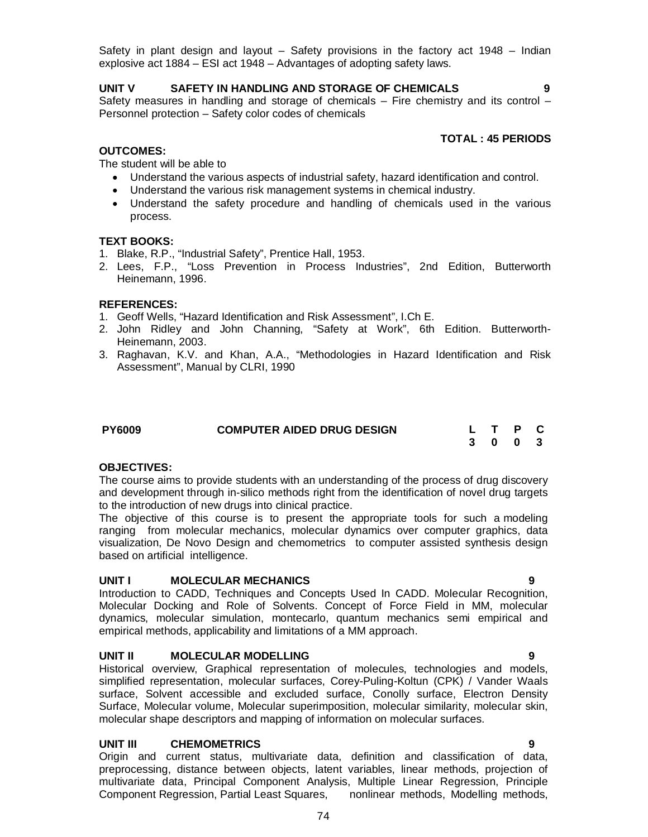Safety in plant design and layout – Safety provisions in the factory act 1948 – Indian explosive act 1884 – ESI act 1948 – Advantages of adopting safety laws.

#### **UNIT V SAFETY IN HANDLING AND STORAGE OF CHEMICALS 9**

Safety measures in handling and storage of chemicals – Fire chemistry and its control – Personnel protection – Safety color codes of chemicals

#### **TOTAL : 45 PERIODS**

#### **OUTCOMES:**

The student will be able to

- Understand the various aspects of industrial safety, hazard identification and control.
- Understand the various risk management systems in chemical industry.
- Understand the safety procedure and handling of chemicals used in the various process.

#### **TEXT BOOKS:**

- 1. Blake, R.P., "Industrial Safety", Prentice Hall, 1953.
- 2. Lees, F.P., "Loss Prevention in Process Industries", 2nd Edition, Butterworth Heinemann, 1996.

#### **REFERENCES:**

- 1. Geoff Wells, "Hazard Identification and Risk Assessment", I.Ch E.
- 2. John Ridley and John Channing, "Safety at Work", 6th Edition. Butterworth-Heinemann, 2003.
- 3. Raghavan, K.V. and Khan, A.A., "Methodologies in Hazard Identification and Risk Assessment", Manual by CLRI, 1990

| <b>PY6009</b> | <b>COMPUTER AIDED DRUG DESIGN</b> |  | L T P C |  |
|---------------|-----------------------------------|--|---------|--|
|               |                                   |  | 3 0 0 3 |  |

#### **OBJECTIVES:**

The course aims to provide students with an understanding of the process of drug discovery and development through in-silico methods right from the identification of novel drug targets to the introduction of new drugs into clinical practice.

The objective of this course is to present the appropriate tools for such a modeling ranging from molecular mechanics, molecular dynamics over computer graphics, data visualization, De Novo Design and chemometrics to computer assisted synthesis design based on artificial intelligence.

#### **UNIT I MOLECULAR MECHANICS 9**

Introduction to CADD, Techniques and Concepts Used In CADD. Molecular Recognition, Molecular Docking and Role of Solvents. Concept of Force Field in MM, molecular dynamics, molecular simulation, montecarlo, quantum mechanics semi empirical and empirical methods, applicability and limitations of a MM approach.

#### **UNIT II MOLECULAR MODELLING 9**

Historical overview, Graphical representation of molecules, technologies and models, simplified representation, molecular surfaces, Corey-Puling-Koltun (CPK) / Vander Waals surface, Solvent accessible and excluded surface, Conolly surface, Electron Density Surface, Molecular volume, Molecular superimposition, molecular similarity, molecular skin, molecular shape descriptors and mapping of information on molecular surfaces.

#### **UNIT III CHEMOMETRICS 9**

Origin and current status, multivariate data, definition and classification of data, preprocessing, distance between objects, latent variables, linear methods, projection of multivariate data, Principal Component Analysis, Multiple Linear Regression, Principle Component Regression, Partial Least Squares, nonlinear methods, Modelling methods,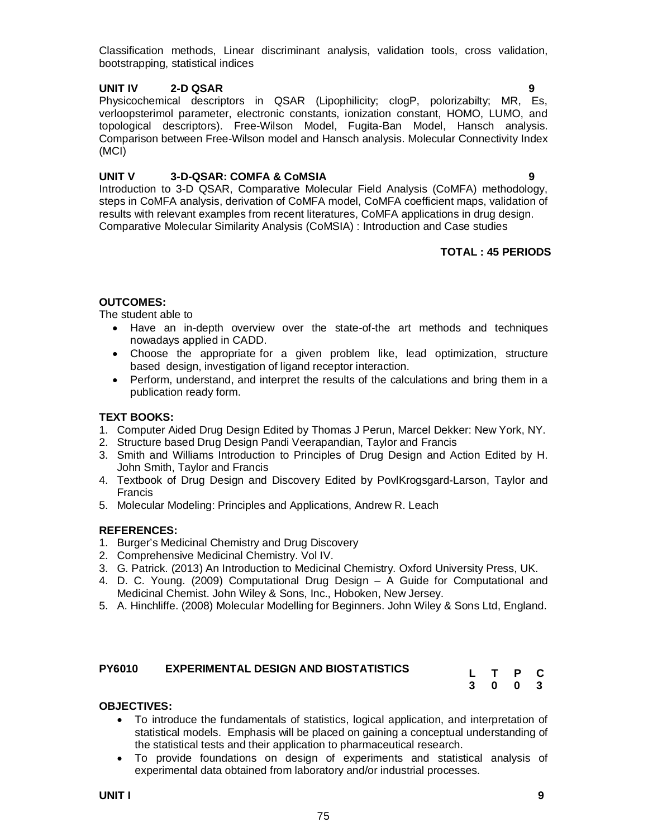Classification methods, Linear discriminant analysis, validation tools, cross validation, bootstrapping, statistical indices

#### **UNIT IV 2-D QSAR 9**

Physicochemical descriptors in QSAR (Lipophilicity; clogP, polorizabilty; MR, Es, verloopsterimol parameter, electronic constants, ionization constant, HOMO, LUMO, and topological descriptors). Free-Wilson Model, Fugita-Ban Model, Hansch analysis. Comparison between Free-Wilson model and Hansch analysis. Molecular Connectivity Index (MCI)

#### **UNIT V 3-D-QSAR: COMFA & CoMSIA 9**

Introduction to 3-D QSAR, Comparative Molecular Field Analysis (CoMFA) methodology, steps in CoMFA analysis, derivation of CoMFA model, CoMFA coefficient maps, validation of results with relevant examples from recent literatures, CoMFA applications in drug design. Comparative Molecular Similarity Analysis (CoMSIA) : Introduction and Case studies

#### **TOTAL : 45 PERIODS**

### **OUTCOMES:**

The student able to

- Have an in-depth overview over the state-of-the art methods and techniques nowadays applied in CADD.
- Choose the appropriate for a given problem like, lead optimization, structure based design, investigation of ligand receptor interaction.
- Perform, understand, and interpret the results of the calculations and bring them in a publication ready form.

#### **TEXT BOOKS:**

- 1. Computer Aided Drug Design Edited by Thomas J Perun, Marcel Dekker: New York, NY.
- 2. Structure based Drug Design Pandi Veerapandian, Taylor and Francis
- 3. Smith and Williams Introduction to Principles of Drug Design and Action Edited by H. John Smith, Taylor and Francis
- 4. Textbook of Drug Design and Discovery Edited by PovlKrogsgard-Larson, Taylor and Francis
- 5. Molecular Modeling: Principles and Applications, Andrew R. Leach

#### **REFERENCES:**

- 1. Burger's Medicinal Chemistry and Drug Discovery
- 2. Comprehensive Medicinal Chemistry. Vol IV.
- 3. G. Patrick. (2013) An Introduction to Medicinal Chemistry. Oxford University Press, UK.
- 4. D. C. Young. (2009) Computational Drug Design A Guide for Computational and Medicinal Chemist. John Wiley & Sons, Inc., Hoboken, New Jersey.
- 5. A. Hinchliffe. (2008) Molecular Modelling for Beginners. John Wiley & Sons Ltd, England.

| <b>PY6010</b> | <b>EXPERIMENTAL DESIGN AND BIOSTATISTICS</b> |         |         |  |
|---------------|----------------------------------------------|---------|---------|--|
|               |                                              |         | L T P C |  |
|               |                                              | 3 0 0 3 |         |  |

#### **OBJECTIVES:**

- To introduce the fundamentals of statistics, logical application, and interpretation of statistical models. Emphasis will be placed on gaining a conceptual understanding of the statistical tests and their application to pharmaceutical research.
- To provide foundations on design of experiments and statistical analysis of experimental data obtained from laboratory and/or industrial processes.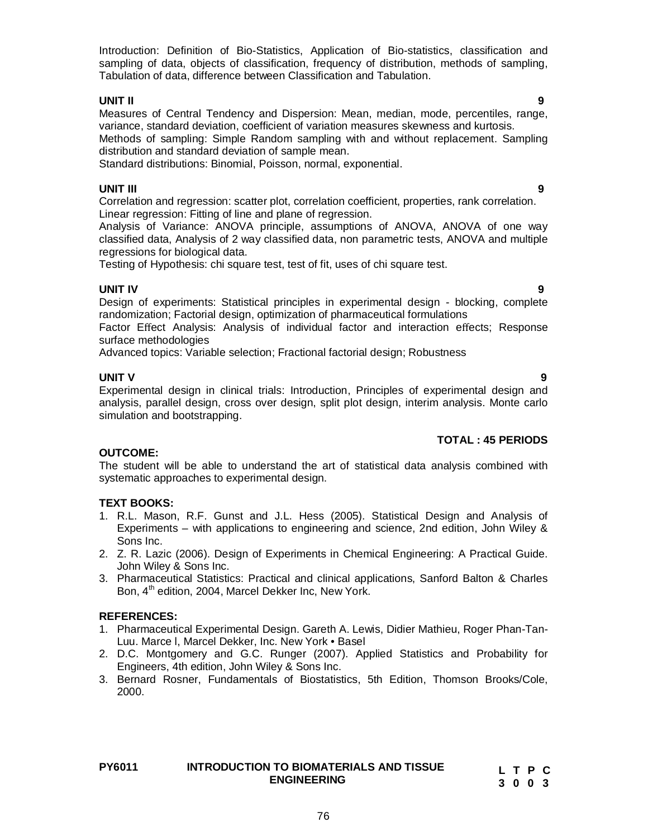Introduction: Definition of Bio-Statistics, Application of Bio-statistics, classification and sampling of data, objects of classification, frequency of distribution, methods of sampling, Tabulation of data, difference between Classification and Tabulation.

#### **UNIT II 9**

Measures of Central Tendency and Dispersion: Mean, median, mode, percentiles, range, variance, standard deviation, coefficient of variation measures skewness and kurtosis.

Methods of sampling: Simple Random sampling with and without replacement. Sampling distribution and standard deviation of sample mean.

Standard distributions: Binomial, Poisson, normal, exponential.

#### **UNIT III 9**

Correlation and regression: scatter plot, correlation coefficient, properties, rank correlation. Linear regression: Fitting of line and plane of regression.

Analysis of Variance: ANOVA principle, assumptions of ANOVA, ANOVA of one way classified data, Analysis of 2 way classified data, non parametric tests, ANOVA and multiple regressions for biological data.

Testing of Hypothesis: chi square test, test of fit, uses of chi square test.

#### **UNIT IV 9**

Design of experiments: Statistical principles in experimental design - blocking, complete randomization; Factorial design, optimization of pharmaceutical formulations

Factor Effect Analysis: Analysis of individual factor and interaction effects; Response surface methodologies

Advanced topics: Variable selection; Fractional factorial design; Robustness

**UNIT V 9** Experimental design in clinical trials: Introduction, Principles of experimental design and analysis, parallel design, cross over design, split plot design, interim analysis. Monte carlo simulation and bootstrapping.

#### **TOTAL : 45 PERIODS**

#### **OUTCOME:**

The student will be able to understand the art of statistical data analysis combined with systematic approaches to experimental design.

#### **TEXT BOOKS:**

- 1. R.L. Mason, R.F. Gunst and J.L. Hess (2005). Statistical Design and Analysis of Experiments – with applications to engineering and science, 2nd edition, John Wiley & Sons Inc.
- 2. Z. R. Lazic (2006). Design of Experiments in Chemical Engineering: A Practical Guide. John Wiley & Sons Inc.
- 3. Pharmaceutical Statistics: Practical and clinical applications, Sanford Balton & Charles Bon, 4<sup>th</sup> edition, 2004, Marcel Dekker Inc, New York.

#### **REFERENCES:**

- 1. Pharmaceutical Experimental Design. Gareth A. Lewis, Didier Mathieu, Roger Phan-Tan-Luu. Marce l, Marcel Dekker, Inc. New York • Basel
- 2. D.C. Montgomery and G.C. Runger (2007). Applied Statistics and Probability for Engineers, 4th edition, John Wiley & Sons Inc.
- 3. Bernard Rosner, Fundamentals of Biostatistics, 5th Edition, Thomson Brooks/Cole, 2000.

| <b>PY6011</b> | <b>INTRODUCTION TO BIOMATERIALS AND TISSUE</b> | LTPC |
|---------------|------------------------------------------------|------|
|               | <b>ENGINEERING</b>                             | 3003 |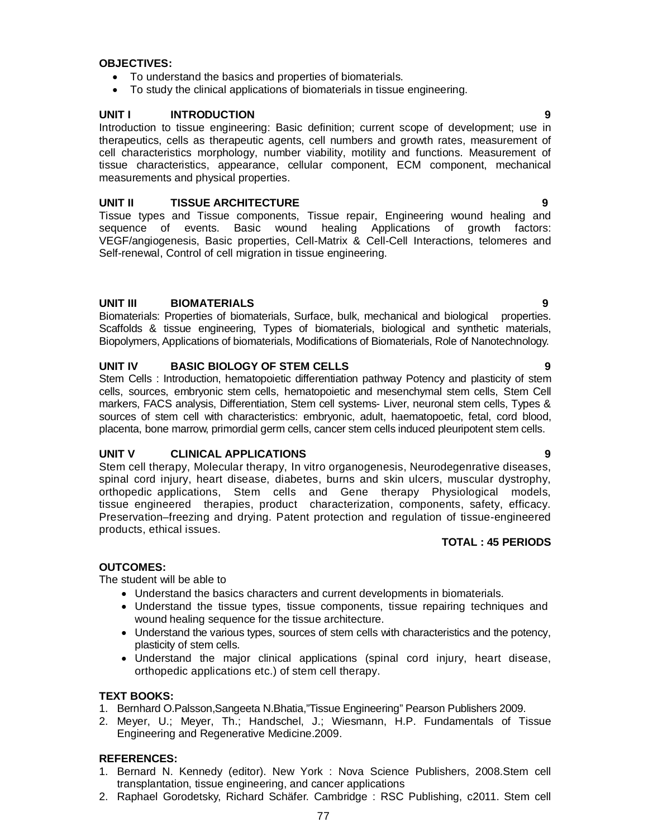#### **OBJECTIVES:**

- To understand the basics and properties of biomaterials.
- To study the clinical applications of biomaterials in tissue engineering.

#### **UNIT I INTRODUCTION 9**

Introduction to tissue engineering: Basic definition; current scope of development; use in therapeutics, cells as therapeutic agents, cell numbers and growth rates, measurement of cell characteristics morphology, number viability, motility and functions. Measurement of tissue characteristics, appearance, cellular component, ECM component, mechanical measurements and physical properties.

#### **UNIT II TISSUE ARCHITECTURE 9**

Tissue types and Tissue components, Tissue repair, Engineering wound healing and sequence of events. Basic wound healing Applications of growth factors: VEGF/angiogenesis, Basic properties, Cell-Matrix & Cell-Cell Interactions, telomeres and Self-renewal, Control of cell migration in tissue engineering.

#### **UNIT III BIOMATERIALS 9**

Biomaterials: Properties of biomaterials, Surface, bulk, mechanical and biological properties. Scaffolds & tissue engineering, Types of biomaterials, biological and synthetic materials, Biopolymers, Applications of biomaterials, Modifications of Biomaterials, Role of Nanotechnology.

#### **UNIT IV BASIC BIOLOGY OF STEM CELLS 9**

Stem Cells : Introduction, hematopoietic differentiation pathway Potency and plasticity of stem cells, sources, embryonic stem cells, hematopoietic and mesenchymal stem cells, Stem Cell markers, FACS analysis, Differentiation, Stem cell systems- Liver, neuronal stem cells, Types & sources of stem cell with characteristics: embryonic, adult, haematopoetic, fetal, cord blood, placenta, bone marrow, primordial germ cells, cancer stem cells induced pleuripotent stem cells.

#### **UNIT V CLINICAL APPLICATIONS 9**

Stem cell therapy, Molecular therapy, In vitro organogenesis, Neurodegenrative diseases, spinal cord injury, heart disease, diabetes, burns and skin ulcers, muscular dystrophy, orthopedic applications, Stem cells and Gene therapy Physiological models, tissue engineered therapies, product characterization, components, safety, efficacy. Preservation–freezing and drying. Patent protection and regulation of tissue-engineered products, ethical issues.

#### **TOTAL : 45 PERIODS**

#### **OUTCOMES:**

The student will be able to

- Understand the basics characters and current developments in biomaterials.
- Understand the tissue types, tissue components, tissue repairing techniques and wound healing sequence for the tissue architecture.
- Understand the various types, sources of stem cells with characteristics and the potency, plasticity of stem cells.
- Understand the major clinical applications (spinal cord injury, heart disease, orthopedic applications etc.) of stem cell therapy.

#### **TEXT BOOKS:**

- 1. Bernhard O.Palsson,Sangeeta N.Bhatia,"Tissue Engineering" Pearson Publishers 2009.
- 2. Meyer, U.; Meyer, Th.; Handschel, J.; Wiesmann, H.P. Fundamentals of Tissue Engineering and Regenerative Medicine.2009.

#### **REFERENCES:**

- 1. Bernard N. Kennedy (editor). New York : Nova Science Publishers, 2008.Stem cell transplantation, tissue engineering, and cancer applications
- 2. Raphael Gorodetsky, Richard Schäfer. Cambridge : RSC Publishing, c2011. Stem cell

- 
-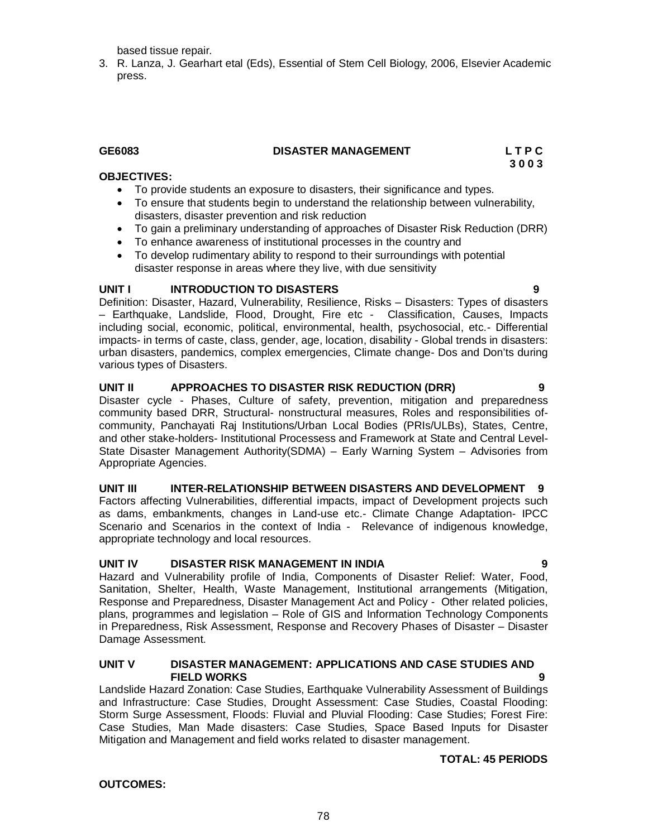based tissue repair.

3. R. Lanza, J. Gearhart etal (Eds), Essential of Stem Cell Biology, 2006, Elsevier Academic press.

### **GE6083 DISASTER MANAGEMENT L T P C**

**3 0 0 3** 

#### **OBJECTIVES:**

- To provide students an exposure to disasters, their significance and types.
- To ensure that students begin to understand the relationship between vulnerability, disasters, disaster prevention and risk reduction
- To gain a preliminary understanding of approaches of Disaster Risk Reduction (DRR)
- To enhance awareness of institutional processes in the country and
- To develop rudimentary ability to respond to their surroundings with potential disaster response in areas where they live, with due sensitivity

#### **UNIT I INTRODUCTION TO DISASTERS 9**

Definition: Disaster, Hazard, Vulnerability, Resilience, Risks – Disasters: Types of disasters – Earthquake, Landslide, Flood, Drought, Fire etc - Classification, Causes, Impacts including social, economic, political, environmental, health, psychosocial, etc.- Differential impacts- in terms of caste, class, gender, age, location, disability - Global trends in disasters: urban disasters, pandemics, complex emergencies, Climate change- Dos and Don'ts during various types of Disasters.

### **UNIT II APPROACHES TO DISASTER RISK REDUCTION (DRR) 9**

Disaster cycle - Phases, Culture of safety, prevention, mitigation and preparedness community based DRR, Structural- nonstructural measures, Roles and responsibilities ofcommunity, Panchayati Raj Institutions/Urban Local Bodies (PRIs/ULBs), States, Centre, and other stake-holders- Institutional Processess and Framework at State and Central Level-State Disaster Management Authority(SDMA) – Early Warning System – Advisories from Appropriate Agencies.

## **UNIT III INTER-RELATIONSHIP BETWEEN DISASTERS AND DEVELOPMENT 9**

Factors affecting Vulnerabilities, differential impacts, impact of Development projects such as dams, embankments, changes in Land-use etc.- Climate Change Adaptation- IPCC Scenario and Scenarios in the context of India - Relevance of indigenous knowledge, appropriate technology and local resources.

## **UNIT IV DISASTER RISK MANAGEMENT IN INDIA 9**

Hazard and Vulnerability profile of India, Components of Disaster Relief: Water, Food, Sanitation, Shelter, Health, Waste Management, Institutional arrangements (Mitigation, Response and Preparedness, Disaster Management Act and Policy - Other related policies, plans, programmes and legislation – Role of GIS and Information Technology Components in Preparedness, Risk Assessment, Response and Recovery Phases of Disaster – Disaster Damage Assessment.

#### **UNIT V DISASTER MANAGEMENT: APPLICATIONS AND CASE STUDIES AND FIELD WORKS 9**

Landslide Hazard Zonation: Case Studies, Earthquake Vulnerability Assessment of Buildings and Infrastructure: Case Studies, Drought Assessment: Case Studies, Coastal Flooding: Storm Surge Assessment, Floods: Fluvial and Pluvial Flooding: Case Studies; Forest Fire: Case Studies, Man Made disasters: Case Studies, Space Based Inputs for Disaster Mitigation and Management and field works related to disaster management.

## **TOTAL: 45 PERIODS**

### **OUTCOMES:**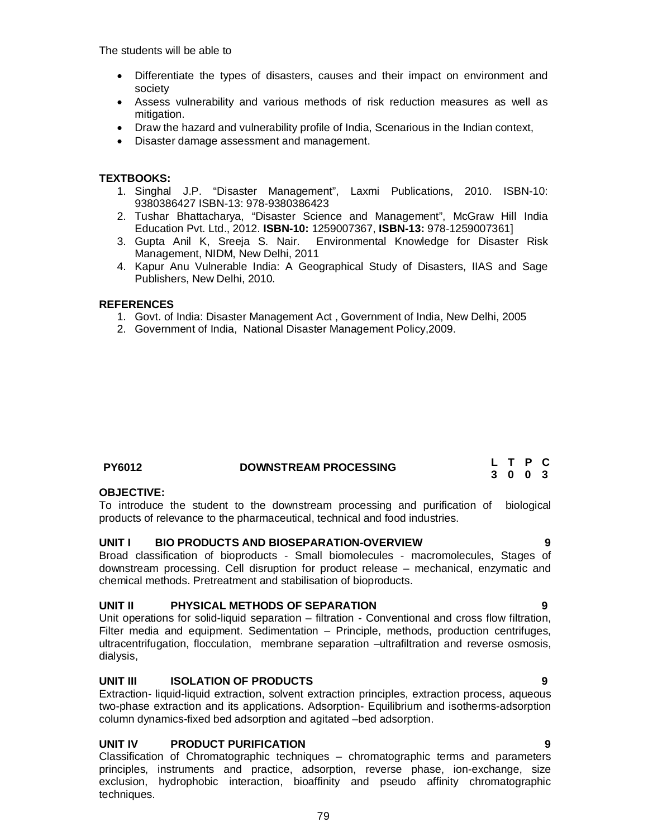The students will be able to

- Differentiate the types of disasters, causes and their impact on environment and society
- Assess vulnerability and various methods of risk reduction measures as well as mitigation.
- Draw the hazard and vulnerability profile of India, Scenarious in the Indian context,
- Disaster damage assessment and management.

#### **TEXTBOOKS:**

- 1. Singhal J.P. "Disaster Management", Laxmi Publications, 2010. ISBN-10: 9380386427 ISBN-13: 978-9380386423
- 2. Tushar Bhattacharya, "Disaster Science and Management", McGraw Hill India Education Pvt. Ltd., 2012. **ISBN-10:** 1259007367, **ISBN-13:** 978-1259007361]
- 3. Gupta Anil K, Sreeja S. Nair. Environmental Knowledge for Disaster Risk Management, NIDM, New Delhi, 2011
- 4. Kapur Anu Vulnerable India: A Geographical Study of Disasters, IIAS and Sage Publishers, New Delhi, 2010.

#### **REFERENCES**

- 1. Govt. of India: Disaster Management Act , Government of India, New Delhi, 2005
- 2. Government of India, National Disaster Management Policy,2009.

| <b>PY6012</b> | <b>DOWNSTREAM PROCESSING</b> | L T P C |  |
|---------------|------------------------------|---------|--|
|               |                              | 3 0 0 3 |  |

#### **OBJECTIVE:**

To introduce the student to the downstream processing and purification of biological products of relevance to the pharmaceutical, technical and food industries.

#### **UNIT I BIO PRODUCTS AND BIOSEPARATION-OVERVIEW 9**

Broad classification of bioproducts - Small biomolecules - macromolecules, Stages of downstream processing. Cell disruption for product release – mechanical, enzymatic and chemical methods. Pretreatment and stabilisation of bioproducts.

#### **UNIT II PHYSICAL METHODS OF SEPARATION 9**

Unit operations for solid-liquid separation – filtration - Conventional and cross flow filtration, Filter media and equipment. Sedimentation – Principle, methods, production centrifuges, ultracentrifugation, flocculation, membrane separation –ultrafiltration and reverse osmosis, dialysis,

#### **UNIT III ISOLATION OF PRODUCTS 9**

Extraction- liquid-liquid extraction, solvent extraction principles, extraction process, aqueous two-phase extraction and its applications. Adsorption- Equilibrium and isotherms-adsorption column dynamics-fixed bed adsorption and agitated –bed adsorption.

#### **UNIT IV PRODUCT PURIFICATION 9**

Classification of Chromatographic techniques – chromatographic terms and parameters principles, instruments and practice, adsorption, reverse phase, ion-exchange, size exclusion, hydrophobic interaction, bioaffinity and pseudo affinity chromatographic techniques.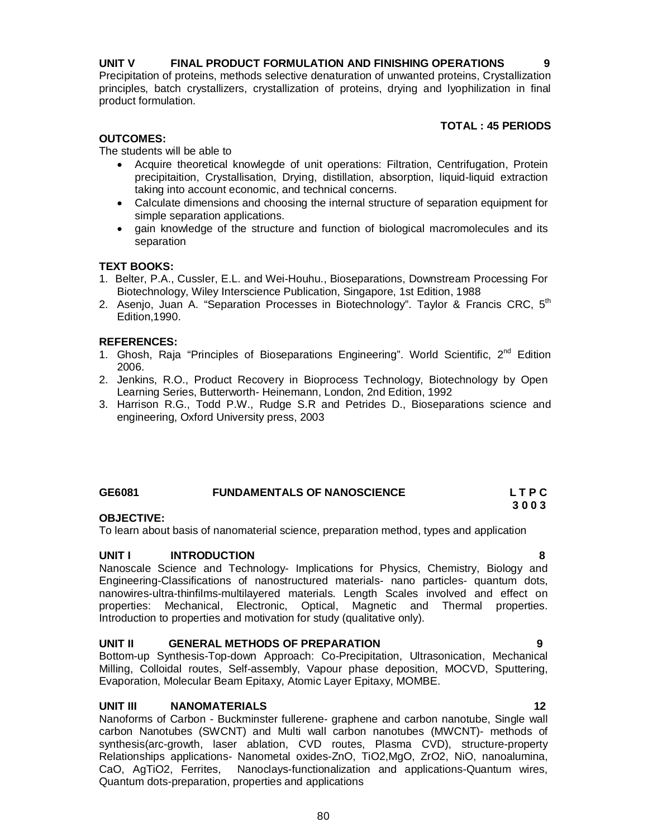# **UNIT V FINAL PRODUCT FORMULATION AND FINISHING OPERATIONS 9**

Precipitation of proteins, methods selective denaturation of unwanted proteins, Crystallization principles, batch crystallizers, crystallization of proteins, drying and lyophilization in final product formulation.

### **TOTAL : 45 PERIODS**

# **OUTCOMES:**

The students will be able to

- Acquire theoretical knowlegde of unit operations: Filtration, Centrifugation, Protein precipitaition, Crystallisation, Drying, distillation, absorption, liquid-liquid extraction taking into account economic, and technical concerns.
- Calculate dimensions and choosing the internal structure of separation equipment for simple separation applications.
- gain knowledge of the structure and function of biological macromolecules and its separation

## **TEXT BOOKS:**

- 1. Belter, P.A., Cussler, E.L. and Wei-Houhu., Bioseparations, Downstream Processing For Biotechnology, Wiley Interscience Publication, Singapore, 1st Edition, 1988
- 2. Asenjo, Juan A. "Separation Processes in Biotechnology". Taylor & Francis CRC, 5<sup>th</sup> Edition,1990.

### **REFERENCES:**

- 1. Ghosh, Raja "Principles of Bioseparations Engineering". World Scientific, 2<sup>nd</sup> Edition 2006.
- 2. Jenkins, R.O., Product Recovery in Bioprocess Technology, Biotechnology by Open Learning Series, Butterworth- Heinemann, London, 2nd Edition, 1992
- 3. Harrison R.G., Todd P.W., Rudge S.R and Petrides D., Bioseparations science and engineering, Oxford University press, 2003

# **GE6081 FUNDAMENTALS OF NANOSCIENCE L T P C**

#### **3 0 0 3 OBJECTIVE:**

To learn about basis of nanomaterial science, preparation method, types and application

### **UNIT I INTRODUCTION 8**

Nanoscale Science and Technology- Implications for Physics, Chemistry, Biology and Engineering-Classifications of nanostructured materials- nano particles- quantum dots, nanowires-ultra-thinfilms-multilayered materials. Length Scales involved and effect on properties: Mechanical, Electronic, Optical, Magnetic and Thermal properties. Introduction to properties and motivation for study (qualitative only).

### **UNIT II GENERAL METHODS OF PREPARATION 9**

Bottom-up Synthesis-Top-down Approach: Co-Precipitation, Ultrasonication, Mechanical Milling, Colloidal routes, Self-assembly, Vapour phase deposition, MOCVD, Sputtering, Evaporation, Molecular Beam Epitaxy, Atomic Layer Epitaxy, MOMBE.

## **UNIT III NANOMATERIALS 12**

Nanoforms of Carbon - Buckminster fullerene- graphene and carbon nanotube, Single wall carbon Nanotubes (SWCNT) and Multi wall carbon nanotubes (MWCNT)- methods of synthesis(arc-growth, laser ablation, CVD routes, Plasma CVD), structure-property Relationships applications- Nanometal oxides-ZnO, TiO2,MgO, ZrO2, NiO, nanoalumina, CaO, AgTiO2, Ferrites, Nanoclays-functionalization and applications-Quantum wires, Quantum dots-preparation, properties and applications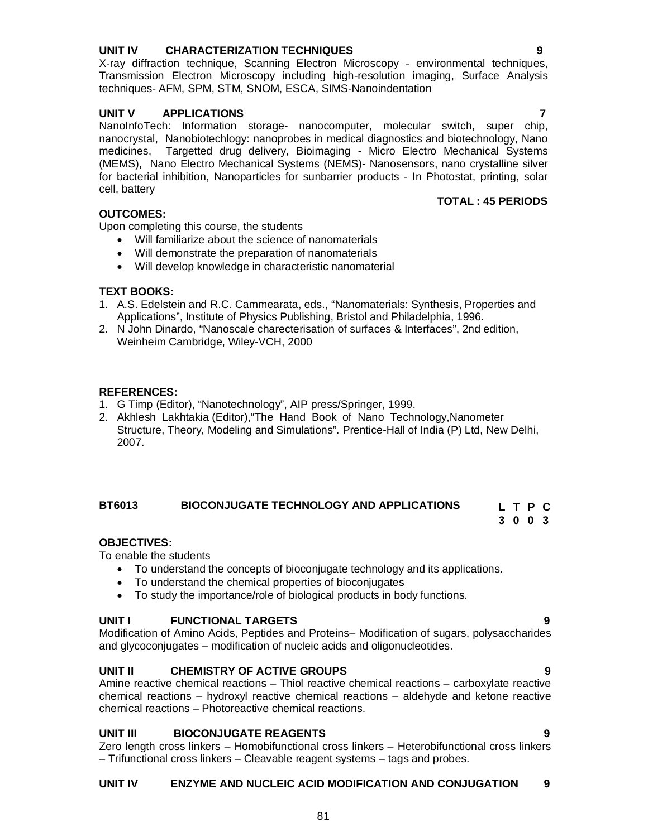nanocrystal, Nanobiotechlogy: nanoprobes in medical diagnostics and biotechnology, Nano medicines, Targetted drug delivery, Bioimaging - Micro Electro Mechanical Systems (MEMS), Nano Electro Mechanical Systems (NEMS)- Nanosensors, nano crystalline silver for bacterial inhibition, Nanoparticles for sunbarrier products - In Photostat, printing, solar cell, battery

Transmission Electron Microscopy including high-resolution imaging, Surface Analysis

**UNIT V APPLICATIONS 7** NanoInfoTech: Information storage- nanocomputer, molecular switch, super chip,

#### **OUTCOMES:**

Upon completing this course, the students

- Will familiarize about the science of nanomaterials
- Will demonstrate the preparation of nanomaterials
- Will develop knowledge in characteristic nanomaterial

#### **TEXT BOOKS:**

- 1. A.S. Edelstein and R.C. Cammearata, eds., "Nanomaterials: Synthesis, Properties and Applications", Institute of Physics Publishing, Bristol and Philadelphia, 1996.
- 2. N John Dinardo, "Nanoscale charecterisation of surfaces & Interfaces", 2nd edition, Weinheim Cambridge, Wiley-VCH, 2000

#### **REFERENCES:**

- 1. G Timp (Editor), "Nanotechnology", AIP press/Springer, 1999.
- 2. Akhlesh Lakhtakia (Editor),"The Hand Book of Nano Technology,Nanometer Structure, Theory, Modeling and Simulations". Prentice-Hall of India (P) Ltd, New Delhi, 2007.

#### **BT6013 BIOCONJUGATE TECHNOLOGY AND APPLICATIONS L T P C**

#### **OBJECTIVES:**

To enable the students

- To understand the concepts of bioconjugate technology and its applications.
- To understand the chemical properties of bioconjugates
- To study the importance/role of biological products in body functions.

#### **UNIT I FUNCTIONAL TARGETS 9**

Modification of Amino Acids, Peptides and Proteins– Modification of sugars, polysaccharides and glycoconjugates – modification of nucleic acids and oligonucleotides.

#### **UNIT II CHEMISTRY OF ACTIVE GROUPS 9**

Amine reactive chemical reactions – Thiol reactive chemical reactions – carboxylate reactive chemical reactions – hydroxyl reactive chemical reactions – aldehyde and ketone reactive chemical reactions – Photoreactive chemical reactions.

#### **UNIT III BIOCONJUGATE REAGENTS 9**

Zero length cross linkers – Homobifunctional cross linkers – Heterobifunctional cross linkers – Trifunctional cross linkers – Cleavable reagent systems – tags and probes.

#### **UNIT IV ENZYME AND NUCLEIC ACID MODIFICATION AND CONJUGATION 9**

#### **UNIT IV CHARACTERIZATION TECHNIQUES 9** X-ray diffraction technique, Scanning Electron Microscopy - environmental techniques,

techniques- AFM, SPM, STM, SNOM, ESCA, SIMS-Nanoindentation

**TOTAL : 45 PERIODS** 

**3 0 0 3**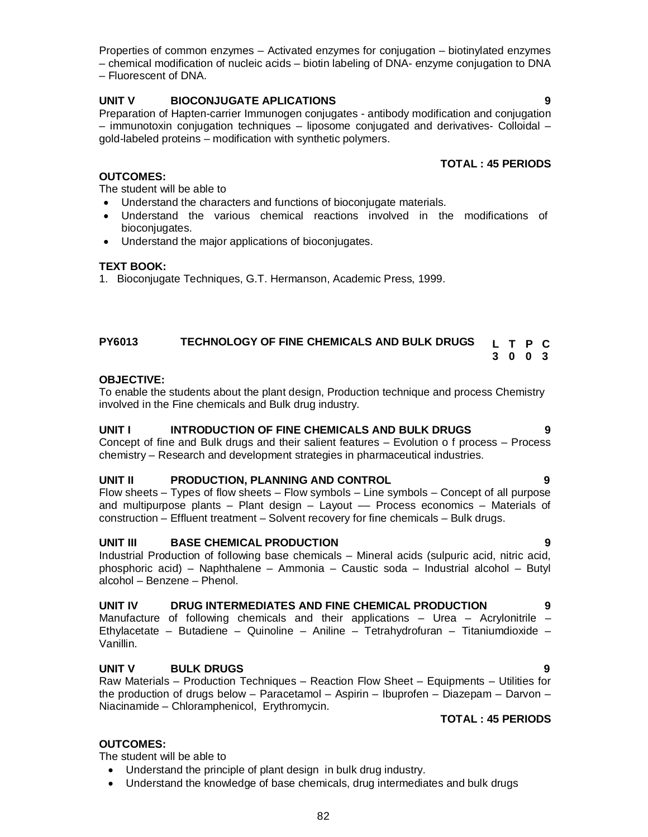Properties of common enzymes – Activated enzymes for conjugation – biotinylated enzymes – chemical modification of nucleic acids – biotin labeling of DNA- enzyme conjugation to DNA – Fluorescent of DNA.

### **UNIT V BIOCONJUGATE APLICATIONS 9**

Preparation of Hapten-carrier Immunogen conjugates - antibody modification and conjugation – immunotoxin conjugation techniques – liposome conjugated and derivatives- Colloidal – gold-labeled proteins – modification with synthetic polymers.

#### **TOTAL : 45 PERIODS**

#### **OUTCOMES:**

The student will be able to

- Understand the characters and functions of bioconjugate materials.
- Understand the various chemical reactions involved in the modifications of bioconiugates.
- Understand the major applications of bioconjugates.

#### **TEXT BOOK:**

1. Bioconjugate Techniques, G.T. Hermanson, Academic Press, 1999.

#### **PY6013 TECHNOLOGY OF FINE CHEMICALS AND BULK DRUGS L T P C 3 0 0 3**

#### **OBJECTIVE:**

To enable the students about the plant design, Production technique and process Chemistry involved in the Fine chemicals and Bulk drug industry.

#### **UNIT I INTRODUCTION OF FINE CHEMICALS AND BULK DRUGS 9**

Concept of fine and Bulk drugs and their salient features – Evolution o f process – Process chemistry – Research and development strategies in pharmaceutical industries.

#### **UNIT II PRODUCTION, PLANNING AND CONTROL 9**

Flow sheets – Types of flow sheets – Flow symbols – Line symbols – Concept of all purpose and multipurpose plants  $-$  Plant design  $-$  Layout  $-$  Process economics  $-$  Materials of construction – Effluent treatment *–* Solvent recovery for fine chemicals – Bulk drugs.

#### **UNIT III BASE CHEMICAL PRODUCTION 9**

Industrial Production of following base chemicals – Mineral acids (sulpuric acid, nitric acid, phosphoric acid) – Naphthalene – Ammonia – Caustic soda – Industrial alcohol – Butyl alcohol – Benzene – Phenol.

#### **UNIT IV DRUG INTERMEDIATES AND FINE CHEMICAL PRODUCTION 9**

Manufacture of following chemicals and their applications – Urea – Acrylonitrile – Ethylacetate – Butadiene – Quinoline – Aniline – Tetrahydrofuran – Titaniumdioxide – Vanillin.

#### **UNIT V BULK DRUGS 9**

Raw Materials – Production Techniques – Reaction Flow Sheet – Equipments – Utilities for the production of drugs below – Paracetamol – Aspirin – Ibuprofen – Diazepam – Darvon – Niacinamide – Chloramphenicol, Erythromycin.

#### **TOTAL : 45 PERIODS**

#### **OUTCOMES:**

The student will be able to

- Understand the principle of plant design in bulk drug industry.
- Understand the knowledge of base chemicals, drug intermediates and bulk drugs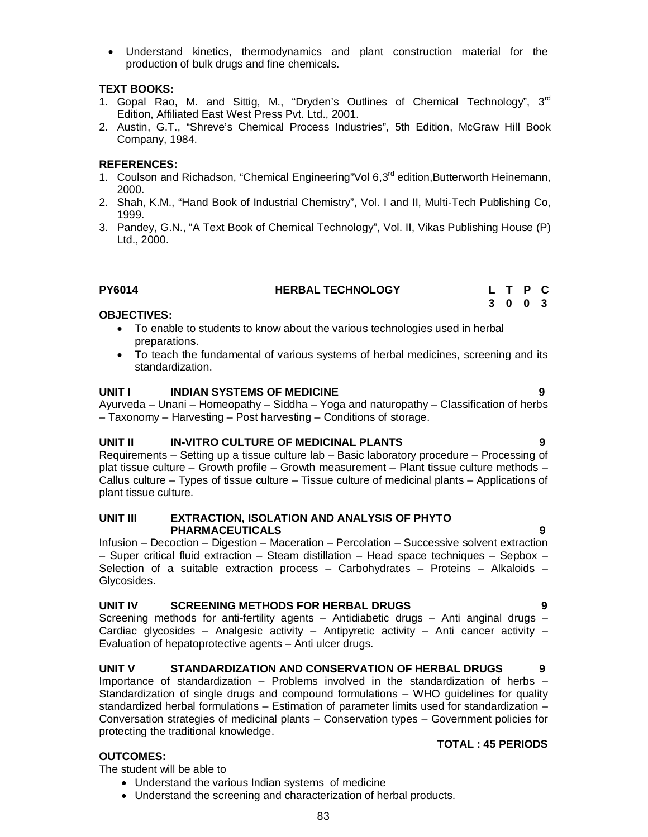- Understand the various Indian systems of medicine
- Understand the screening and characterization of herbal products.

 Understand kinetics, thermodynamics and plant construction material for the production of bulk drugs and fine chemicals.

### **TEXT BOOKS:**

- 1. Gopal Rao, M. and Sittig, M., "Dryden's Outlines of Chemical Technology",  $3<sup>rd</sup>$ Edition, Affiliated East West Press Pvt. Ltd., 2001.
- 2. Austin, G.T., "Shreve's Chemical Process Industries", 5th Edition, McGraw Hill Book Company, 1984.

### **REFERENCES:**

- 1. Coulson and Richadson, "Chemical Engineering"Vol 6,3<sup>rd</sup> edition, Butterworth Heinemann, 2000.
- 2. Shah, K.M., "Hand Book of Industrial Chemistry", Vol. I and II, Multi-Tech Publishing Co, 1999.
- 3. Pandey, G.N., "A Text Book of Chemical Technology", Vol. II, Vikas Publishing House (P) Ltd., 2000.

# **PY6014 HERBAL TECHNOLOGY**

### **OBJECTIVES:**

- To enable to students to know about the various technologies used in herbal preparations.
- To teach the fundamental of various systems of herbal medicines, screening and its standardization.

### **UNIT I INDIAN SYSTEMS OF MEDICINE 9**

Ayurveda – Unani – Homeopathy – Siddha – Yoga and naturopathy – Classification of herbs – Taxonomy – Harvesting – Post harvesting – Conditions of storage.

### **UNIT II IN-VITRO CULTURE OF MEDICINAL PLANTS 9**

Requirements – Setting up a tissue culture lab – Basic laboratory procedure – Processing of plat tissue culture – Growth profile – Growth measurement – Plant tissue culture methods – Callus culture – Types of tissue culture – Tissue culture of medicinal plants – Applications of plant tissue culture.

#### **UNIT III EXTRACTION, ISOLATION AND ANALYSIS OF PHYTO PHARMACEUTICALS 9**

Infusion – Decoction – Digestion – Maceration – Percolation – Successive solvent extraction – Super critical fluid extraction – Steam distillation – Head space techniques – Sepbox – Selection of a suitable extraction process – Carbohydrates – Proteins – Alkaloids – Glycosides.

### **UNIT IV SCREENING METHODS FOR HERBAL DRUGS 9**

Screening methods for anti-fertility agents – Antidiabetic drugs – Anti anginal drugs – Cardiac glycosides – Analgesic activity – Antipyretic activity – Anti cancer activity – Evaluation of hepatoprotective agents – Anti ulcer drugs.

### **UNIT V STANDARDIZATION AND CONSERVATION OF HERBAL DRUGS 9**

Importance of standardization – Problems involved in the standardization of herbs – Standardization of single drugs and compound formulations – WHO guidelines for quality standardized herbal formulations – Estimation of parameter limits used for standardization – Conversation strategies of medicinal plants – Conservation types – Government policies for protecting the traditional knowledge.

### **TOTAL : 45 PERIODS**

**L T P C 3 0 0 3**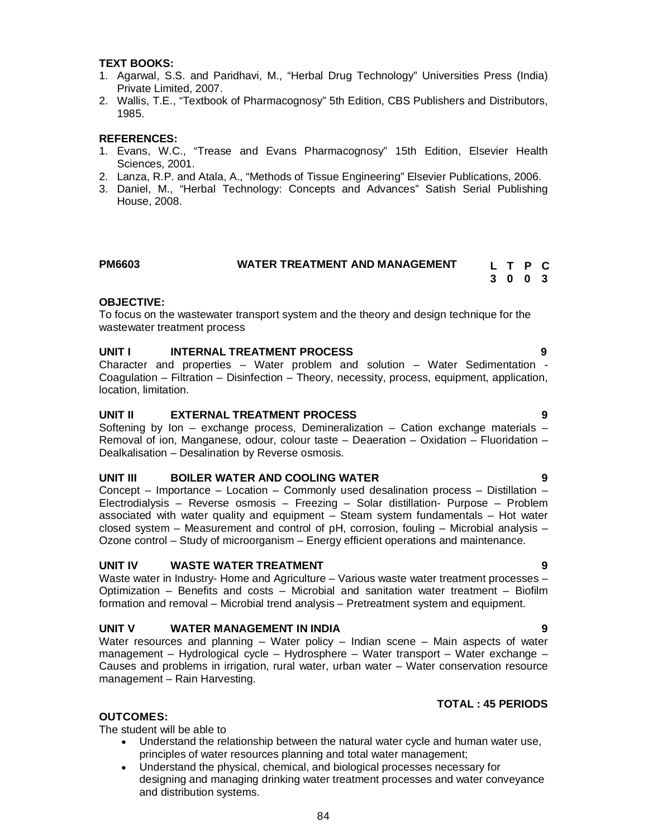#### 2. Lanza, R.P. and Atala, A., "Methods of Tissue Engineering" Elsevier Publications, 2006.

Sciences, 2001.

Private Limited, 2007.

3. Daniel, M., "Herbal Technology: Concepts and Advances" Satish Serial Publishing House, 2008.

1. Agarwal, S.S. and Paridhavi, M., "Herbal Drug Technology" Universities Press (India)

2. Wallis, T.E., "Textbook of Pharmacognosy" 5th Edition, CBS Publishers and Distributors,

1. Evans, W.C., "Trease and Evans Pharmacognosy" 15th Edition, Elsevier Health

#### **PM6603 WATER TREATMENT AND MANAGEMENT L T P C**

# **3 0 0 3**

#### **OBJECTIVE:**

**TEXT BOOKS:**

1985.

**REFERENCES:**

To focus on the wastewater transport system and the theory and design technique for the wastewater treatment process

#### **UNIT I INTERNAL TREATMENT PROCESS 9**

Character and properties – Water problem and solution – Water Sedimentation - Coagulation – Filtration – Disinfection – Theory, necessity, process, equipment, application, location, limitation.

#### **UNIT II EXTERNAL TREATMENT PROCESS 9**

Softening by Ion – exchange process, Demineralization – Cation exchange materials – Removal of ion, Manganese, odour, colour taste – Deaeration – Oxidation – Fluoridation – Dealkalisation – Desalination by Reverse osmosis.

#### **UNIT III BOILER WATER AND COOLING WATER 9**

Concept – Importance – Location – Commonly used desalination process – Distillation – Electrodialysis – Reverse osmosis – Freezing – Solar distillation- Purpose – Problem associated with water quality and equipment – Steam system fundamentals – Hot water closed system – Measurement and control of  $pH$ , corrosion, fouling – Microbial analysis – Ozone control – Study of microorganism – Energy efficient operations and maintenance.

#### **UNIT IV WASTE WATER TREATMENT 9**

Waste water in Industry- Home and Agriculture – Various waste water treatment processes – Optimization – Benefits and costs – Microbial and sanitation water treatment – Biofilm formation and removal – Microbial trend analysis – Pretreatment system and equipment.

#### **UNIT V WATER MANAGEMENT IN INDIA 9**

Water resources and planning – Water policy – Indian scene – Main aspects of water management – Hydrological cycle – Hydrosphere – Water transport – Water exchange – Causes and problems in irrigation, rural water, urban water – Water conservation resource management – Rain Harvesting.

#### **TOTAL : 45 PERIODS**

#### **OUTCOMES:**

The student will be able to

- Understand the relationship between the natural water cycle and human water use, principles of water resources planning and total water management;
- Understand the physical, chemical, and biological processes necessary for designing and managing drinking water treatment processes and water conveyance and distribution systems.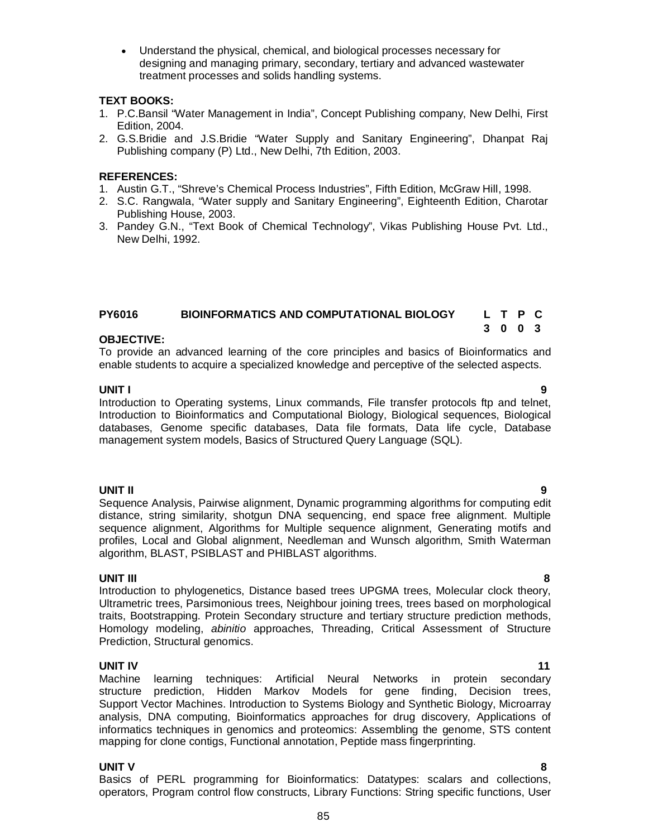Understand the physical, chemical, and biological processes necessary for designing and managing primary, secondary, tertiary and advanced wastewater treatment processes and solids handling systems.

#### **TEXT BOOKS:**

- 1. P.C.Bansil "Water Management in India", Concept Publishing company, New Delhi, First Edition, 2004.
- 2. G.S.Bridie and J.S.Bridie "Water Supply and Sanitary Engineering", Dhanpat Raj Publishing company (P) Ltd., New Delhi, 7th Edition, 2003.

#### **REFERENCES:**

- 1. Austin G.T., "Shreve's Chemical Process Industries", Fifth Edition, McGraw Hill, 1998.
- 2. S.C. Rangwala, "Water supply and Sanitary Engineering", Eighteenth Edition, Charotar Publishing House, 2003.
- 3. Pandey G.N., "Text Book of Chemical Technology", Vikas Publishing House Pvt. Ltd., New Delhi, 1992.

#### **PY6016 BIOINFORMATICS AND COMPUTATIONAL BIOLOGY L T P C**

#### **OBJECTIVE:**

To provide an advanced learning of the core principles and basics of Bioinformatics and enable students to acquire a specialized knowledge and perceptive of the selected aspects.

#### **UNIT I 9**

Introduction to Operating systems, Linux commands, File transfer protocols ftp and telnet, Introduction to Bioinformatics and Computational Biology, Biological sequences, Biological databases, Genome specific databases, Data file formats, Data life cycle, Database management system models, Basics of Structured Query Language (SQL).

**UNIT II 9** Sequence Analysis, Pairwise alignment, Dynamic programming algorithms for computing edit distance, string similarity, shotgun DNA sequencing, end space free alignment. Multiple sequence alignment, Algorithms for Multiple sequence alignment, Generating motifs and profiles, Local and Global alignment, Needleman and Wunsch algorithm, Smith Waterman algorithm, BLAST, PSIBLAST and PHIBLAST algorithms.

**UNIT III 8** Introduction to phylogenetics, Distance based trees UPGMA trees, Molecular clock theory, Ultrametric trees, Parsimonious trees, Neighbour joining trees, trees based on morphological traits, Bootstrapping. Protein Secondary structure and tertiary structure prediction methods, Homology modeling, *abinitio* approaches, Threading, Critical Assessment of Structure Prediction, Structural genomics.

**UNIT IV** 11 Machine learning techniques: Artificial Neural Networks in protein secondary structure prediction, Hidden Markov Models for gene finding, Decision trees, Support Vector Machines. Introduction to Systems Biology and Synthetic Biology, Microarray analysis, DNA computing, Bioinformatics approaches for drug discovery, Applications of informatics techniques in genomics and proteomics: Assembling the genome, STS content mapping for clone contigs, Functional annotation, Peptide mass fingerprinting.

#### **UNIT V 8**

Basics of PERL programming for Bioinformatics: Datatypes: scalars and collections, operators, Program control flow constructs, Library Functions: String specific functions, User

**3 0 0 3**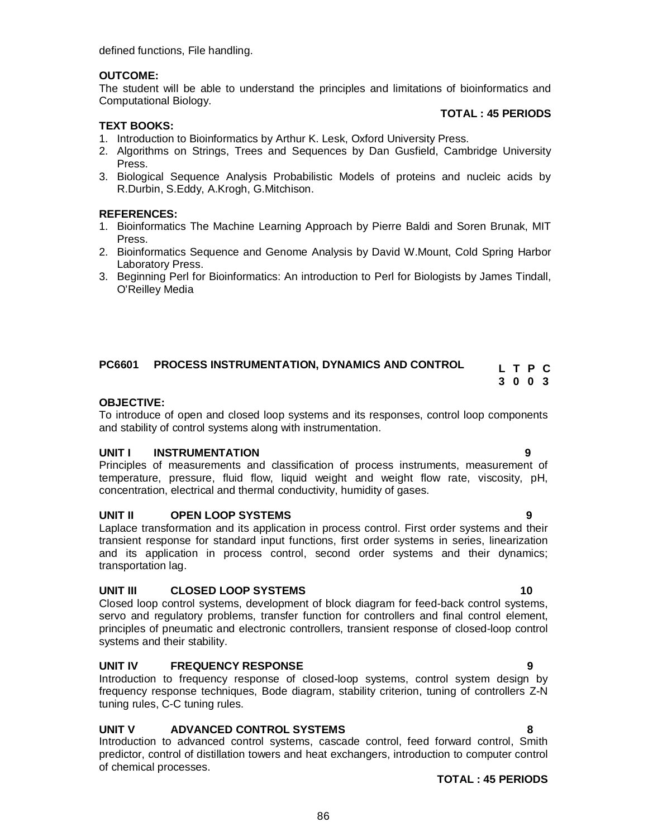defined functions, File handling.

#### **OUTCOME:**

The student will be able to understand the principles and limitations of bioinformatics and Computational Biology.

#### **TOTAL : 45 PERIODS**

**L T P C 3 0 0 3**

#### **TEXT BOOKS:**

- 1. Introduction to Bioinformatics by Arthur K. Lesk, Oxford University Press.
- 2. Algorithms on Strings, Trees and Sequences by Dan Gusfield, Cambridge University Press.
- 3. Biological Sequence Analysis Probabilistic Models of proteins and nucleic acids by R.Durbin, S.Eddy, A.Krogh, G.Mitchison.

#### **REFERENCES:**

- 1. Bioinformatics The Machine Learning Approach by Pierre Baldi and Soren Brunak, MIT Press.
- 2. Bioinformatics Sequence and Genome Analysis by David W.Mount, Cold Spring Harbor Laboratory Press.
- 3. Beginning Perl for Bioinformatics: An introduction to Perl for Biologists by James Tindall, O'Reilley Media

### **PC6601 PROCESS INSTRUMENTATION, DYNAMICS AND CONTROL**

#### **OBJECTIVE:**

To introduce of open and closed loop systems and its responses, control loop components and stability of control systems along with instrumentation.

#### **UNIT I INSTRUMENTATION 9**

Principles of measurements and classification of process instruments, measurement of temperature, pressure, fluid flow, liquid weight and weight flow rate, viscosity, pH, concentration, electrical and thermal conductivity, humidity of gases.

#### **UNIT II OPEN LOOP SYSTEMS 9**

Laplace transformation and its application in process control. First order systems and their transient response for standard input functions, first order systems in series, linearization and its application in process control, second order systems and their dynamics; transportation lag.

#### **UNIT III CLOSED LOOP SYSTEMS 10**

Closed loop control systems, development of block diagram for feed-back control systems, servo and regulatory problems, transfer function for controllers and final control element, principles of pneumatic and electronic controllers, transient response of closed-loop control systems and their stability.

#### **UNIT IV FREQUENCY RESPONSE 9**

Introduction to frequency response of closed-loop systems, control system design by frequency response techniques, Bode diagram, stability criterion, tuning of controllers Z-N tuning rules, C-C tuning rules.

### **UNIT V ADVANCED CONTROL SYSTEMS 8**

Introduction to advanced control systems, cascade control, feed forward control, Smith predictor, control of distillation towers and heat exchangers, introduction to computer control of chemical processes.

#### **TOTAL : 45 PERIODS**

#### 86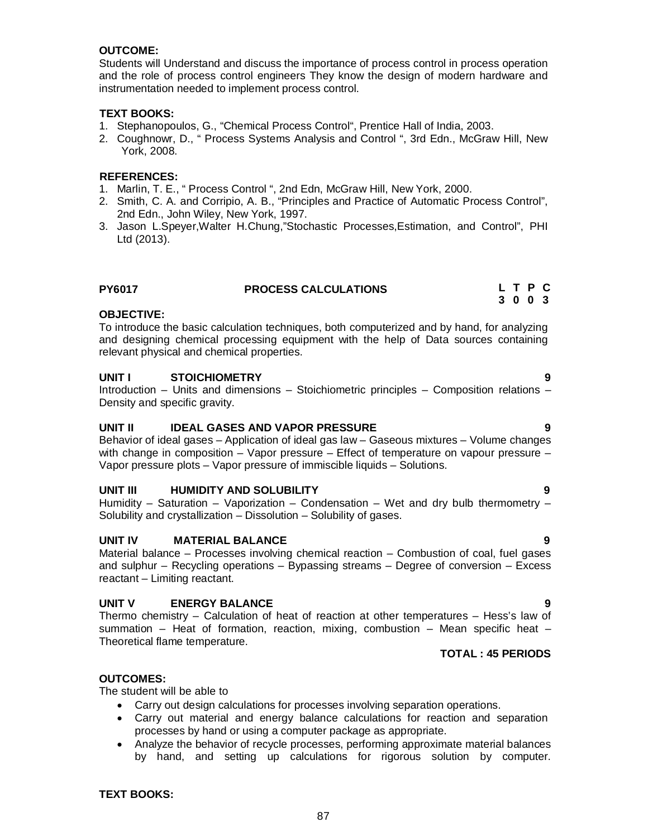#### **OUTCOME:**

Students will Understand and discuss the importance of process control in process operation and the role of process control engineers They know the design of modern hardware and instrumentation needed to implement process control.

#### **TEXT BOOKS:**

- 1. Stephanopoulos, G., "Chemical Process Control", Prentice Hall of India, 2003.
- 2. Coughnowr, D., " Process Systems Analysis and Control ", 3rd Edn., McGraw Hill, New York, 2008.

#### **REFERENCES:**

- 1. Marlin, T. E., " Process Control ", 2nd Edn, McGraw Hill, New York, 2000.
- 2. Smith, C. A. and Corripio, A. B., "Principles and Practice of Automatic Process Control", 2nd Edn., John Wiley, New York, 1997.
- 3. Jason L.Speyer,Walter H.Chung,"Stochastic Processes,Estimation, and Control", PHI Ltd (2013).

#### **PY6017 PROCESS CALCULATIONS**

#### **OBJECTIVE:**

To introduce the basic calculation techniques, both computerized and by hand, for analyzing and designing chemical processing equipment with the help of Data sources containing relevant physical and chemical properties.

#### **UNIT I STOICHIOMETRY 9**

Introduction – Units and dimensions – Stoichiometric principles – Composition relations – Density and specific gravity.

#### **UNIT II IDEAL GASES AND VAPOR PRESSURE 9**

Behavior of ideal gases – Application of ideal gas law – Gaseous mixtures – Volume changes with change in composition - Vapor pressure - Effect of temperature on vapour pressure -Vapor pressure plots – Vapor pressure of immiscible liquids – Solutions.

#### **UNIT III HUMIDITY AND SOLUBILITY 9**

Humidity – Saturation – Vaporization – Condensation – Wet and dry bulb thermometry – Solubility and crystallization – Dissolution – Solubility of gases.

#### **UNIT IV MATERIAL BALANCE 9**

Material balance – Processes involving chemical reaction – Combustion of coal, fuel gases and sulphur – Recycling operations – Bypassing streams – Degree of conversion – Excess reactant – Limiting reactant.

#### **UNIT V ENERGY BALANCE 9**

Thermo chemistry – Calculation of heat of reaction at other temperatures – Hess's law of summation – Heat of formation, reaction, mixing, combustion – Mean specific heat – Theoretical flame temperature.

#### **TOTAL : 45 PERIODS**

#### **OUTCOMES:**

The student will be able to

- Carry out design calculations for processes involving separation operations.
- Carry out material and energy balance calculations for reaction and separation processes by hand or using a computer package as appropriate.
- Analyze the behavior of recycle processes, performing approximate material balances by hand, and setting up calculations for rigorous solution by computer.

**TEXT BOOKS:**

#### 87

**L T P C 3 0 0 3**